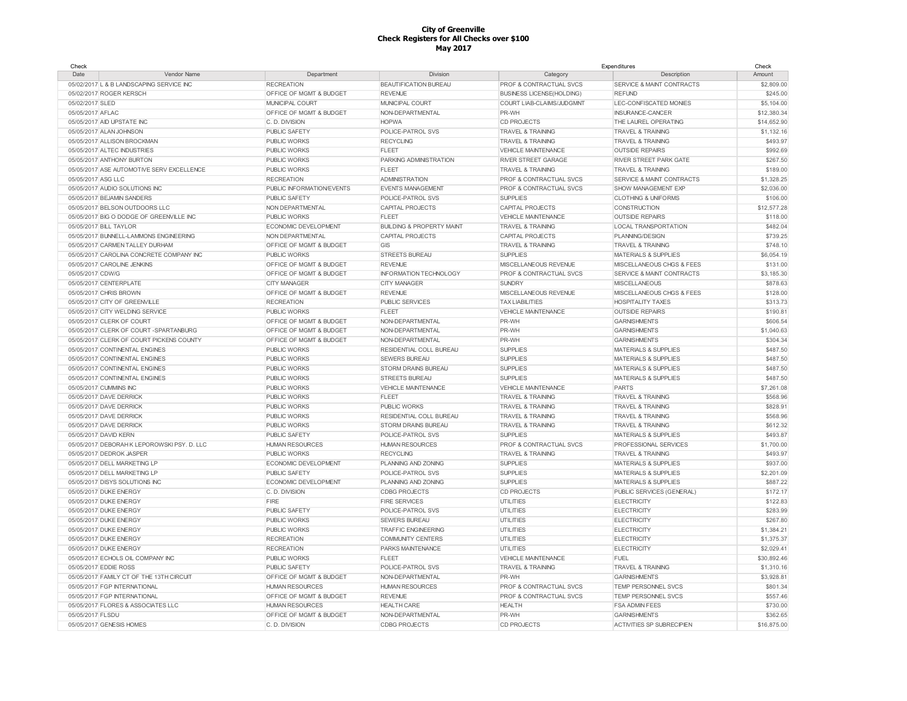| Check                                       |                           |                                      |                                  | Expenditures                         | Check       |
|---------------------------------------------|---------------------------|--------------------------------------|----------------------------------|--------------------------------------|-------------|
| Date<br>Vendor Name                         | Department                | Division                             | Category                         | Description                          | Amount      |
| 05/02/2017 L & B LANDSCAPING SERVICE INC    | <b>RECREATION</b>         | <b>BEAUTIFICATION BUREAU</b>         | PROF & CONTRACTUAL SVCS          | SERVICE & MAINT CONTRACTS            | \$2,809.00  |
| 05/02/2017 ROGER KERSCH                     | OFFICE OF MGMT & BUDGET   | <b>REVENUE</b>                       | <b>BUSINESS LICENSE(HOLDING)</b> | <b>REFUND</b>                        | \$245.00    |
| 05/02/2017 SLED                             | MUNICIPAL COURT           | MUNICIPAL COURT                      | COURT LIAB-CLAIMS/JUDGMNT        | LEC-CONFISCATED MONIES               | \$5,104.00  |
| 05/05/2017 AFLAC                            | OFFICE OF MGMT & BUDGET   | NON-DEPARTMENTAL                     | PR-WH                            | INSURANCE-CANCER                     | \$12,380.34 |
| 05/05/2017 AID UPSTATE INC                  | C. D. DIVISION            | <b>HOPWA</b>                         | <b>CD PROJECTS</b>               | THE LAUREL OPERATING                 | \$14,652.90 |
| 05/05/2017 ALAN JOHNSON                     | PUBLIC SAFETY             | POLICE-PATROL SVS                    | <b>TRAVEL &amp; TRAINING</b>     | <b>TRAVEL &amp; TRAINING</b>         | \$1,132.16  |
| 05/05/2017 ALLISON BROCKMAN                 | PUBLIC WORKS              | <b>RECYCLING</b>                     | <b>TRAVEL &amp; TRAINING</b>     | <b>TRAVEL &amp; TRAINING</b>         | \$493.97    |
| 05/05/2017 ALTEC INDUSTRIES                 | <b>PUBLIC WORKS</b>       | <b>FLEET</b>                         | <b>VEHICLE MAINTENANCE</b>       | <b>OUTSIDE REPAIRS</b>               | \$992.69    |
| 05/05/2017 ANTHONY BURTON                   | PUBLIC WORKS              | PARKING ADMINISTRATION               | <b>RIVER STREET GARAGE</b>       | <b>RIVER STREET PARK GATE</b>        | \$267.50    |
| 05/05/2017 ASE AUTOMOTIVE SERV EXCELLENCE   | <b>PUBLIC WORKS</b>       | <b>FLEET</b>                         | <b>TRAVEL &amp; TRAINING</b>     | <b>TRAVEL &amp; TRAINING</b>         | \$189.00    |
| 05/05/2017 ASG LLC                          | <b>RECREATION</b>         | <b>ADMINISTRATION</b>                | PROF & CONTRACTUAL SVCS          | SERVICE & MAINT CONTRACTS            | \$1,328.25  |
| 05/05/2017 AUDIO SOLUTIONS INC              | PUBLIC INFORMATION/EVENTS | <b>EVENTS MANAGEMENT</b>             | PROF & CONTRACTUAL SVCS          | SHOW MANAGEMENT EXP                  | \$2,036.00  |
| 05/05/2017 BEJAMIN SANDERS                  | <b>PUBLIC SAFETY</b>      | POLICE-PATROL SVS                    | <b>SUPPLIES</b>                  | <b>CLOTHING &amp; UNIFORMS</b>       | \$106.00    |
| 05/05/2017 BELSON OUTDOORS LLC              | NON DEPARTMENTAL          | CAPITAL PROJECTS                     | CAPITAL PROJECTS                 | CONSTRUCTION                         | \$12,577.28 |
| 05/05/2017 BIG O DODGE OF GREENVILLE INC    | PUBLIC WORKS              | FLEET                                | VEHICLE MAINTENANCE              | <b>OUTSIDE REPAIRS</b>               | \$118.00    |
| 05/05/2017 BILL TAYLOR                      | ECONOMIC DEVELOPMENT      | <b>BUILDING &amp; PROPERTY MAINT</b> | <b>TRAVEL &amp; TRAINING</b>     | <b>LOCAL TRANSPORTATION</b>          | \$482.04    |
| 05/05/2017 BUNNELL-LAMMONS ENGINEERING      | NON DEPARTMENTAL          | CAPITAL PROJECTS                     | CAPITAL PROJECTS                 | PLANNING/DESIGN                      | \$739.25    |
| 05/05/2017 CARMEN TALLEY DURHAM             | OFFICE OF MGMT & BUDGET   | GIS                                  | <b>TRAVEL &amp; TRAINING</b>     | <b>TRAVEL &amp; TRAINING</b>         | \$748.10    |
| 05/05/2017 CAROLINA CONCRETE COMPANY INC    | PUBLIC WORKS              | <b>STREETS BUREAU</b>                | <b>SUPPLIES</b>                  | MATERIALS & SUPPLIES                 | \$6,054.19  |
| 05/05/2017 CAROLINE JENKINS                 | OFFICE OF MGMT & BUDGET   | <b>REVENUE</b>                       | MISCELLANEOUS REVENUE            | MISCELLANEOUS CHGS & FEES            | \$131.00    |
| 05/05/2017 CDW/G                            | OFFICE OF MGMT & BUDGET   | INFORMATION TECHNOLOGY               | PROF & CONTRACTUAL SVCS          | <b>SERVICE &amp; MAINT CONTRACTS</b> | \$3,185.30  |
| 05/05/2017 CENTERPLATE                      | <b>CITY MANAGER</b>       | <b>CITY MANAGER</b>                  | <b>SUNDRY</b>                    | <b>MISCELLANEOUS</b>                 | \$878.63    |
| 05/05/2017 CHRIS BROWN                      | OFFICE OF MGMT & BUDGET   | <b>REVENUE</b>                       | MISCELLANEOUS REVENUE            | MISCELLANEOUS CHGS & FEES            | \$128.00    |
| 05/05/2017 CITY OF GREENVILLE               | <b>RECREATION</b>         | <b>PUBLIC SERVICES</b>               | <b>TAX LIABILITIES</b>           | <b>HOSPITALITY TAXES</b>             | \$313.73    |
| 05/05/2017 CITY WELDING SERVICE             | <b>PUBLIC WORKS</b>       | <b>FLEET</b>                         | VEHICLE MAINTENANCE              | <b>OUTSIDE REPAIRS</b>               | \$190.81    |
| 05/05/2017 CLERK OF COURT                   | OFFICE OF MGMT & BUDGET   | NON-DEPARTMENTAL                     | PR-WH                            | <b>GARNISHMENTS</b>                  | \$606.54    |
| 05/05/2017 CLERK OF COURT - SPARTANBURG     | OFFICE OF MGMT & BUDGET   | NON-DEPARTMENTAL                     | PR-WH                            | <b>GARNISHMENTS</b>                  | \$1,040.63  |
| 05/05/2017 CLERK OF COURT PICKENS COUNTY    | OFFICE OF MGMT & BUDGET   | NON-DEPARTMENTAL                     | PR-WH                            | <b>GARNISHMENTS</b>                  | \$304.34    |
|                                             |                           |                                      |                                  |                                      | \$487.50    |
| 05/05/2017 CONTINENTAL ENGINES              | <b>PUBLIC WORKS</b>       | RESIDENTIAL COLL BUREAU              | <b>SUPPLIES</b>                  | <b>MATERIALS &amp; SUPPLIES</b>      |             |
| 05/05/2017 CONTINENTAL ENGINES              | <b>PUBLIC WORKS</b>       | <b>SEWERS BUREAU</b>                 | <b>SUPPLIES</b>                  | <b>MATERIALS &amp; SUPPLIES</b>      | \$487.50    |
| 05/05/2017 CONTINENTAL ENGINES              | <b>PUBLIC WORKS</b>       | STORM DRAINS BUREAU                  | <b>SUPPLIES</b>                  | <b>MATERIALS &amp; SUPPLIES</b>      | \$487.50    |
| 05/05/2017 CONTINENTAL ENGINES              | <b>PUBLIC WORKS</b>       | <b>STREETS BUREAU</b>                | <b>SUPPLIES</b>                  | <b>MATERIALS &amp; SUPPLIES</b>      | \$487.50    |
| 05/05/2017 CUMMINS INC                      | PUBLIC WORKS              | VEHICLE MAINTENANCE                  | VEHICLE MAINTENANCE              | <b>PARTS</b>                         | \$7,261.08  |
| 05/05/2017 DAVE DERRICK                     | PUBLIC WORKS              | <b>FLEET</b>                         | <b>TRAVEL &amp; TRAINING</b>     | <b>TRAVEL &amp; TRAINING</b>         | \$568.96    |
| 05/05/2017 DAVE DERRICK                     | PUBLIC WORKS              | <b>PUBLIC WORKS</b>                  | <b>TRAVEL &amp; TRAINING</b>     | <b>TRAVEL &amp; TRAINING</b>         | \$828.91    |
| 05/05/2017 DAVE DERRICK                     | <b>PUBLIC WORKS</b>       | RESIDENTIAL COLL BUREAU              | <b>TRAVEL &amp; TRAINING</b>     | <b>TRAVEL &amp; TRAINING</b>         | \$568.96    |
| 05/05/2017 DAVE DERRICK                     | PUBLIC WORKS              | STORM DRAINS BUREAU                  | <b>TRAVEL &amp; TRAINING</b>     | TRAVEL & TRAINING                    | \$612.32    |
| 05/05/2017 DAVID KERN                       | PUBLIC SAFETY             | POLICE-PATROL SVS                    | <b>SUPPLIES</b>                  | <b>MATERIALS &amp; SUPPLIES</b>      | \$493.87    |
| 05/05/2017 DEBORAH K LEPOROWSKI PSY. D. LLC | <b>HUMAN RESOURCES</b>    | <b>HUMAN RESOURCES</b>               | PROF & CONTRACTUAL SVCS          | PROFESSIONAL SERVICES                | \$1,700.00  |
| 05/05/2017 DEDROK JASPER                    | <b>PUBLIC WORKS</b>       | <b>RECYCLING</b>                     | <b>TRAVEL &amp; TRAINING</b>     | <b>TRAVEL &amp; TRAINING</b>         | \$493.97    |
| 05/05/2017 DELL MARKETING LP                | ECONOMIC DEVELOPMENT      | PLANNING AND ZONING                  | <b>SUPPLIES</b>                  | <b>MATERIALS &amp; SUPPLIES</b>      | \$937.00    |
| 05/05/2017 DELL MARKETING LP                | PUBLIC SAFETY             | POLICE-PATROL SVS                    | <b>SUPPLIES</b>                  | <b>MATERIALS &amp; SUPPLIES</b>      | \$2,201.09  |
| 05/05/2017 DISYS SOLUTIONS INC              | ECONOMIC DEVELOPMENT      | PLANNING AND ZONING                  | <b>SUPPLIES</b>                  | <b>MATERIALS &amp; SUPPLIES</b>      | \$887.22    |
| 05/05/2017 DUKE ENERGY                      | C. D. DIVISION            | <b>CDBG PROJECTS</b>                 | <b>CD PROJECTS</b>               | PUBLIC SERVICES (GENERAL)            | \$172.17    |
| 05/05/2017 DUKE ENERGY                      | FIRE                      | <b>FIRE SERVICES</b>                 | <b>UTILITIES</b>                 | <b>ELECTRICITY</b>                   | \$122.83    |
| 05/05/2017 DUKE ENERGY                      | PUBLIC SAFETY             | POLICE-PATROL SVS                    | <b>UTILITIES</b>                 | <b>ELECTRICITY</b>                   | \$283.99    |
| 05/05/2017 DUKE ENERGY                      | <b>PUBLIC WORKS</b>       | <b>SEWERS BUREAU</b>                 | <b>UTILITIES</b>                 | <b>ELECTRICITY</b>                   | \$267.80    |
| 05/05/2017 DUKE ENERGY                      | <b>PUBLIC WORKS</b>       | <b>TRAFFIC ENGINEERING</b>           | <b>UTILITIES</b>                 | <b>ELECTRICITY</b>                   | \$1,384.21  |
| 05/05/2017 DUKE ENERGY                      | <b>RECREATION</b>         | <b>COMMUNITY CENTERS</b>             | <b>UTILITIES</b>                 | <b>ELECTRICITY</b>                   | \$1,375.37  |
| 05/05/2017 DUKE ENERGY                      | <b>RECREATION</b>         | PARKS MAINTENANCE                    | <b>UTILITIES</b>                 | <b>ELECTRICITY</b>                   | \$2,029.41  |
| 05/05/2017 ECHOLS OIL COMPANY INC           | PUBLIC WORKS              | <b>FLEET</b>                         | VEHICLE MAINTENANCE              | <b>FUEL</b>                          | \$30,892.46 |
| 05/05/2017 EDDIE ROSS                       | PUBLIC SAFETY             | POLICE-PATROL SVS                    | <b>TRAVEL &amp; TRAINING</b>     | TRAVEL & TRAINING                    | \$1,310.16  |
| 05/05/2017 FAMILY CT OF THE 13TH CIRCUIT    | OFFICE OF MGMT & BUDGET   | NON-DEPARTMENTAL                     | PR-WH                            | <b>GARNISHMENTS</b>                  | \$3,928.8   |
| 05/05/2017 FGP INTERNATIONAL                | <b>HUMAN RESOURCES</b>    | <b>HUMAN RESOURCES</b>               | PROF & CONTRACTUAL SVCS          | TEMP PERSONNEL SVCS                  | \$801.34    |
| 05/05/2017 FGP INTERNATIONAL                | OFFICE OF MGMT & BUDGET   | <b>REVENUE</b>                       | PROF & CONTRACTUAL SVCS          | TEMP PERSONNEL SVCS                  | \$557.46    |
| 05/05/2017 FLORES & ASSOCIATES LLC          | <b>HUMAN RESOURCES</b>    | <b>HEALTH CARE</b>                   | <b>HEALTH</b>                    | <b>FSA ADMIN FEES</b>                | \$730.00    |
| 05/05/2017 FLSDU                            | OFFICE OF MGMT & BUDGET   | NON-DEPARTMENTAL                     | PR-WH                            | <b>GARNISHMENTS</b>                  | \$362.65    |
| 05/05/2017 GENESIS HOMES                    | C. D. DIVISION            | <b>CDBG PROJECTS</b>                 | <b>CD PROJECTS</b>               | <b>ACTIVITIES SP SUBRECIPIEN</b>     | \$16,875.00 |
|                                             |                           |                                      |                                  |                                      |             |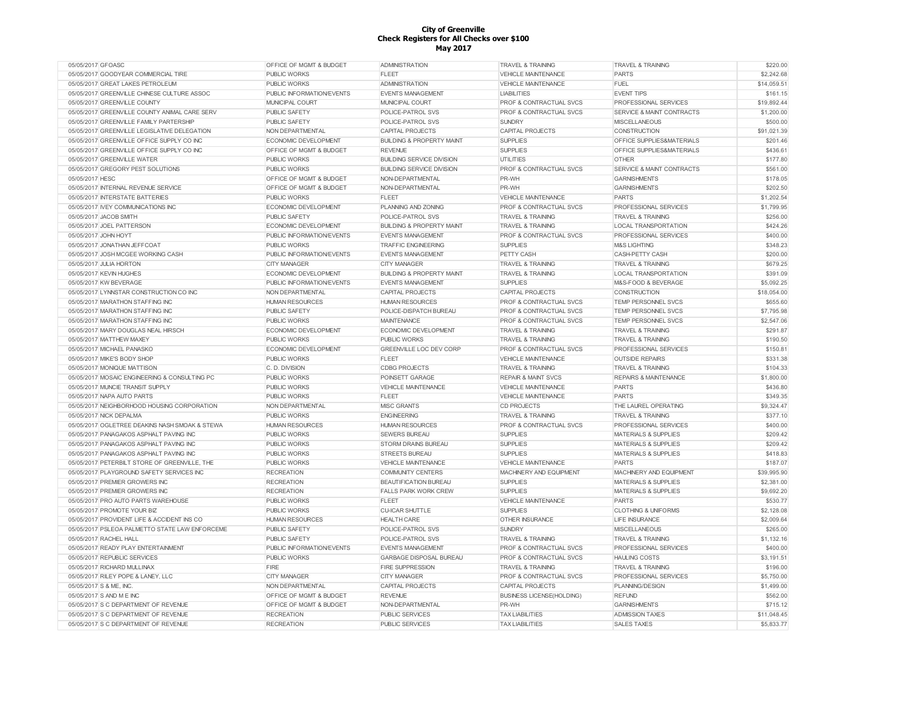| 05/05/2017 GFOASC                              | OFFICE OF MGMT & BUDGET          | <b>ADMINISTRATION</b>                | <b>TRAVEL &amp; TRAINING</b>       | <b>TRAVEL &amp; TRAINING</b>         | \$220.00    |
|------------------------------------------------|----------------------------------|--------------------------------------|------------------------------------|--------------------------------------|-------------|
| 05/05/2017 GOODYEAR COMMERCIAL TIRE            | <b>PUBLIC WORKS</b>              | <b>FLEET</b>                         | <b>VEHICLE MAINTENANCE</b>         | <b>PARTS</b>                         | \$2,242.68  |
| 05/05/2017 GREAT LAKES PETROLEUM               | <b>PUBLIC WORKS</b>              | <b>ADMINISTRATION</b>                | VEHICLE MAINTENANCE                | <b>FUEL</b>                          | \$14,059.51 |
| 05/05/2017 GREENVILLE CHINESE CULTURE ASSOC    | PUBLIC INFORMATION/EVENTS        | <b>EVENTS MANAGEMENT</b>             | <b>LIABILITIES</b>                 | <b>EVENT TIPS</b>                    | \$161.15    |
| 05/05/2017 GREENVILLE COUNTY                   | MUNICIPAL COURT                  | MUNICIPAL COURT                      | PROF & CONTRACTUAL SVCS            | PROFESSIONAL SERVICES                | \$19,892.44 |
| 05/05/2017 GREENVILLE COUNTY ANIMAL CARE SERV  | PUBLIC SAFETY                    | POLICE-PATROL SVS                    | PROF & CONTRACTUAL SVCS            | SERVICE & MAINT CONTRACTS            | \$1,200.00  |
| 05/05/2017 GREENVILLE FAMILY PARTERSHIP        | <b>PUBLIC SAFETY</b>             | POLICE-PATROL SVS                    | <b>SUNDRY</b>                      | <b>MISCELLANEOUS</b>                 | \$500.00    |
| 05/05/2017 GREENVILLE LEGISLATIVE DELEGATION   | NON DEPARTMENTAL                 | <b>CAPITAL PROJECTS</b>              | <b>CAPITAL PROJECTS</b>            | <b>CONSTRUCTION</b>                  | \$91,021.39 |
| 05/05/2017 GREENVILLE OFFICE SUPPLY CO INC     | <b>ECONOMIC DEVELOPMENT</b>      | <b>BUILDING &amp; PROPERTY MAINT</b> | <b>SUPPLIES</b>                    | OFFICE SUPPLIES&MATERIALS            | \$201.46    |
| 05/05/2017 GREENVILLE OFFICE SUPPLY CO INC     | OFFICE OF MGMT & BUDGET          | <b>REVENUE</b>                       | <b>SUPPLIES</b>                    | OFFICE SUPPLIES&MATERIALS            | \$436.61    |
| 05/05/2017 GREENVILLE WATER                    | <b>PUBLIC WORKS</b>              | <b>BUILDING SERVICE DIVISION</b>     | <b>UTILITIES</b>                   | <b>OTHER</b>                         | \$177.80    |
| 05/05/2017 GREGORY PEST SOLUTIONS              | <b>PUBLIC WORKS</b>              | <b>BUILDING SERVICE DIVISION</b>     | PROF & CONTRACTUAL SVCS            | <b>SERVICE &amp; MAINT CONTRACTS</b> | \$561.00    |
| 05/05/2017 HESC                                | OFFICE OF MGMT & BUDGET          | NON-DEPARTMENTAL                     | PR-WH                              | <b>GARNISHMENTS</b>                  | \$178.05    |
| 05/05/2017 INTERNAL REVENUE SERVICE            | OFFICE OF MGMT & BUDGET          | NON-DEPARTMENTAL                     | PR-WH                              | <b>GARNISHMENTS</b>                  | \$202.50    |
| 05/05/2017 INTERSTATE BATTERIES                | <b>PUBLIC WORKS</b>              | <b>FLEET</b>                         | <b>VEHICLE MAINTENANCE</b>         | <b>PARTS</b>                         | \$1,202.54  |
| 05/05/2017 IVEY COMMUNICATIONS INC             | <b>ECONOMIC DEVELOPMENT</b>      | PLANNING AND ZONING                  | <b>PROF &amp; CONTRACTUAL SVCS</b> | PROFESSIONAL SERVICES                | \$1,799.95  |
| 05/05/2017 JACOB SMITH                         | <b>PUBLIC SAFETY</b>             | POLICE-PATROL SVS                    | <b>TRAVEL &amp; TRAINING</b>       | <b>TRAVEL &amp; TRAINING</b>         | \$256.00    |
| 05/05/2017 JOEL PATTERSON                      | ECONOMIC DEVELOPMENT             | <b>BUILDING &amp; PROPERTY MAINT</b> | <b>TRAVEL &amp; TRAINING</b>       | LOCAL TRANSPORTATION                 | \$424.26    |
|                                                |                                  |                                      |                                    |                                      | \$400.00    |
| 05/05/2017 JOHN HOYT                           | PUBLIC INFORMATION/EVENTS        | <b>EVENTS MANAGEMENT</b>             | <b>PROF &amp; CONTRACTUAL SVCS</b> | PROFESSIONAL SERVICES                |             |
| 05/05/2017 JONATHAN JEFFCOAT                   | <b>PUBLIC WORKS</b>              | <b>TRAFFIC ENGINEERING</b>           | <b>SUPPLIES</b>                    | <b>M&amp;S LIGHTING</b>              | \$348.23    |
| 05/05/2017 JOSH MCGEE WORKING CASH             | PUBLIC INFORMATION/EVENTS        | <b>EVENTS MANAGEMENT</b>             | PETTY CASH                         | CASH-PETTY CASH                      | \$200.00    |
| 05/05/2017 JULIA HORTON                        | <b>CITY MANAGER</b>              | <b>CITY MANAGER</b>                  | <b>TRAVEL &amp; TRAINING</b>       | <b>TRAVEL &amp; TRAINING</b>         | \$679.25    |
| 05/05/2017 KEVIN HUGHES                        | ECONOMIC DEVELOPMENT             | <b>BUILDING &amp; PROPERTY MAINT</b> | <b>TRAVEL &amp; TRAINING</b>       | LOCAL TRANSPORTATION                 | \$391.09    |
| 05/05/2017 KW BEVERAGE                         | <b>PUBLIC INFORMATION/EVENTS</b> | <b>EVENTS MANAGEMENT</b>             | <b>SUPPLIES</b>                    | M&S-FOOD & BEVERAGE                  | \$5,092.25  |
| 05/05/2017 LYNNSTAR CONSTRUCTION CO INC        | NON DEPARTMENTAL                 | CAPITAL PROJECTS                     | <b>CAPITAL PROJECTS</b>            | <b>CONSTRUCTION</b>                  | \$18,054.00 |
| 05/05/2017 MARATHON STAFFING INC               | <b>HUMAN RESOURCES</b>           | <b>HUMAN RESOURCES</b>               | PROF & CONTRACTUAL SVCS            | TEMP PERSONNEL SVCS                  | \$655.60    |
| 05/05/2017 MARATHON STAFFING INC               | <b>PUBLIC SAFETY</b>             | POLICE-DISPATCH BUREAU               | PROF & CONTRACTUAL SVCS            | TEMP PERSONNEL SVCS                  | \$7,795.98  |
| 05/05/2017 MARATHON STAFFING INC               | <b>PUBLIC WORKS</b>              | <b>MAINTENANCE</b>                   | PROF & CONTRACTUAL SVCS            | TEMP PERSONNEL SVCS                  | \$2,547.06  |
| 05/05/2017 MARY DOUGLAS NEAL HIRSCH            | ECONOMIC DEVELOPMENT             | ECONOMIC DEVELOPMENT                 | <b>TRAVEL &amp; TRAINING</b>       | <b>TRAVEL &amp; TRAINING</b>         | \$291.87    |
| 05/05/2017 MATTHEW MAXEY                       | <b>PUBLIC WORKS</b>              | <b>PUBLIC WORKS</b>                  | <b>TRAVEL &amp; TRAINING</b>       | <b>TRAVEL &amp; TRAINING</b>         | \$190.50    |
| 05/05/2017 MICHAEL PANASKO                     | ECONOMIC DEVELOPMENT             | GREENVILLE LOC DEV CORP              | PROF & CONTRACTUAL SVCS            | PROFESSIONAL SERVICES                | \$150.81    |
| 05/05/2017 MIKE'S BODY SHOP                    | <b>PUBLIC WORKS</b>              | <b>FLEET</b>                         | <b>VEHICLE MAINTENANCE</b>         | <b>OUTSIDE REPAIRS</b>               | \$331.38    |
| 05/05/2017 MONIQUE MATTISON                    | C. D. DIVISION                   | <b>CDBG PROJECTS</b>                 | <b>TRAVEL &amp; TRAINING</b>       | <b>TRAVEL &amp; TRAINING</b>         | \$104.33    |
| 05/05/2017 MOSAIC ENGINEERING & CONSULTING PC  | <b>PUBLIC WORKS</b>              | POINSETT GARAGE                      | <b>REPAIR &amp; MAINT SVCS</b>     | REPAIRS & MAINTENANCE                | \$1,800.00  |
| 05/05/2017 MUNCIE TRANSIT SUPPLY               | <b>PUBLIC WORKS</b>              | <b>VEHICLE MAINTENANCE</b>           | <b>VEHICLE MAINTENANCE</b>         | <b>PARTS</b>                         | \$436.80    |
| 05/05/2017 NAPA AUTO PARTS                     | <b>PUBLIC WORKS</b>              | <b>FLEET</b>                         | <b>VEHICLE MAINTENANCE</b>         | <b>PARTS</b>                         | \$349.35    |
| 05/05/2017 NEIGHBORHOOD HOUSING CORPORATION    | NON DEPARTMENTAL                 | <b>MISC GRANTS</b>                   | <b>CD PROJECTS</b>                 | THE LAUREL OPERATING                 | \$9,324.47  |
| 05/05/2017 NICK DEPALMA                        | <b>PUBLIC WORKS</b>              | <b>ENGINEERING</b>                   | <b>TRAVEL &amp; TRAINING</b>       | <b>TRAVEL &amp; TRAINING</b>         | \$377.10    |
| 05/05/2017 OGLETREE DEAKINS NASH SMOAK & STEWA | <b>HUMAN RESOURCES</b>           | HUMAN RESOURCES                      | PROF & CONTRACTUAL SVCS            | PROFESSIONAL SERVICES                | \$400.00    |
| 05/05/2017 PANAGAKOS ASPHALT PAVING INC        | <b>PUBLIC WORKS</b>              | <b>SEWERS BUREAU</b>                 | <b>SUPPLIES</b>                    | <b>MATERIALS &amp; SUPPLIES</b>      | \$209.42    |
| 05/05/2017 PANAGAKOS ASPHALT PAVING INC        | <b>PUBLIC WORKS</b>              | <b>STORM DRAINS BUREAU</b>           | <b>SUPPLIES</b>                    | <b>MATERIALS &amp; SUPPLIES</b>      | \$209.42    |
| 05/05/2017 PANAGAKOS ASPHALT PAVING INC        | <b>PUBLIC WORKS</b>              | <b>STREETS BUREAU</b>                | <b>SUPPLIES</b>                    | <b>MATERIALS &amp; SUPPLIES</b>      | \$418.83    |
| 05/05/2017 PETERBILT STORE OF GREENVILLE, THE  | <b>PUBLIC WORKS</b>              | <b>VEHICLE MAINTENANCE</b>           | <b>VEHICLE MAINTENANCE</b>         | <b>PARTS</b>                         | \$187.07    |
| 05/05/2017 PLAYGROUND SAFETY SERVICES INC      | <b>RECREATION</b>                | <b>COMMUNITY CENTERS</b>             | MACHINERY AND EQUIPMENT            | MACHINERY AND EQUIPMENT              | \$39,995.90 |
| 05/05/2017 PREMIER GROWERS INC                 | <b>RECREATION</b>                | <b>BEAUTIFICATION BUREAU</b>         | <b>SUPPLIES</b>                    | <b>MATERIALS &amp; SUPPLIES</b>      | \$2,381.00  |
| 05/05/2017 PREMIER GROWERS INC                 | <b>RECREATION</b>                | <b>FALLS PARK WORK CREW</b>          | <b>SUPPLIES</b>                    | MATERIALS & SUPPLIES                 | \$9,692.20  |
| 05/05/2017 PRO AUTO PARTS WAREHOUSE            | <b>PUBLIC WORKS</b>              | <b>FLEET</b>                         | VEHICLE MAINTENANCE                | <b>PARTS</b>                         | \$530.77    |
| 05/05/2017 PROMOTE YOUR BIZ                    | <b>PUBLIC WORKS</b>              | <b>CU-ICAR SHUTTLE</b>               | <b>SUPPLIES</b>                    | <b>CLOTHING &amp; UNIFORMS</b>       | \$2,128.08  |
| 05/05/2017 PROVIDENT LIFE & ACCIDENT INS CO    | <b>HUMAN RESOURCES</b>           | <b>HEALTH CARE</b>                   | <b>OTHER INSURANCE</b>             | <b>LIFE INSURANCE</b>                | \$2,009.64  |
| 05/05/2017 PSLEOA PALMETTO STATE LAW ENFORCEME | PUBLIC SAFETY                    | POLICE-PATROL SVS                    | <b>SUNDRY</b>                      | <b>MISCELLANEOUS</b>                 | \$265.00    |
| 05/05/2017 RACHEL HALL                         | <b>PUBLIC SAFETY</b>             | POLICE-PATROL SVS                    | <b>TRAVEL &amp; TRAINING</b>       | <b>TRAVEL &amp; TRAINING</b>         | \$1,132.16  |
|                                                |                                  |                                      |                                    |                                      |             |
| 05/05/2017 READY PLAY ENTERTAINMENT            | PUBLIC INFORMATION/EVENTS        | <b>EVENTS MANAGEMENT</b>             | PROF & CONTRACTUAL SVCS            | PROFESSIONAL SERVICES                | \$400.00    |
| 05/05/2017 REPUBLIC SERVICES                   | PUBLIC WORKS                     | GARBAGE DISPOSAL BUREAU              | PROF & CONTRACTUAL SVCS            | <b>HAULING COSTS</b>                 | \$3,191.51  |
| 05/05/2017 RICHARD MULLINAX                    | FIRE                             | <b>FIRE SUPPRESSION</b>              | <b>TRAVEL &amp; TRAINING</b>       | <b>TRAVEL &amp; TRAINING</b>         | \$196.00    |
| 05/05/2017 RILEY POPE & LANEY, LLC             | <b>CITY MANAGER</b>              | <b>CITY MANAGER</b>                  | PROF & CONTRACTUAL SVCS            | PROFESSIONAL SERVICES                | \$5,750.00  |
| 05/05/2017 S & ME, INC.                        | NON DEPARTMENTAL                 | CAPITAL PROJECTS                     | CAPITAL PROJECTS                   | PLANNING/DESIGN                      | \$1,499.00  |
| 05/05/2017 S AND M F INC                       | OFFICE OF MGMT & BUDGET          | <b>REVENUE</b>                       | <b>BUSINESS LICENSE(HOLDING)</b>   | <b>REFUND</b>                        | \$562.00    |
| 05/05/2017 S C DEPARTMENT OF REVENUE           | OFFICE OF MGMT & BUDGET          | NON-DEPARTMENTAL                     | PR-WH                              | <b>GARNISHMENTS</b>                  | \$715.12    |
| 05/05/2017 S C DEPARTMENT OF REVENUE           | <b>RECREATION</b>                | <b>PUBLIC SERVICES</b>               | <b>TAX LIABILITIES</b>             | <b>ADMISSION TAXES</b>               | \$11,048.45 |
| 05/05/2017 S C DEPARTMENT OF REVENUE           | <b>RECREATION</b>                | PUBLIC SERVICES                      | <b>TAX LIABILITIES</b>             | <b>SALES TAXES</b>                   | \$5,833.77  |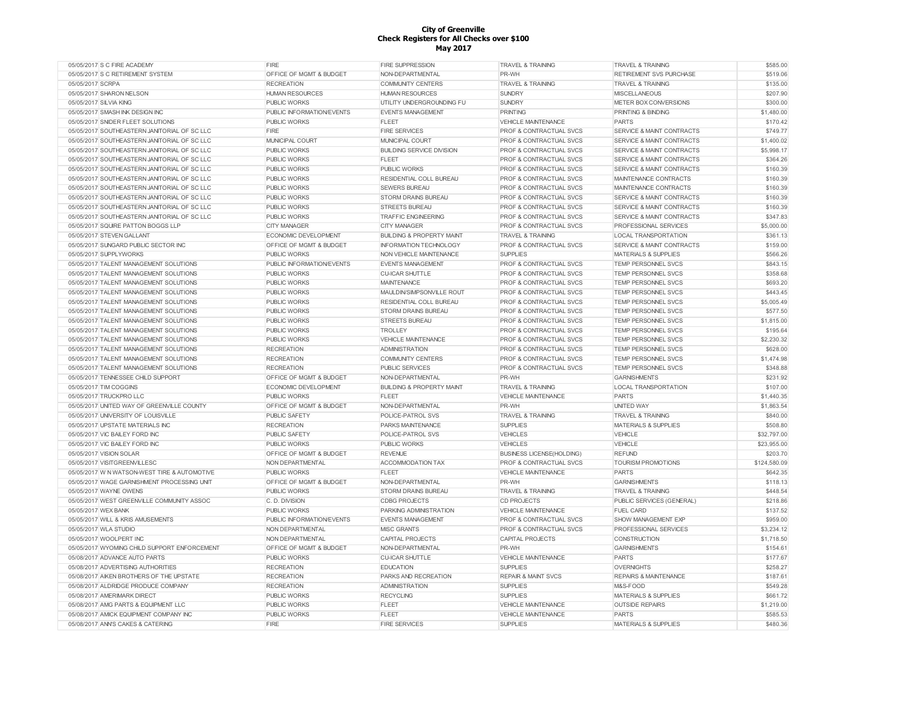| 05/05/2017 S C FIRE ACADEMY                  | FIRE                        | <b>FIRE SUPPRESSION</b>              | <b>TRAVEL &amp; TRAINING</b>       | <b>TRAVEL &amp; TRAINING</b>         | \$585.00     |
|----------------------------------------------|-----------------------------|--------------------------------------|------------------------------------|--------------------------------------|--------------|
| 05/05/2017 S C RETIREMENT SYSTEM             | OFFICE OF MGMT & BUDGET     | NON-DEPARTMENTAL                     | PR-WH                              | RETIREMENT SVS PURCHASE              | \$519.06     |
| 05/05/2017 SCRPA                             | <b>RECREATION</b>           | <b>COMMUNITY CENTERS</b>             | <b>TRAVEL &amp; TRAINING</b>       | <b>TRAVEL &amp; TRAINING</b>         | \$135.00     |
| 05/05/2017 SHARON NELSON                     | <b>HUMAN RESOURCES</b>      | <b>HUMAN RESOURCES</b>               | <b>SUNDRY</b>                      | <b>MISCELLANEOUS</b>                 | \$207.90     |
| 05/05/2017 SILVIA KING                       | <b>PUBLIC WORKS</b>         | UTILITY UNDERGROUNDING FU            | <b>SUNDRY</b>                      | METER BOX CONVERSIONS                | \$300.00     |
| 05/05/2017 SMASH INK DESIGN INC              | PUBLIC INFORMATION/EVENTS   | <b>EVENTS MANAGEMENT</b>             | <b>PRINTING</b>                    | PRINTING & BINDING                   | \$1,480.00   |
| 05/05/2017 SNIDER FLEET SOLUTIONS            | PUBLIC WORKS                | <b>FLEET</b>                         | <b>VEHICLE MAINTENANCE</b>         | <b>PARTS</b>                         | \$170.42     |
| 05/05/2017 SOUTHEASTERN JANITORIAL OF SC LLC | <b>FIRE</b>                 | <b>FIRE SERVICES</b>                 | <b>PROF &amp; CONTRACTUAL SVCS</b> | <b>SERVICE &amp; MAINT CONTRACTS</b> | \$749.77     |
| 05/05/2017 SOUTHEASTERN JANITORIAL OF SC LLC | MUNICIPAL COURT             | MUNICIPAL COURT                      | <b>PROF &amp; CONTRACTUAL SVCS</b> | <b>SERVICE &amp; MAINT CONTRACTS</b> | \$1,400.02   |
| 05/05/2017 SOUTHEASTERN JANITORIAL OF SC LLC | <b>PUBLIC WORKS</b>         | <b>BUILDING SERVICE DIVISION</b>     | <b>PROF &amp; CONTRACTUAL SVCS</b> | <b>SERVICE &amp; MAINT CONTRACTS</b> | \$5,998.17   |
| 05/05/2017 SOUTHEASTERN JANITORIAL OF SC LLC | <b>PUBLIC WORKS</b>         | <b>FLEET</b>                         | PROF & CONTRACTUAL SVCS            | <b>SERVICE &amp; MAINT CONTRACTS</b> | \$364.26     |
| 05/05/2017 SOUTHEASTERN JANITORIAL OF SC LLC | <b>PUBLIC WORKS</b>         | <b>PUBLIC WORKS</b>                  | <b>PROF &amp; CONTRACTUAL SVCS</b> | <b>SERVICE &amp; MAINT CONTRACTS</b> | \$160.39     |
| 05/05/2017 SOUTHEASTERN JANITORIAL OF SC LLC | <b>PUBLIC WORKS</b>         | RESIDENTIAL COLL BUREAU              | <b>PROF &amp; CONTRACTUAL SVCS</b> | MAINTENANCE CONTRACTS                | \$160.39     |
| 05/05/2017 SOUTHEASTERN JANITORIAL OF SC LLC | <b>PUBLIC WORKS</b>         | <b>SEWERS BUREAU</b>                 | <b>PROF &amp; CONTRACTUAL SVCS</b> | MAINTENANCE CONTRACTS                | \$160.39     |
| 05/05/2017 SOUTHEASTERN JANITORIAL OF SC LLC | <b>PUBLIC WORKS</b>         | STORM DRAINS BUREAU                  | <b>PROF &amp; CONTRACTUAL SVCS</b> | <b>SERVICE &amp; MAINT CONTRACTS</b> | \$160.39     |
| 05/05/2017 SOUTHEASTERN JANITORIAL OF SC LLC | <b>PUBLIC WORKS</b>         | <b>STREETS BUREAU</b>                | <b>PROF &amp; CONTRACTUAL SVCS</b> | <b>SERVICE &amp; MAINT CONTRACTS</b> | \$160.39     |
| 05/05/2017 SOUTHEASTERN JANITORIAL OF SC LLC | <b>PUBLIC WORKS</b>         | <b>TRAFFIC ENGINEERING</b>           | PROF & CONTRACTUAL SVCS            | <b>SERVICE &amp; MAINT CONTRACTS</b> | \$347.83     |
| 05/05/2017 SQUIRE PATTON BOGGS LLP           | <b>CITY MANAGER</b>         | <b>CITY MANAGER</b>                  | PROF & CONTRACTUAL SVCS            | PROFESSIONAL SERVICES                | \$5,000.00   |
| 05/05/2017 STEVEN GALLANT                    | ECONOMIC DEVELOPMENT        | <b>BUILDING &amp; PROPERTY MAINT</b> | <b>TRAVEL &amp; TRAINING</b>       | <b>LOCAL TRANSPORTATION</b>          | \$361.13     |
|                                              |                             |                                      |                                    |                                      |              |
| 05/05/2017 SUNGARD PUBLIC SECTOR INC         | OFFICE OF MGMT & BUDGET     | INFORMATION TECHNOLOGY               | PROF & CONTRACTUAL SVCS            | SERVICE & MAINT CONTRACTS            | \$159.00     |
| 05/05/2017 SUPPLYWORKS                       | PUBLIC WORKS                | NON VEHICLE MAINTENANCE              | <b>SUPPLIES</b>                    | <b>MATERIALS &amp; SUPPLIES</b>      | \$566.26     |
| 05/05/2017 TALENT MANAGEMENT SOLUTIONS       | PUBLIC INFORMATION/EVENTS   | <b>EVENTS MANAGEMENT</b>             | <b>PROF &amp; CONTRACTUAL SVCS</b> | <b>TEMP PERSONNEL SVCS</b>           | \$843.15     |
| 05/05/2017 TALENT MANAGEMENT SOLUTIONS       | PUBLIC WORKS                | <b>CU-ICAR SHUTTLE</b>               | PROF & CONTRACTUAL SVCS            | TEMP PERSONNEL SVCS                  | \$358.68     |
| 05/05/2017 TALENT MANAGEMENT SOLUTIONS       | <b>PUBLIC WORKS</b>         | <b>MAINTENANCE</b>                   | PROF & CONTRACTUAL SVCS            | TEMP PERSONNEL SVCS                  | \$693.20     |
| 05/05/2017 TALENT MANAGEMENT SOLUTIONS       | <b>PUBLIC WORKS</b>         | MAULDIN/SIMPSONVILLE ROUT            | PROF & CONTRACTUAL SVCS            | TEMP PERSONNEL SVCS                  | \$443.45     |
| 05/05/2017 TALENT MANAGEMENT SOLUTIONS       | <b>PUBLIC WORKS</b>         | RESIDENTIAL COLL BUREAU              | <b>PROF &amp; CONTRACTUAL SVCS</b> | <b>TEMP PERSONNEL SVCS</b>           | \$5,005.49   |
| 05/05/2017 TALENT MANAGEMENT SOLUTIONS       | <b>PUBLIC WORKS</b>         | <b>STORM DRAINS BUREAU</b>           | PROF & CONTRACTUAL SVCS            | <b>TEMP PERSONNEL SVCS</b>           | \$577.50     |
| 05/05/2017 TALENT MANAGEMENT SOLUTIONS       | <b>PUBLIC WORKS</b>         | <b>STREETS BUREAU</b>                | PROF & CONTRACTUAL SVCS            | TEMP PERSONNEL SVCS                  | \$1,815.00   |
| 05/05/2017 TALENT MANAGEMENT SOLUTIONS       | <b>PUBLIC WORKS</b>         | <b>TROLLEY</b>                       | <b>PROF &amp; CONTRACTUAL SVCS</b> | TEMP PERSONNEL SVCS                  | \$195.64     |
| 05/05/2017 TALENT MANAGEMENT SOLUTIONS       | <b>PUBLIC WORKS</b>         | <b>VEHICLE MAINTENANCE</b>           | PROF & CONTRACTUAL SVCS            | <b>TEMP PERSONNEL SVCS</b>           | \$2,230.32   |
| 05/05/2017 TALENT MANAGEMENT SOLUTIONS       | <b>RECREATION</b>           | <b>ADMINISTRATION</b>                | PROF & CONTRACTUAL SVCS            | TEMP PERSONNEL SVCS                  | \$628.00     |
| 05/05/2017 TALENT MANAGEMENT SOLUTIONS       | <b>RECREATION</b>           | <b>COMMUNITY CENTERS</b>             | <b>PROF &amp; CONTRACTUAL SVCS</b> | TEMP PERSONNEL SVCS                  | \$1,474.98   |
| 05/05/2017 TALENT MANAGEMENT SOLUTIONS       | <b>RECREATION</b>           | <b>PUBLIC SERVICES</b>               | PROF & CONTRACTUAL SVCS            | TEMP PERSONNEL SVCS                  | \$348.88     |
| 05/05/2017 TENNESSEE CHILD SUPPORT           | OFFICE OF MGMT & BUDGET     | NON-DEPARTMENTAL                     | PR-WH                              | <b>GARNISHMENTS</b>                  | \$231.92     |
| 05/05/2017 TIM COGGINS                       | <b>ECONOMIC DEVELOPMENT</b> | <b>BUILDING &amp; PROPERTY MAINT</b> | <b>TRAVEL &amp; TRAINING</b>       | LOCAL TRANSPORTATION                 | \$107.00     |
| 05/05/2017 TRUCKPRO LLC                      | <b>PUBLIC WORKS</b>         | <b>FLEET</b>                         | <b>VEHICLE MAINTENANCE</b>         | <b>PARTS</b>                         | \$1,440.35   |
| 05/05/2017 UNITED WAY OF GREENVILLE COUNTY   | OFFICE OF MGMT & BUDGET     | NON-DEPARTMENTAL                     | PR-WH                              | <b>UNITED WAY</b>                    | \$1,863.54   |
| 05/05/2017 UNIVERSITY OF LOUISVILLE          | <b>PUBLIC SAFETY</b>        | POLICE-PATROL SVS                    | <b>TRAVEL &amp; TRAINING</b>       | <b>TRAVEL &amp; TRAINING</b>         | \$840.00     |
| 05/05/2017 UPSTATE MATERIALS INC             | <b>RECREATION</b>           | PARKS MAINTENANCE                    | <b>SUPPLIES</b>                    | <b>MATERIALS &amp; SUPPLIES</b>      | \$508.80     |
| 05/05/2017 VIC BAILEY FORD INC               | PUBLIC SAFETY               | POLICE-PATROL SVS                    | <b>VEHICLES</b>                    | <b>VEHICLE</b>                       | \$32,797.00  |
| 05/05/2017 VIC BAILEY FORD INC               | <b>PUBLIC WORKS</b>         | <b>PUBLIC WORKS</b>                  | <b>VEHICLES</b>                    | <b>VEHICLE</b>                       | \$23,955.00  |
| 05/05/2017 VISION SOLAR                      | OFFICE OF MGMT & BUDGET     | <b>REVENUE</b>                       | <b>BUSINESS LICENSE(HOLDING)</b>   | <b>REFUND</b>                        | \$203.70     |
| 05/05/2017 VISITGREENVILLESC                 | NON DEPARTMENTAL            | ACCOMMODATION TAX                    | PROF & CONTRACTUAL SVCS            | TOURISM PROMOTIONS                   | \$124,580.09 |
| 05/05/2017 W N WATSON-WEST TIRE & AUTOMOTIVE | <b>PUBLIC WORKS</b>         | <b>FLEET</b>                         | <b>VEHICLE MAINTENANCE</b>         | PARTS                                | \$642.35     |
| 05/05/2017 WAGE GARNISHMENT PROCESSING UNIT  | OFFICE OF MGMT & BUDGET     | NON-DEPARTMENTAL                     | PR-WH                              | <b>GARNISHMENTS</b>                  | \$118.13     |
| 05/05/2017 WAYNE OWENS                       | <b>PUBLIC WORKS</b>         | <b>STORM DRAINS BUREAU</b>           | <b>TRAVEL &amp; TRAINING</b>       | <b>TRAVEL &amp; TRAINING</b>         | \$448.54     |
| 05/05/2017 WEST GREENVILLE COMMUNITY ASSOC   | C. D. DIVISION              | <b>CDBG PROJECTS</b>                 | <b>CD PROJECTS</b>                 | PUBLIC SERVICES (GENERAL)            | \$218.86     |
| 05/05/2017 WEX BANK                          | <b>PUBLIC WORKS</b>         | PARKING ADMINISTRATION               | VEHICLE MAINTENANCE                | <b>FUEL CARD</b>                     | \$137.52     |
| 05/05/2017 WILL & KRIS AMUSEMENTS            | PUBLIC INFORMATION/EVENTS   | <b>EVENTS MANAGEMENT</b>             | PROF & CONTRACTUAL SVCS            | SHOW MANAGEMENT EXP                  | \$959.00     |
|                                              |                             | <b>MISC GRANTS</b>                   |                                    |                                      | \$3,234.12   |
| 05/05/2017 WLA STUDIO                        | NON DEPARTMENTAL            |                                      | <b>PROF &amp; CONTRACTUAL SVCS</b> | PROFESSIONAL SERVICES                | \$1,718.50   |
| 05/05/2017 WOOLPERT INC                      | NON DEPARTMENTAL            | CAPITAL PROJECTS                     | CAPITAL PROJECTS                   | CONSTRUCTION                         |              |
| 05/05/2017 WYOMING CHILD SUPPORT ENFORCEMENT | OFFICE OF MGMT & BUDGET     | NON-DEPARTMENTAL                     | PR-WH                              | <b>GARNISHMENTS</b>                  | \$154.61     |
| 05/08/2017 ADVANCE AUTO PARTS                | <b>PUBLIC WORKS</b>         | <b>CU-ICAR SHUTTLE</b>               | <b>VEHICLE MAINTENANCE</b>         | <b>PARTS</b>                         | \$177.67     |
| 05/08/2017 ADVERTISING AUTHORITIES           | <b>RECREATION</b>           | <b>EDUCATION</b>                     | <b>SUPPLIES</b>                    | <b>OVERNIGHTS</b>                    | \$258.27     |
| 05/08/2017 AIKEN BROTHERS OF THE UPSTATE     | <b>RECREATION</b>           | PARKS AND RECREATION                 | <b>REPAIR &amp; MAINT SVCS</b>     | <b>REPAIRS &amp; MAINTENANCE</b>     | \$187.61     |
| 05/08/2017 ALDRIDGE PRODUCE COMPANY          | <b>RECREATION</b>           | <b>ADMINISTRATION</b>                | <b>SUPPLIES</b>                    | M&S-FOOD                             | \$549.28     |
| 05/08/2017 AMERIMARK DIRECT                  | PUBLIC WORKS                | <b>RECYCLING</b>                     | <b>SUPPLIES</b>                    | <b>MATERIALS &amp; SUPPLIES</b>      | \$661.72     |
| 05/08/2017 AMG PARTS & EQUIPMENT LLC         | PUBLIC WORKS                | <b>FLEET</b>                         | <b>VEHICLE MAINTENANCE</b>         | <b>OUTSIDE REPAIRS</b>               | \$1,219.00   |
| 05/08/2017 AMICK EQUIPMENT COMPANY INC       | <b>PUBLIC WORKS</b>         | <b>FLEET</b>                         | VEHICLE MAINTENANCE                | <b>PARTS</b>                         | \$585.53     |
| 05/08/2017 ANN'S CAKES & CATERING            | <b>FIRE</b>                 | <b>FIRE SERVICES</b>                 | <b>SUPPLIES</b>                    | <b>MATERIALS &amp; SUPPLIES</b>      | \$480.36     |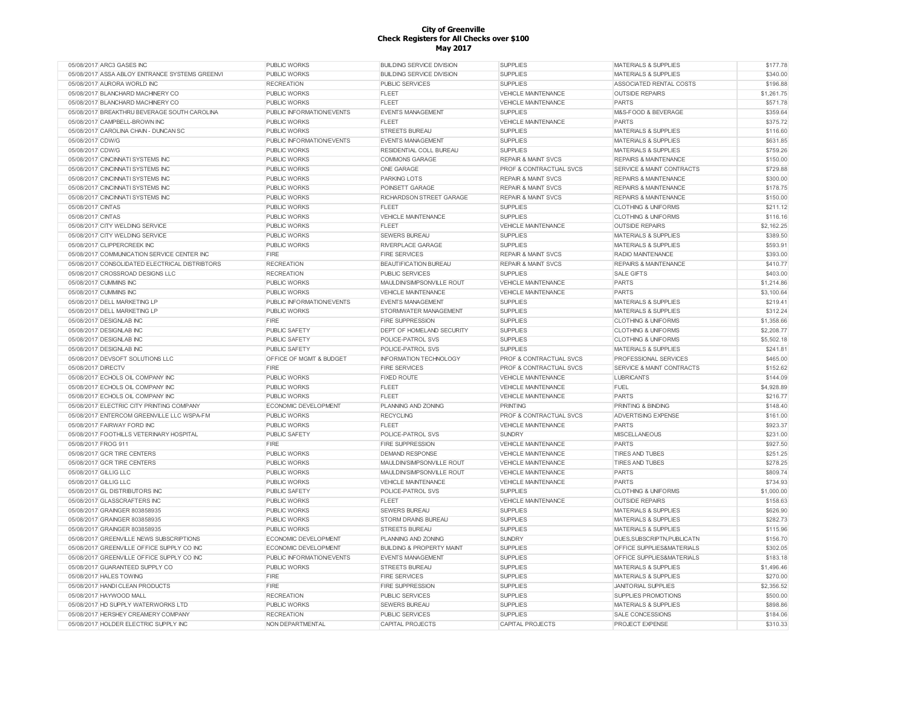| 05/08/2017 ARC3 GASES INC                      | PUBLIC WORKS              | <b>BUILDING SERVICE DIVISION</b>     | <b>SUPPLIES</b>                    | <b>MATERIALS &amp; SUPPLIES</b>      | \$177.78   |
|------------------------------------------------|---------------------------|--------------------------------------|------------------------------------|--------------------------------------|------------|
| 05/08/2017 ASSA ABLOY ENTRANCE SYSTEMS GREENVI | PUBLIC WORKS              | <b>BUILDING SERVICE DIVISION</b>     | <b>SUPPLIES</b>                    | <b>MATERIALS &amp; SUPPLIES</b>      | \$340.00   |
| 05/08/2017 AURORA WORLD INC                    | <b>RECREATION</b>         | <b>PUBLIC SERVICES</b>               | <b>SUPPLIES</b>                    | ASSOCIATED RENTAL COSTS              | \$196.88   |
| 05/08/2017 BLANCHARD MACHINERY CO              | PUBLIC WORKS              | FLEET                                | VEHICLE MAINTENANCE                | <b>OUTSIDE REPAIRS</b>               | \$1,261.75 |
| 05/08/2017 BLANCHARD MACHINERY CO              | PUBLIC WORKS              | <b>FLEET</b>                         | <b>VEHICLE MAINTENANCE</b>         | <b>PARTS</b>                         | \$571.78   |
| 05/08/2017 BREAKTHRU BEVERAGE SOUTH CAROLINA   | PUBLIC INFORMATION/EVENTS | <b>EVENTS MANAGEMENT</b>             | <b>SUPPLIES</b>                    | M&S-FOOD & BEVERAGE                  | \$359.64   |
| 05/08/2017 CAMPBELL-BROWN INC                  | <b>PUBLIC WORKS</b>       | <b>FLEET</b>                         | <b>VEHICLE MAINTENANCE</b>         | <b>PARTS</b>                         | \$375.72   |
| 05/08/2017 CAROLINA CHAIN - DUNCAN SC          | <b>PUBLIC WORKS</b>       | <b>STREETS BUREAU</b>                | <b>SUPPLIES</b>                    | <b>MATERIALS &amp; SUPPLIES</b>      | \$116.60   |
| 05/08/2017 CDW/G                               | PUBLIC INFORMATION/EVENTS | <b>EVENTS MANAGEMENT</b>             | <b>SUPPLIES</b>                    | <b>MATERIALS &amp; SUPPLIES</b>      | \$631.85   |
| 05/08/2017 CDW/G                               | <b>PUBLIC WORKS</b>       | RESIDENTIAL COLL BUREAU              | <b>SUPPLIES</b>                    | <b>MATERIALS &amp; SUPPLIES</b>      | \$759.26   |
| 05/08/2017 CINCINNATI SYSTEMS INC              | <b>PUBLIC WORKS</b>       | <b>COMMONS GARAGE</b>                | <b>REPAIR &amp; MAINT SVCS</b>     | <b>REPAIRS &amp; MAINTENANCE</b>     | \$150.00   |
| 05/08/2017 CINCINNATI SYSTEMS INC              | <b>PUBLIC WORKS</b>       | ONE GARAGE                           | <b>PROF &amp; CONTRACTUAL SVCS</b> | <b>SERVICE &amp; MAINT CONTRACTS</b> | \$729.88   |
|                                                |                           |                                      |                                    |                                      | \$300.00   |
| 05/08/2017 CINCINNATI SYSTEMS INC              | <b>PUBLIC WORKS</b>       | <b>PARKING LOTS</b>                  | <b>REPAIR &amp; MAINT SVCS</b>     | <b>REPAIRS &amp; MAINTENANCE</b>     |            |
| 05/08/2017 CINCINNATI SYSTEMS INC              | PUBLIC WORKS              | POINSETT GARAGE                      | <b>REPAIR &amp; MAINT SVCS</b>     | <b>REPAIRS &amp; MAINTENANCE</b>     | \$178.75   |
| 05/08/2017 CINCINNATI SYSTEMS INC              | <b>PUBLIC WORKS</b>       | RICHARDSON STREET GARAGE             | <b>REPAIR &amp; MAINT SVCS</b>     | <b>REPAIRS &amp; MAINTENANCE</b>     | \$150.00   |
| 05/08/2017 CINTAS                              | PUBLIC WORKS              | FLEET                                | <b>SUPPLIES</b>                    | <b>CLOTHING &amp; UNIFORMS</b>       | \$211.12   |
| 05/08/2017 CINTAS                              | PUBLIC WORKS              | <b>VEHICLE MAINTENANCE</b>           | <b>SUPPLIES</b>                    | <b>CLOTHING &amp; UNIFORMS</b>       | \$116.16   |
| 05/08/2017 CITY WELDING SERVICE                | PUBLIC WORKS              | FLEET                                | <b>VEHICLE MAINTENANCE</b>         | <b>OUTSIDE REPAIRS</b>               | \$2,162.25 |
| 05/08/2017 CITY WELDING SERVICE                | <b>PUBLIC WORKS</b>       | <b>SEWERS BUREAU</b>                 | <b>SUPPLIES</b>                    | <b>MATERIALS &amp; SUPPLIES</b>      | \$389.50   |
| 05/08/2017 CLIPPERCREEK INC                    | <b>PUBLIC WORKS</b>       | <b>RIVERPLACE GARAGE</b>             | <b>SUPPLIES</b>                    | <b>MATERIALS &amp; SUPPLIES</b>      | \$593.91   |
| 05/08/2017 COMMUNICATION SERVICE CENTER INC    | <b>FIRE</b>               | <b>FIRE SERVICES</b>                 | <b>REPAIR &amp; MAINT SVCS</b>     | <b>RADIO MAINTENANCE</b>             | \$393.00   |
| 05/08/2017 CONSOLIDATED ELECTRICAL DISTRIBTORS | <b>RECREATION</b>         | <b>BEAUTIFICATION BUREAU</b>         | <b>REPAIR &amp; MAINT SVCS</b>     | <b>REPAIRS &amp; MAINTENANCE</b>     | \$410.77   |
| 05/08/2017 CROSSROAD DESIGNS LLC               | <b>RECREATION</b>         | <b>PUBLIC SERVICES</b>               | <b>SUPPLIES</b>                    | <b>SALE GIFTS</b>                    | \$403.00   |
| 05/08/2017 CUMMINS INC                         | <b>PUBLIC WORKS</b>       | MAULDIN/SIMPSONVILLE ROUT            | <b>VEHICLE MAINTENANCE</b>         | <b>PARTS</b>                         | \$1,214.86 |
| 05/08/2017 CUMMINS INC                         | <b>PUBLIC WORKS</b>       | <b>VEHICLE MAINTENANCE</b>           | <b>VEHICLE MAINTENANCE</b>         | <b>PARTS</b>                         | \$3,100.64 |
| 05/08/2017 DELL MARKETING LP                   | PUBLIC INFORMATION/EVENTS | <b>EVENTS MANAGEMENT</b>             | <b>SUPPLIES</b>                    | <b>MATERIALS &amp; SUPPLIES</b>      | \$219.41   |
| 05/08/2017 DELL MARKETING LP                   | <b>PUBLIC WORKS</b>       | STORMWATER MANAGEMENT                | <b>SUPPLIES</b>                    | <b>MATERIALS &amp; SUPPLIES</b>      | \$312.24   |
| 05/08/2017 DESIGNLAB INC                       | <b>FIRE</b>               | <b>FIRE SUPPRESSION</b>              | <b>SUPPLIES</b>                    | <b>CLOTHING &amp; UNIFORMS</b>       | \$1,358.66 |
|                                                |                           |                                      |                                    |                                      |            |
| 05/08/2017 DESIGNLAB INC                       | PUBLIC SAFETY             | <b>DEPT OF HOMELAND SECURITY</b>     | <b>SUPPLIES</b>                    | <b>CLOTHING &amp; UNIFORMS</b>       | \$2,208.77 |
| 05/08/2017 DESIGNLAB INC                       | <b>PUBLIC SAFETY</b>      | POLICE-PATROL SVS                    | <b>SUPPLIES</b>                    | <b>CLOTHING &amp; UNIFORMS</b>       | \$5,502.18 |
| 05/08/2017 DESIGNLAB INC                       | PUBLIC SAFETY             | POLICE-PATROL SVS                    | <b>SUPPLIES</b>                    | <b>MATERIALS &amp; SUPPLIES</b>      | \$241.81   |
| 05/08/2017 DEVSOFT SOLUTIONS LLC               | OFFICE OF MGMT & BUDGET   | <b>INFORMATION TECHNOLOGY</b>        | PROF & CONTRACTUAL SVCS            | PROFESSIONAL SERVICES                | \$465.00   |
| 05/08/2017 DIRECTV                             | FIRE                      | <b>FIRE SERVICES</b>                 | PROF & CONTRACTUAL SVCS            | SERVICE & MAINT CONTRACTS            | \$152.62   |
| 05/08/2017 ECHOLS OIL COMPANY INC              | <b>PUBLIC WORKS</b>       | <b>FIXED ROUTE</b>                   | <b>VEHICLE MAINTENANCE</b>         | <b>LUBRICANTS</b>                    | \$144.09   |
| 05/08/2017 ECHOLS OIL COMPANY INC              | PUBLIC WORKS              | <b>FLEET</b>                         | <b>VEHICLE MAINTENANCE</b>         | <b>FUEL</b>                          | \$4,928.89 |
| 05/08/2017 ECHOLS OIL COMPANY INC              | PUBLIC WORKS              | <b>FLEET</b>                         | <b>VEHICLE MAINTENANCE</b>         | <b>PARTS</b>                         | \$216.77   |
| 05/08/2017 ELECTRIC CITY PRINTING COMPANY      | ECONOMIC DEVELOPMENT      | PLANNING AND ZONING                  | PRINTING                           | PRINTING & BINDING                   | \$148.40   |
| 05/08/2017 ENTERCOM GREENVILLE LLC WSPA-FM     | PUBLIC WORKS              | <b>RECYCLING</b>                     | PROF & CONTRACTUAL SVCS            | <b>ADVERTISING EXPENSE</b>           | \$161.00   |
| 05/08/2017 FAIRWAY FORD INC                    | <b>PUBLIC WORKS</b>       | <b>FLEET</b>                         | <b>VEHICLE MAINTENANCE</b>         | <b>PARTS</b>                         | \$923.37   |
| 05/08/2017 FOOTHILLS VETERINARY HOSPITAL       | PUBLIC SAFETY             | POLICE-PATROL SVS                    | <b>SUNDRY</b>                      | <b>MISCELLANEOUS</b>                 | \$231.00   |
| 05/08/2017 FROG 911                            | <b>FIRE</b>               | <b>FIRE SUPPRESSION</b>              | <b>VEHICLE MAINTENANCE</b>         | PARTS                                | \$927.50   |
| 05/08/2017 GCR TIRE CENTERS                    | <b>PUBLIC WORKS</b>       | <b>DEMAND RESPONSE</b>               | <b>VEHICLE MAINTENANCE</b>         | <b>TIRES AND TUBES</b>               | \$251.25   |
| 05/08/2017 GCR TIRE CENTERS                    | <b>PUBLIC WORKS</b>       | MAULDIN/SIMPSONVILLE ROUT            | <b>VEHICLE MAINTENANCE</b>         | <b>TIRES AND TUBES</b>               | \$278.25   |
| 05/08/2017 GILLIG LLC                          | <b>PUBLIC WORKS</b>       | MAULDIN/SIMPSONVILLE ROUT            | <b>VEHICLE MAINTENANCE</b>         | PARTS                                | \$809.74   |
| 05/08/2017 GILLIG LLC                          | <b>PUBLIC WORKS</b>       | <b>VEHICLE MAINTENANCE</b>           | <b>VEHICLE MAINTENANCE</b>         | <b>PARTS</b>                         | \$734.93   |
| 05/08/2017 GL DISTRIBUTORS INC                 | PUBLIC SAFETY             | POLICE-PATROL SVS                    | <b>SUPPLIES</b>                    | <b>CLOTHING &amp; UNIFORMS</b>       | \$1,000.00 |
| 05/08/2017 GLASSCRAFTERS INC                   | <b>PUBLIC WORKS</b>       | <b>FLEET</b>                         | <b>VEHICLE MAINTENANCE</b>         | <b>OUTSIDE REPAIRS</b>               | \$158.63   |
|                                                |                           |                                      |                                    |                                      |            |
| 05/08/2017 GRAINGER 803858935                  | PUBLIC WORKS              | <b>SEWERS BUREAU</b>                 | <b>SUPPLIES</b>                    | <b>MATERIALS &amp; SUPPLIES</b>      | \$626.90   |
| 05/08/2017 GRAINGER 803858935                  | PUBLIC WORKS              | STORM DRAINS BUREAU                  | <b>SUPPLIES</b>                    | MATERIALS & SUPPLIES                 | \$282.73   |
| 05/08/2017 GRAINGER 803858935                  | PUBLIC WORKS              | <b>STREETS BUREAU</b>                | <b>SUPPLIES</b>                    | <b>MATERIALS &amp; SUPPLIES</b>      | \$115.96   |
| 05/08/2017 GREENVILLE NEWS SUBSCRIPTIONS       | ECONOMIC DEVELOPMENT      | PLANNING AND ZONING                  | <b>SUNDRY</b>                      | DUES, SUBSCRIPTN, PUBLICATN          | \$156.70   |
| 05/08/2017 GREENVILLE OFFICE SUPPLY CO INC     | ECONOMIC DEVELOPMENT      | <b>BUILDING &amp; PROPERTY MAINT</b> | <b>SUPPLIES</b>                    | OFFICE SUPPLIES&MATERIALS            | \$302.05   |
| 05/08/2017 GREENVILLE OFFICE SUPPLY CO INC     | PUBLIC INFORMATION/EVENTS | <b>EVENTS MANAGEMENT</b>             | <b>SUPPLIES</b>                    | OFFICE SUPPLIES&MATERIALS            | \$183.18   |
| 05/08/2017 GUARANTEED SUPPLY CO                | <b>PUBLIC WORKS</b>       | <b>STREETS BUREAU</b>                | <b>SUPPLIES</b>                    | <b>MATERIALS &amp; SUPPLIES</b>      | \$1,496.46 |
| 05/08/2017 HALES TOWING                        | FIRE                      | <b>FIRE SERVICES</b>                 | <b>SUPPLIES</b>                    | <b>MATERIALS &amp; SUPPLIES</b>      | \$270.00   |
| 05/08/2017 HANDI CLEAN PRODUCTS                | FIRE                      | <b>FIRE SUPPRESSION</b>              | <b>SUPPLIES</b>                    | <b>JANITORIAL SUPPLIES</b>           | \$2,356.52 |
| 05/08/2017 HAYWOOD MALL                        | <b>RECREATION</b>         | <b>PUBLIC SERVICES</b>               | <b>SUPPLIES</b>                    | <b>SUPPLIES PROMOTIONS</b>           | \$500.00   |
| 05/08/2017 HD SUPPLY WATERWORKS LTD            | PUBLIC WORKS              | SEWERS BUREAU                        | <b>SUPPLIES</b>                    | <b>MATERIALS &amp; SUPPLIES</b>      | \$898.86   |
| 05/08/2017 HERSHEY CREAMERY COMPANY            | <b>RECREATION</b>         | PUBLIC SERVICES                      | <b>SUPPLIES</b>                    | SALE CONCESSIONS                     | \$184.06   |
| 05/08/2017 HOLDER ELECTRIC SUPPLY INC          | NON DEPARTMENTAL          | CAPITAL PROJECTS                     | CAPITAL PROJECTS                   | PROJECT EXPENSE                      | \$310.33   |
|                                                |                           |                                      |                                    |                                      |            |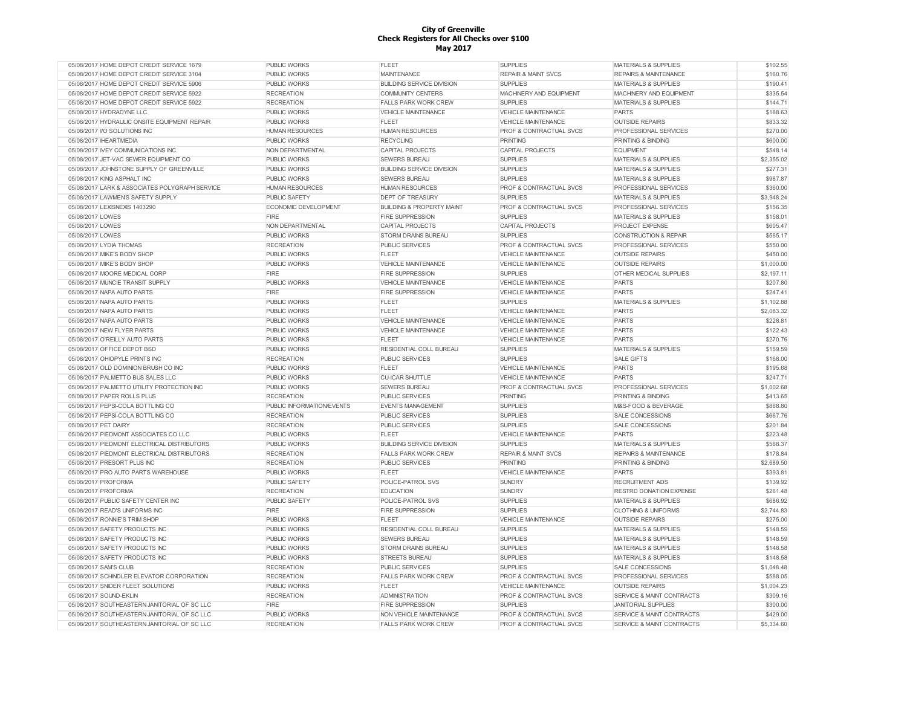| 05/08/2017 HOME DEPOT CREDIT SERVICE 1679      | <b>PUBLIC WORKS</b>       | <b>FLEET</b>                         | <b>SUPPLIES</b>                    | <b>MATERIALS &amp; SUPPLIES</b>      | \$102.55   |
|------------------------------------------------|---------------------------|--------------------------------------|------------------------------------|--------------------------------------|------------|
| 05/08/2017 HOME DEPOT CREDIT SERVICE 3104      | <b>PUBLIC WORKS</b>       | <b>MAINTENANCE</b>                   | <b>REPAIR &amp; MAINT SVCS</b>     | <b>REPAIRS &amp; MAINTENANCE</b>     | \$160.76   |
| 05/08/2017 HOME DEPOT CREDIT SERVICE 5906      | <b>PUBLIC WORKS</b>       | <b>BUILDING SERVICE DIVISION</b>     | <b>SUPPLIES</b>                    | <b>MATERIALS &amp; SUPPLIES</b>      | \$190.41   |
| 05/08/2017 HOME DEPOT CREDIT SERVICE 5922      | <b>RECREATION</b>         | <b>COMMUNITY CENTERS</b>             | MACHINERY AND EQUIPMENT            | MACHINERY AND EQUIPMENT              | \$335.54   |
| 05/08/2017 HOME DEPOT CREDIT SERVICE 5922      | <b>RECREATION</b>         | <b>FALLS PARK WORK CREW</b>          | <b>SUPPLIES</b>                    | <b>MATERIALS &amp; SUPPLIES</b>      | \$144.71   |
| 05/08/2017 HYDRADYNE LLC                       | <b>PUBLIC WORKS</b>       | <b>VEHICLE MAINTENANCE</b>           | <b>VEHICLE MAINTENANCE</b>         | <b>PARTS</b>                         | \$188.63   |
| 05/08/2017 HYDRAULIC ONSITE EQUIPMENT REPAIR   | <b>PUBLIC WORKS</b>       | <b>FLEET</b>                         | <b>VEHICLE MAINTENANCE</b>         | <b>OUTSIDE REPAIRS</b>               | \$833.32   |
| 05/08/2017 I/O SOLUTIONS INC                   | <b>HUMAN RESOURCES</b>    | <b>HUMAN RESOURCES</b>               | PROF & CONTRACTUAL SVCS            | PROFESSIONAL SERVICES                | \$270.00   |
| 05/08/2017 IHEARTMEDIA                         | <b>PUBLIC WORKS</b>       | <b>RECYCLING</b>                     | <b>PRINTING</b>                    | PRINTING & BINDING                   | \$600.00   |
| 05/08/2017 IVEY COMMUNICATIONS INC             | NON DEPARTMENTAL          | <b>CAPITAL PROJECTS</b>              | <b>CAPITAL PROJECTS</b>            | <b>EQUIPMENT</b>                     | \$548.14   |
| 05/08/2017 JET-VAC SEWER EQUIPMENT CO          | <b>PUBLIC WORKS</b>       | <b>SEWERS BUREAU</b>                 | <b>SUPPLIES</b>                    | <b>MATERIALS &amp; SUPPLIES</b>      | \$2,355.02 |
| 05/08/2017 JOHNSTONE SUPPLY OF GREENVILLE      | <b>PUBLIC WORKS</b>       | <b>BUILDING SERVICE DIVISION</b>     | <b>SUPPLIES</b>                    | <b>MATERIALS &amp; SUPPLIES</b>      | \$277.31   |
| 05/08/2017 KING ASPHALT INC                    | <b>PUBLIC WORKS</b>       | <b>SEWERS BUREAU</b>                 | <b>SUPPLIES</b>                    | <b>MATERIALS &amp; SUPPLIES</b>      | \$987.87   |
| 05/08/2017 LARK & ASSOCIATES POLYGRAPH SERVICE | <b>HUMAN RESOURCES</b>    | <b>HUMAN RESOURCES</b>               | <b>PROF &amp; CONTRACTUAL SVCS</b> | PROFESSIONAL SERVICES                | \$360.00   |
| 05/08/2017 LAWMEN'S SAFETY SUPPLY              | PUBLIC SAFETY             | <b>DEPT OF TREASURY</b>              | <b>SUPPLIES</b>                    | <b>MATERIALS &amp; SUPPLIES</b>      | \$3,948.24 |
| 05/08/2017 LEXISNEXIS 1403290                  | ECONOMIC DEVELOPMENT      | <b>BUILDING &amp; PROPERTY MAINT</b> | <b>PROF &amp; CONTRACTUAL SVCS</b> | PROFESSIONAL SERVICES                | \$156.35   |
| 05/08/2017 LOWES                               | FIRE                      | <b>FIRE SUPPRESSION</b>              | <b>SUPPLIES</b>                    | <b>MATERIALS &amp; SUPPLIES</b>      | \$158.01   |
| 05/08/2017 LOWES                               | NON DEPARTMENTAL          | <b>CAPITAL PROJECTS</b>              | <b>CAPITAL PROJECTS</b>            | <b>PROJECT EXPENSE</b>               | \$605.47   |
| 05/08/2017 LOWES                               | <b>PUBLIC WORKS</b>       | <b>STORM DRAINS BUREAU</b>           | <b>SUPPLIES</b>                    | <b>CONSTRUCTION &amp; REPAIR</b>     | \$565.17   |
| 05/08/2017 LYDIA THOMAS                        | <b>RECREATION</b>         | <b>PUBLIC SERVICES</b>               | PROF & CONTRACTUAL SVCS            | PROFESSIONAL SERVICES                | \$550.00   |
| 05/08/2017 MIKE'S BODY SHOP                    | <b>PUBLIC WORKS</b>       | <b>FLEET</b>                         | <b>VEHICLE MAINTENANCE</b>         | <b>OUTSIDE REPAIRS</b>               | \$450.00   |
|                                                |                           |                                      |                                    |                                      |            |
| 05/08/2017 MIKE'S BODY SHOP                    | <b>PUBLIC WORKS</b>       | <b>VEHICLE MAINTENANCE</b>           | <b>VEHICLE MAINTENANCE</b>         | <b>OUTSIDE REPAIRS</b>               | \$1,000.00 |
| 05/08/2017 MOORE MEDICAL CORP                  | FIRE                      | <b>FIRE SUPPRESSION</b>              | <b>SUPPLIES</b>                    | OTHER MEDICAL SUPPLIES               | \$2,197.11 |
| 05/08/2017 MUNCIE TRANSIT SUPPLY               | PUBLIC WORKS              | VEHICLE MAINTENANCE                  | VEHICLE MAINTENANCE                | <b>PARTS</b>                         | \$207.80   |
| 05/08/2017 NAPA AUTO PARTS                     | <b>FIRE</b>               | <b>FIRE SUPPRESSION</b>              | <b>VEHICLE MAINTENANCE</b>         | <b>PARTS</b>                         | \$247.41   |
| 05/08/2017 NAPA AUTO PARTS                     | <b>PUBLIC WORKS</b>       | <b>FLEET</b>                         | <b>SUPPLIES</b>                    | MATERIALS & SUPPLIES                 | \$1,102.88 |
| 05/08/2017 NAPA AUTO PARTS                     | <b>PUBLIC WORKS</b>       | <b>FLEET</b>                         | <b>VEHICLE MAINTENANCE</b>         | PARTS                                | \$2,083.32 |
| 05/08/2017 NAPA AUTO PARTS                     | <b>PUBLIC WORKS</b>       | <b>VEHICLE MAINTENANCE</b>           | <b>VEHICLE MAINTENANCE</b>         | PARTS                                | \$228.81   |
| 05/08/2017 NEW FLYER PARTS                     | <b>PUBLIC WORKS</b>       | VEHICLE MAINTENANCE                  | <b>VEHICLE MAINTENANCE</b>         | PARTS                                | \$122.43   |
| 05/08/2017 O'REILLY AUTO PARTS                 | <b>PUBLIC WORKS</b>       | <b>FLEET</b>                         | <b>VEHICLE MAINTENANCE</b>         | PARTS                                | \$270.76   |
| 05/08/2017 OFFICE DEPOT BSD                    | <b>PUBLIC WORKS</b>       | RESIDENTIAL COLL BUREAU              | <b>SUPPLIES</b>                    | <b>MATERIALS &amp; SUPPLIES</b>      | \$159.59   |
| 05/08/2017 OHIOPYLE PRINTS INC                 | <b>RECREATION</b>         | <b>PUBLIC SERVICES</b>               | <b>SUPPLIES</b>                    | <b>SALE GIFTS</b>                    | \$168.00   |
| 05/08/2017 OLD DOMINION BRUSH CO INC           | <b>PUBLIC WORKS</b>       | <b>FLEET</b>                         | VEHICLE MAINTENANCE                | <b>PARTS</b>                         | \$195.68   |
| 05/08/2017 PALMETTO BUS SALES LLC              | <b>PUBLIC WORKS</b>       | <b>CU-ICAR SHUTTLE</b>               | <b>VEHICLE MAINTENANCE</b>         | <b>PARTS</b>                         | \$247.71   |
| 05/08/2017 PALMETTO UTILITY PROTECTION INC     | <b>PUBLIC WORKS</b>       | <b>SEWERS BUREAU</b>                 | <b>PROF &amp; CONTRACTUAL SVCS</b> | PROFESSIONAL SERVICES                | \$1,002.68 |
| 05/08/2017 PAPER ROLLS PLUS                    | <b>RECREATION</b>         | <b>PUBLIC SERVICES</b>               | <b>PRINTING</b>                    | <b>PRINTING &amp; BINDING</b>        | \$413.65   |
| 05/08/2017 PEPSI-COLA BOTTLING CO              | PUBLIC INFORMATION/EVENTS | <b>EVENTS MANAGEMENT</b>             | <b>SUPPLIES</b>                    | M&S-FOOD & BEVERAGE                  | \$868.80   |
| 05/08/2017 PEPSI-COLA BOTTLING CO              | <b>RECREATION</b>         | <b>PUBLIC SERVICES</b>               | <b>SUPPLIES</b>                    | <b>SALE CONCESSIONS</b>              | \$667.76   |
| 05/08/2017 PET DAIRY                           | <b>RECREATION</b>         | PUBLIC SERVICES                      | <b>SUPPLIES</b>                    | <b>SALE CONCESSIONS</b>              | \$201.84   |
| 05/08/2017 PIEDMONT ASSOCIATES CO LLC          | <b>PUBLIC WORKS</b>       | <b>FLEET</b>                         | VEHICLE MAINTENANCE                | <b>PARTS</b>                         | \$223.48   |
| 05/08/2017 PIEDMONT ELECTRICAL DISTRIBUTORS    | PUBLIC WORKS              | <b>BUILDING SERVICE DIVISION</b>     | <b>SUPPLIES</b>                    | MATERIALS & SUPPLIES                 | \$568.37   |
| 05/08/2017 PIEDMONT ELECTRICAL DISTRIBUTORS    | <b>RECREATION</b>         | <b>FALLS PARK WORK CREW</b>          | <b>REPAIR &amp; MAINT SVCS</b>     | REPAIRS & MAINTENANCE                | \$178.84   |
| 05/08/2017 PRESORT PLUS INC                    | <b>RECREATION</b>         | <b>PUBLIC SERVICES</b>               | <b>PRINTING</b>                    | PRINTING & BINDING                   | \$2,689.50 |
| 05/08/2017 PRO AUTO PARTS WAREHOUSE            | <b>PUBLIC WORKS</b>       | <b>FLEET</b>                         | <b>VEHICLE MAINTENANCE</b>         | <b>PARTS</b>                         | \$393.81   |
| 05/08/2017 PROFORMA                            | <b>PUBLIC SAFETY</b>      | POLICE-PATROL SVS                    | <b>SUNDRY</b>                      | <b>RECRUITMENT ADS</b>               | \$139.92   |
| 05/08/2017 PROFORMA                            | <b>RECREATION</b>         | <b>EDUCATION</b>                     | <b>SUNDRY</b>                      | <b>RESTRD DONATION EXPENSE</b>       | \$261.48   |
| 05/08/2017 PUBLIC SAFETY CENTER INC            | <b>PUBLIC SAFETY</b>      | POLICE-PATROL SVS                    | <b>SUPPLIES</b>                    | <b>MATERIALS &amp; SUPPLIES</b>      | \$686.92   |
| 05/08/2017 READ'S UNIFORMS INC                 | FIRE                      | FIRE SUPPRESSION                     | <b>SUPPLIES</b>                    | <b>CLOTHING &amp; UNIFORMS</b>       | \$2,744.83 |
| 05/08/2017 RONNIE'S TRIM SHOP                  | <b>PUBLIC WORKS</b>       | <b>FLEET</b>                         | <b>VEHICLE MAINTENANCE</b>         | <b>OUTSIDE REPAIRS</b>               | \$275.00   |
| 05/08/2017 SAFETY PRODUCTS INC                 | <b>PUBLIC WORKS</b>       | RESIDENTIAL COLL BUREAU              | <b>SUPPLIES</b>                    | MATERIALS & SUPPLIES                 | \$148.59   |
| 05/08/2017 SAFETY PRODUCTS INC                 | <b>PUBLIC WORKS</b>       | <b>SEWERS BUREAU</b>                 | <b>SUPPLIES</b>                    | MATERIALS & SUPPLIES                 | \$148.59   |
| 05/08/2017 SAFETY PRODUCTS INC                 | <b>PUBLIC WORKS</b>       | <b>STORM DRAINS BUREAU</b>           | <b>SUPPLIES</b>                    | <b>MATERIALS &amp; SUPPLIES</b>      | \$148.58   |
| 05/08/2017 SAFETY PRODUCTS INC                 | <b>PUBLIC WORKS</b>       | <b>STREETS BUREAU</b>                | <b>SUPPLIES</b>                    | <b>MATERIALS &amp; SUPPLIES</b>      | \$148.58   |
| 05/08/2017 SAM'S CLUB                          | <b>RECREATION</b>         | <b>PUBLIC SERVICES</b>               | <b>SUPPLIES</b>                    | <b>SALE CONCESSIONS</b>              | \$1,048.48 |
|                                                |                           |                                      |                                    |                                      |            |
| 05/08/2017 SCHINDLER ELEVATOR CORPORATION      | <b>RECREATION</b>         | FALLS PARK WORK CREW                 | <b>PROF &amp; CONTRACTUAL SVCS</b> | PROFESSIONAL SERVICES                | \$588.05   |
| 05/08/2017 SNIDER FLEET SOLUTIONS              | <b>PUBLIC WORKS</b>       | <b>FLEET</b>                         | <b>VEHICLE MAINTENANCE</b>         | <b>OUTSIDE REPAIRS</b>               | \$1,004.23 |
| 05/08/2017 SOUND-EKLIN                         | <b>RECREATION</b>         | <b>ADMINISTRATION</b>                | PROF & CONTRACTUAL SVCS            | <b>SERVICE &amp; MAINT CONTRACTS</b> | \$309.16   |
| 05/08/2017 SOUTHEASTERN JANITORIAL OF SC LLC   | FIRE                      | <b>FIRE SUPPRESSION</b>              | <b>SUPPLIES</b>                    | <b>JANITORIAL SUPPLIES</b>           | \$300.00   |
| 05/08/2017 SOUTHEASTERN JANITORIAL OF SC LLC   | <b>PUBLIC WORKS</b>       | NON VEHICLE MAINTENANCE              | PROF & CONTRACTUAL SVCS            | SERVICE & MAINT CONTRACTS            | \$429.00   |
| 05/08/2017 SOUTHEASTERN JANITORIAL OF SC LLC   | <b>RECREATION</b>         | FALLS PARK WORK CREW                 | PROF & CONTRACTUAL SVCS            | SERVICE & MAINT CONTRACTS            | \$5,334.60 |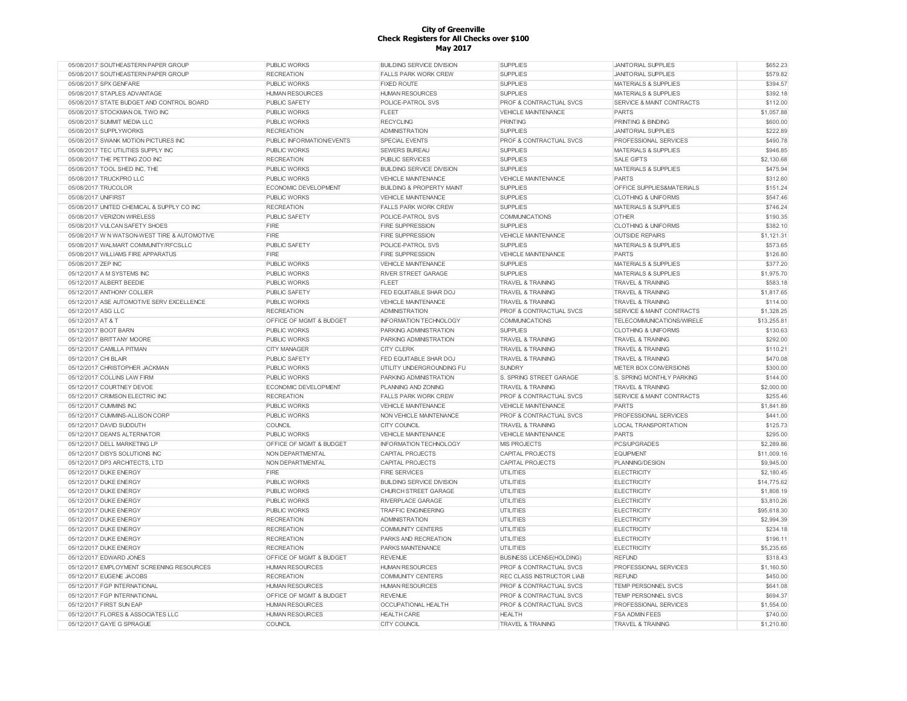| 05/08/2017 SOUTHEASTERN PAPER GROUP          | PUBLIC WORKS                       | <b>BUILDING SERVICE DIVISION</b>     | <b>SUPPLIES</b>                    | <b>JANITORIAL SUPPLIES</b>           | \$652.23    |
|----------------------------------------------|------------------------------------|--------------------------------------|------------------------------------|--------------------------------------|-------------|
| 05/08/2017 SOUTHEASTERN PAPER GROUP          | <b>RECREATION</b>                  | <b>FALLS PARK WORK CREW</b>          | <b>SUPPLIES</b>                    | <b>JANITORIAL SUPPLIES</b>           | \$579.82    |
| 05/08/2017 SPX GENFARE                       | <b>PUBLIC WORKS</b>                | <b>FIXED ROUTE</b>                   | <b>SUPPLIES</b>                    | <b>MATERIALS &amp; SUPPLIES</b>      | \$394.57    |
| 05/08/2017 STAPLES ADVANTAGE                 | <b>HUMAN RESOURCES</b>             | <b>HUMAN RESOURCES</b>               | <b>SUPPLIES</b>                    | <b>MATERIALS &amp; SUPPLIES</b>      | \$392.18    |
| 05/08/2017 STATE BUDGET AND CONTROL BOARD    | PUBLIC SAFETY                      | POLICE-PATROL SVS                    | PROF & CONTRACTUAL SVCS            | <b>SERVICE &amp; MAINT CONTRACTS</b> | \$112.00    |
| 05/08/2017 STOCKMAN OIL TWO INC              | <b>PUBLIC WORKS</b>                | FLEET                                | VEHICLE MAINTENANCE                | <b>PARTS</b>                         | \$1,057.88  |
| 05/08/2017 SUMMIT MEDIA LLC                  | <b>PUBLIC WORKS</b>                | <b>RECYCLING</b>                     | <b>PRINTING</b>                    | PRINTING & BINDING                   | \$600.00    |
| 05/08/2017 SUPPLYWORKS                       | <b>RECREATION</b>                  | <b>ADMINISTRATION</b>                | <b>SUPPLIES</b>                    | <b>JANITORIAL SUPPLIES</b>           | \$222.89    |
| 05/08/2017 SWANK MOTION PICTURES INC         | <b>PUBLIC INFORMATION/EVENTS</b>   | SPECIAL EVENTS                       | <b>PROF &amp; CONTRACTUAL SVCS</b> | <b>PROFESSIONAL SERVICES</b>         | \$490.78    |
| 05/08/2017 TEC UTILITIES SUPPLY INC          | <b>PUBLIC WORKS</b>                | <b>SEWERS BUREAU</b>                 | <b>SUPPLIES</b>                    | <b>MATERIALS &amp; SUPPLIES</b>      | \$946.85    |
| 05/08/2017 THE PETTING ZOO INC               | <b>RECREATION</b>                  | <b>PUBLIC SERVICES</b>               | <b>SUPPLIES</b>                    | <b>SALE GIFTS</b>                    | \$2,130.68  |
|                                              |                                    |                                      |                                    |                                      | \$475.94    |
| 05/08/2017 TOOL SHED INC. THE                | <b>PUBLIC WORKS</b>                | <b>BUILDING SERVICE DIVISION</b>     | <b>SUPPLIES</b>                    | <b>MATERIALS &amp; SUPPLIES</b>      |             |
| 05/08/2017 TRUCKPRO LLC                      | <b>PUBLIC WORKS</b>                | <b>VEHICLE MAINTENANCE</b>           | <b>VEHICLE MAINTENANCE</b>         | <b>PARTS</b>                         | \$312.60    |
| 05/08/2017 TRUCOLOR                          | ECONOMIC DEVELOPMENT               | <b>BUILDING &amp; PROPERTY MAINT</b> | <b>SUPPLIES</b>                    | OFFICE SUPPLIES&MATERIALS            | \$151.24    |
| 05/08/2017 UNIFIRST                          | <b>PUBLIC WORKS</b>                | <b>VEHICLE MAINTENANCE</b>           | <b>SUPPLIES</b>                    | <b>CLOTHING &amp; UNIFORMS</b>       | \$547.46    |
| 05/08/2017 UNITED CHEMICAL & SUPPLY CO INC   | <b>RECREATION</b>                  | <b>FALLS PARK WORK CREW</b>          | <b>SUPPLIES</b>                    | <b>MATERIALS &amp; SUPPLIES</b>      | \$746.24    |
| 05/08/2017 VERIZON WIRELESS                  | PUBLIC SAFETY                      | POLICE-PATROL SVS                    | <b>COMMUNICATIONS</b>              | <b>OTHER</b>                         | \$190.35    |
| 05/08/2017 VULCAN SAFETY SHOES               | FIRE                               | <b>FIRE SUPPRESSION</b>              | <b>SUPPLIES</b>                    | <b>CLOTHING &amp; UNIFORMS</b>       | \$382.10    |
| 05/08/2017 W N WATSON-WEST TIRE & AUTOMOTIVE | FIRE                               | <b>FIRE SUPPRESSION</b>              | <b>VEHICLE MAINTENANCE</b>         | <b>OUTSIDE REPAIRS</b>               | \$1,121.31  |
| 05/08/2017 WALMART COMMUNITY/RFCSLLC         | <b>PUBLIC SAFETY</b>               | POLICE-PATROL SVS                    | <b>SUPPLIES</b>                    | <b>MATERIALS &amp; SUPPLIES</b>      | \$573.65    |
| 05/08/2017 WILLIAMS FIRE APPARATUS           | FIRE                               | <b>FIRE SUPPRESSION</b>              | <b>VEHICLE MAINTENANCE</b>         | <b>PARTS</b>                         | \$126.80    |
| 05/08/2017 ZEP INC                           | <b>PUBLIC WORKS</b>                | <b>VEHICLE MAINTENANCE</b>           | <b>SUPPLIES</b>                    | <b>MATERIALS &amp; SUPPLIES</b>      | \$377.20    |
| 05/12/2017 A M SYSTEMS INC                   | <b>PUBLIC WORKS</b>                | RIVER STREET GARAGE                  | <b>SUPPLIES</b>                    | <b>MATERIALS &amp; SUPPLIES</b>      | \$1,975.70  |
| 05/12/2017 ALBERT BEEDIE                     | <b>PUBLIC WORKS</b>                | <b>FLEET</b>                         | <b>TRAVEL &amp; TRAINING</b>       | <b>TRAVEL &amp; TRAINING</b>         | \$583.18    |
| 05/12/2017 ANTHONY COLLIER                   | <b>PUBLIC SAFETY</b>               | FED EQUITABLE SHAR DOJ               | <b>TRAVEL &amp; TRAINING</b>       | <b>TRAVEL &amp; TRAINING</b>         | \$1,817.65  |
| 05/12/2017 ASE AUTOMOTIVE SERV EXCELLENCE    | <b>PUBLIC WORKS</b>                | <b>VEHICLE MAINTENANCE</b>           | <b>TRAVEL &amp; TRAINING</b>       | <b>TRAVEL &amp; TRAINING</b>         | \$114.00    |
| 05/12/2017 ASG LLC                           | <b>RECREATION</b>                  | <b>ADMINISTRATION</b>                | <b>PROF &amp; CONTRACTUAL SVCS</b> | <b>SERVICE &amp; MAINT CONTRACTS</b> | \$1,328.25  |
|                                              |                                    |                                      |                                    |                                      |             |
| 05/12/2017 AT & T                            | OFFICE OF MGMT & BUDGET            | INFORMATION TECHNOLOGY               | <b>COMMUNICATIONS</b>              | TELECOMMUNICATIONS/WIRELE            | \$13,255.81 |
| 05/12/2017 BOOT BARN                         | <b>PUBLIC WORKS</b>                | PARKING ADMINISTRATION               | <b>SUPPLIES</b>                    | <b>CLOTHING &amp; UNIFORMS</b>       | \$130.63    |
| 05/12/2017 BRITTANY MOORE                    | <b>PUBLIC WORKS</b>                | PARKING ADMINISTRATION               | <b>TRAVEL &amp; TRAINING</b>       | <b>TRAVEL &amp; TRAINING</b>         | \$292.00    |
| 05/12/2017 CAMILLA PITMAN                    | <b>CITY MANAGER</b>                | <b>CITY CLERK</b>                    | <b>TRAVEL &amp; TRAINING</b>       | <b>TRAVEL &amp; TRAINING</b>         | \$110.21    |
| 05/12/2017 CHI BLAIR                         | <b>PUBLIC SAFETY</b>               | FED EQUITABLE SHAR DOJ               | <b>TRAVEL &amp; TRAINING</b>       | <b>TRAVEL &amp; TRAINING</b>         | \$470.08    |
| 05/12/2017 CHRISTOPHER JACKMAN               | <b>PUBLIC WORKS</b>                | UTILITY UNDERGROUNDING FU            | <b>SUNDRY</b>                      | METER BOX CONVERSIONS                | \$300.00    |
| 05/12/2017 COLLINS LAW FIRM                  | <b>PUBLIC WORKS</b>                | PARKING ADMINISTRATION               | S. SPRING STREET GARAGE            | S. SPRING MONTHLY PARKING            | \$144.00    |
| 05/12/2017 COURTNEY DEVOE                    | ECONOMIC DEVELOPMENT               | <b>PLANNING AND ZONING</b>           | <b>TRAVEL &amp; TRAINING</b>       | <b>TRAVEL &amp; TRAINING</b>         | \$2,000.00  |
| 05/12/2017 CRIMSON ELECTRIC INC              | <b>RECREATION</b>                  | <b>FALLS PARK WORK CREW</b>          | PROF & CONTRACTUAL SVCS            | SERVICE & MAINT CONTRACTS            | \$255.46    |
| 05/12/2017 CUMMINS INC                       | <b>PUBLIC WORKS</b>                | <b>VEHICLE MAINTENANCE</b>           | <b>VEHICLE MAINTENANCE</b>         | <b>PARTS</b>                         | \$1,841.89  |
| 05/12/2017 CUMMINS-ALLISON CORP              | <b>PUBLIC WORKS</b>                | NON VEHICLE MAINTENANCE              | <b>PROF &amp; CONTRACTUAL SVCS</b> | PROFESSIONAL SERVICES                | \$441.00    |
| 05/12/2017 DAVID SUDDUTH                     | COUNCIL                            | CITY COUNCIL                         | <b>TRAVEL &amp; TRAINING</b>       | <b>LOCAL TRANSPORTATION</b>          | \$125.73    |
| 05/12/2017 DEAN'S ALTERNATOR                 | <b>PUBLIC WORKS</b>                | <b>VEHICLE MAINTENANCE</b>           | <b>VEHICLE MAINTENANCE</b>         | PARTS                                | \$295.00    |
| 05/12/2017 DELL MARKETING LP                 | OFFICE OF MGMT & BUDGET            | INFORMATION TECHNOLOGY               | <b>MIS PROJECTS</b>                | PCS/UPGRADES                         | \$2,289.86  |
| 05/12/2017 DISYS SOLUTIONS INC               | NON DEPARTMENTAL                   | CAPITAL PROJECTS                     | CAPITAL PROJECTS                   | <b>EQUIPMENT</b>                     | \$11,009.16 |
| 05/12/2017 DP3 ARCHITECTS, LTD               | NON DEPARTMENTAL                   | CAPITAL PROJECTS                     | CAPITAL PROJECTS                   | PLANNING/DESIGN                      | \$9,945.00  |
| 05/12/2017 DUKE ENERGY                       | FIRE                               | <b>FIRE SERVICES</b>                 |                                    | <b>ELECTRICITY</b>                   |             |
|                                              |                                    |                                      | <b>UTILITIES</b>                   |                                      | \$2,180.45  |
| 05/12/2017 DUKE ENERGY                       | <b>PUBLIC WORKS</b>                | <b>BUILDING SERVICE DIVISION</b>     | <b>UTILITIES</b>                   | <b>ELECTRICITY</b>                   | \$14,775.62 |
| 05/12/2017 DUKE ENERGY                       | <b>PUBLIC WORKS</b>                | CHURCH STREET GARAGE                 | <b>UTILITIES</b>                   | <b>ELECTRICITY</b>                   | \$1,808.19  |
| 05/12/2017 DUKE ENERGY                       | <b>PUBLIC WORKS</b>                | <b>RIVERPLACE GARAGE</b>             | <b>UTILITIES</b>                   | <b>ELECTRICITY</b>                   | \$3,810.26  |
| 05/12/2017 DUKE ENERGY                       | <b>PUBLIC WORKS</b>                | <b>TRAFFIC ENGINEERING</b>           | <b>UTILITIES</b>                   | <b>ELECTRICITY</b>                   | \$95,618.30 |
| 05/12/2017 DUKE ENERGY                       | <b>RECREATION</b>                  | <b>ADMINISTRATION</b>                | <b>UTILITIES</b>                   | <b>ELECTRICITY</b>                   | \$2,994.39  |
| 05/12/2017 DUKE ENERGY                       | <b>RECREATION</b>                  | <b>COMMUNITY CENTERS</b>             | <b>UTILITIES</b>                   | <b>ELECTRICITY</b>                   | \$234.18    |
| 05/12/2017 DUKE ENERGY                       | <b>RECREATION</b>                  | PARKS AND RECREATION                 | <b>UTILITIES</b>                   | ELECTRICITY                          | \$196.11    |
| 05/12/2017 DUKE ENERGY                       | <b>RECREATION</b>                  | PARKS MAINTENANCE                    | <b>UTILITIES</b>                   | <b>ELECTRICITY</b>                   | \$5,235.65  |
| 05/12/2017 EDWARD JONES                      | OFFICE OF MGMT & BUDGET            | <b>REVENUE</b>                       | <b>BUSINESS LICENSE(HOLDING)</b>   | <b>REFUND</b>                        | \$318.43    |
| 05/12/2017 EMPLOYMENT SCREENING RESOURCES    | <b>HUMAN RESOURCES</b>             | <b>HUMAN RESOURCES</b>               | <b>PROF &amp; CONTRACTUAL SVCS</b> | <b>PROFESSIONAL SERVICES</b>         | \$1,160.50  |
| 05/12/2017 EUGENE JACOBS                     | <b>RECREATION</b>                  | <b>COMMUNITY CENTERS</b>             | <b>REC CLASS INSTRUCTOR LIAB</b>   | <b>REFUND</b>                        | \$450.00    |
| 05/12/2017 FGP INTERNATIONAL                 | <b>HUMAN RESOURCES</b>             | <b>HUMAN RESOURCES</b>               | <b>PROF &amp; CONTRACTUAL SVCS</b> | <b>TEMP PERSONNEL SVCS</b>           | \$641.08    |
| 05/12/2017 FGP INTERNATIONAL                 | <b>OFFICE OF MGMT &amp; BUDGET</b> | <b>REVENUE</b>                       | PROF & CONTRACTUAL SVCS            | TEMP PERSONNEL SVCS                  | \$694.37    |
| 05/12/2017 FIRST SUN FAP                     | <b>HUMAN RESOURCES</b>             | <b>OCCUPATIONAL HEALTH</b>           | <b>PROF &amp; CONTRACTUAL SVCS</b> | <b>PROFESSIONAL SERVICES</b>         | \$1,554.00  |
| 05/12/2017 FLORES & ASSOCIATES LLC           |                                    | <b>HEALTH CARE</b>                   | <b>HEALTH</b>                      |                                      | \$740.00    |
|                                              | <b>HUMAN RESOURCES</b>             |                                      |                                    | <b>FSA ADMIN FEES</b>                |             |
| 05/12/2017 GAYE G SPRAGUE                    | COUNCIL                            | CITY COUNCIL                         | <b>TRAVEL &amp; TRAINING</b>       | <b>TRAVEL &amp; TRAINING</b>         | \$1,210.80  |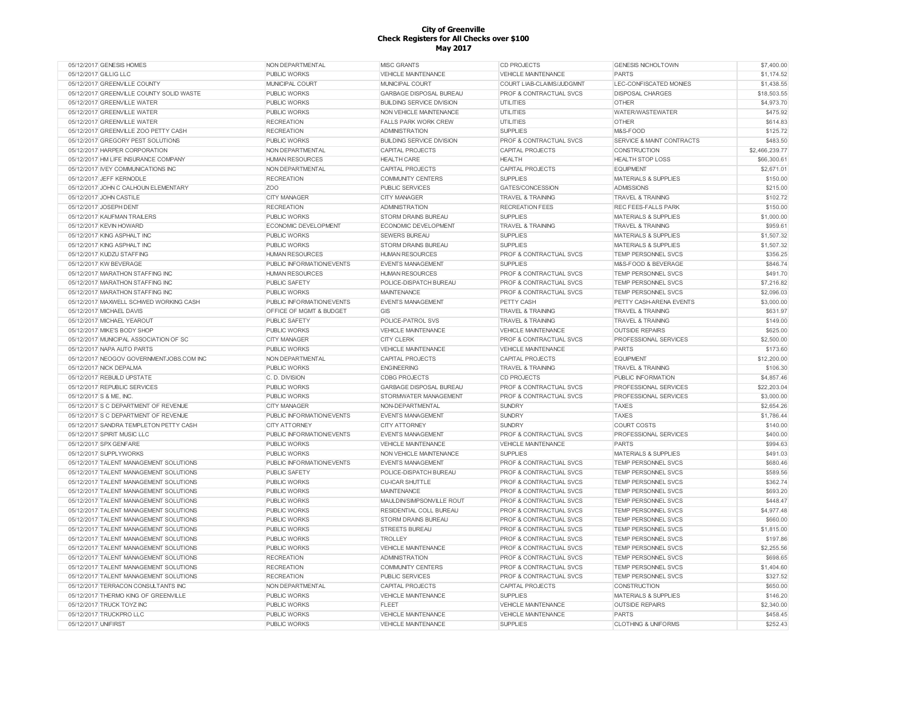| 05/12/2017 GENESIS HOMES                                                         | NON DEPARTMENTAL                           | <b>MISC GRANTS</b>                                | <b>CD PROJECTS</b>                                            | <b>GENESIS NICHOLTOWN</b>                                | \$7,400.00             |
|----------------------------------------------------------------------------------|--------------------------------------------|---------------------------------------------------|---------------------------------------------------------------|----------------------------------------------------------|------------------------|
| 05/12/2017 GILLIG LLC                                                            | <b>PUBLIC WORKS</b>                        | <b>VEHICLE MAINTENANCE</b>                        | <b>VEHICLE MAINTENANCE</b>                                    | <b>PARTS</b>                                             | \$1,174.52             |
| 05/12/2017 GREENVILLE COUNTY                                                     | MUNICIPAL COURT                            | MUNICIPAL COURT                                   | COURT LIAB-CLAIMS/JUDGMNT                                     | LEC-CONFISCATED MONIES                                   | \$1,438.55             |
| 05/12/2017 GREENVILLE COUNTY SOLID WASTE                                         | <b>PUBLIC WORKS</b>                        | <b>GARBAGE DISPOSAL BUREAU</b>                    | <b>PROF &amp; CONTRACTUAL SVCS</b>                            | <b>DISPOSAL CHARGES</b>                                  | \$18,503.55            |
| 05/12/2017 GREENVILLE WATER                                                      | <b>PUBLIC WORKS</b>                        | <b>BUILDING SERVICE DIVISION</b>                  | UTILITIES                                                     | OTHER                                                    | \$4,973.70             |
| 05/12/2017 GREENVILLE WATER                                                      | <b>PUBLIC WORKS</b>                        | NON VEHICLE MAINTENANCE                           | UTILITIES                                                     | WATER/WASTEWATER                                         | \$475.92               |
| 05/12/2017 GREENVILLE WATER                                                      | <b>RECREATION</b>                          | <b>FALLS PARK WORK CREW</b>                       | <b>UTILITIES</b>                                              | <b>OTHER</b>                                             | \$614.83               |
| 05/12/2017 GREENVILLE ZOO PETTY CASH                                             | <b>RECREATION</b>                          | <b>ADMINISTRATION</b>                             | <b>SUPPLIES</b>                                               | M&S-FOOD                                                 | \$125.72               |
| 05/12/2017 GREGORY PEST SOLUTIONS                                                | <b>PUBLIC WORKS</b>                        | <b>BUILDING SERVICE DIVISION</b>                  | <b>PROF &amp; CONTRACTUAL SVCS</b>                            | SERVICE & MAINT CONTRACTS                                | \$483.50               |
| 05/12/2017 HARPER CORPORATION                                                    | NON DEPARTMENTAL                           | <b>CAPITAL PROJECTS</b>                           | <b>CAPITAL PROJECTS</b>                                       | <b>CONSTRUCTION</b>                                      | \$2,466,239.77         |
| 05/12/2017 HM LIFE INSURANCE COMPANY                                             | <b>HUMAN RESOURCES</b>                     | <b>HEALTH CARE</b>                                | <b>HEALTH</b>                                                 | <b>HEALTH STOP LOSS</b>                                  | \$66,300.61            |
| 05/12/2017 IVEY COMMUNICATIONS INC                                               | NON DEPARTMENTAL                           | <b>CAPITAL PROJECTS</b>                           | CAPITAL PROJECTS                                              | <b>EQUIPMENT</b>                                         | \$2,671.01             |
| 05/12/2017 JEFF KERNODLE                                                         | <b>RECREATION</b>                          | <b>COMMUNITY CENTERS</b>                          | <b>SUPPLIES</b>                                               | MATERIALS & SUPPLIES                                     | \$150.00               |
| 05/12/2017 JOHN C CALHOUN ELEMENTARY                                             | Z <sub>O</sub> O                           | <b>PUBLIC SERVICES</b>                            | GATES/CONCESSION                                              | <b>ADMISSIONS</b>                                        | \$215.00               |
| 05/12/2017 JOHN CASTILE                                                          | <b>CITY MANAGER</b>                        | <b>CITY MANAGER</b>                               | <b>TRAVEL &amp; TRAINING</b>                                  | <b>TRAVEL &amp; TRAINING</b>                             | \$102.72               |
| 05/12/2017 JOSEPH DENT                                                           | <b>RECREATION</b>                          | <b>ADMINISTRATION</b>                             | <b>RECREATION FEES</b>                                        | <b>REC FEES-FALLS PARK</b>                               | \$150.00               |
| 05/12/2017 KAUFMAN TRAILERS                                                      | <b>PUBLIC WORKS</b>                        | STORM DRAINS BUREAU                               | <b>SUPPLIES</b>                                               | <b>MATERIALS &amp; SUPPLIES</b>                          | \$1,000.00             |
| 05/12/2017 KEVIN HOWARD                                                          | ECONOMIC DEVELOPMENT                       | ECONOMIC DEVELOPMENT                              | <b>TRAVEL &amp; TRAINING</b>                                  | <b>TRAVEL &amp; TRAINING</b>                             | \$959.61               |
| 05/12/2017 KING ASPHALT INC                                                      | <b>PUBLIC WORKS</b>                        | <b>SEWERS BUREAU</b>                              | <b>SUPPLIES</b>                                               | <b>MATERIALS &amp; SUPPLIES</b>                          | \$1,507.32             |
| 05/12/2017 KING ASPHALT INC                                                      | <b>PUBLIC WORKS</b>                        | <b>STORM DRAINS BUREAU</b>                        | <b>SUPPLIES</b>                                               | <b>MATERIALS &amp; SUPPLIES</b>                          | \$1,507.32             |
| 05/12/2017 KUDZU STAFFING                                                        | <b>HUMAN RESOURCES</b>                     |                                                   |                                                               | <b>TEMP PERSONNEL SVCS</b>                               | \$356.25               |
|                                                                                  |                                            | <b>HUMAN RESOURCES</b>                            | PROF & CONTRACTUAL SVCS                                       |                                                          |                        |
| 05/12/2017 KW BEVERAGE                                                           | PUBLIC INFORMATION/EVENTS                  | <b>EVENTS MANAGEMENT</b>                          | <b>SUPPLIES</b>                                               | M&S-FOOD & BEVERAGE                                      | \$846.74               |
| 05/12/2017 MARATHON STAFFING INC                                                 | <b>HUMAN RESOURCES</b>                     | <b>HUMAN RESOURCES</b>                            | PROF & CONTRACTUAL SVCS                                       | <b>TEMP PERSONNEL SVCS</b>                               | \$491.70               |
| 05/12/2017 MARATHON STAFFING INC                                                 | <b>PUBLIC SAFETY</b>                       | POLICE-DISPATCH BUREAU                            | <b>PROF &amp; CONTRACTUAL SVCS</b>                            | <b>TEMP PERSONNEL SVCS</b>                               | \$7,216.82             |
| 05/12/2017 MARATHON STAFFING INC                                                 | <b>PUBLIC WORKS</b>                        | <b>MAINTENANCE</b>                                | <b>PROF &amp; CONTRACTUAL SVCS</b>                            | TEMP PERSONNEL SVCS                                      | \$2,096.03             |
| 05/12/2017 MAXWELL SCHWED WORKING CASH                                           | PUBLIC INFORMATION/EVENTS                  | <b>EVENTS MANAGEMENT</b>                          | PETTY CASH                                                    | PETTY CASH-ARENA EVENTS                                  | \$3,000.00             |
| 05/12/2017 MICHAEL DAVIS                                                         | OFFICE OF MGMT & BUDGET                    | GIS                                               | <b>TRAVEL &amp; TRAINING</b>                                  | <b>TRAVEL &amp; TRAINING</b>                             | \$631.97               |
| 05/12/2017 MICHAEL YEAROUT                                                       | PUBLIC SAFETY                              | POLICE-PATROL SVS                                 | <b>TRAVEL &amp; TRAINING</b>                                  | <b>TRAVEL &amp; TRAINING</b>                             | \$149.00               |
| 05/12/2017 MIKE'S BODY SHOP                                                      | <b>PUBLIC WORKS</b>                        | <b>VEHICLE MAINTENANCE</b>                        | <b>VEHICLE MAINTENANCE</b>                                    | <b>OUTSIDE REPAIRS</b>                                   | \$625.00               |
| 05/12/2017 MUNICIPAL ASSOCIATION OF SC                                           | <b>CITY MANAGER</b>                        | <b>CITY CLERK</b>                                 | PROF & CONTRACTUAL SVCS                                       | PROFESSIONAL SERVICES                                    | \$2,500.00             |
| 05/12/2017 NAPA AUTO PARTS                                                       | PUBLIC WORKS                               | <b>VEHICLE MAINTENANCE</b>                        | <b>VEHICLE MAINTENANCE</b>                                    | <b>PARTS</b>                                             | \$173.60               |
|                                                                                  |                                            |                                                   |                                                               |                                                          |                        |
| 05/12/2017 NEOGOV GOVERNMENTJOBS.COM INC                                         | NON DEPARTMENTAL                           | CAPITAL PROJECTS                                  | <b>CAPITAL PROJECTS</b>                                       | <b>EQUIPMENT</b>                                         | \$12,200.00            |
| 05/12/2017 NICK DEPALMA                                                          | <b>PUBLIC WORKS</b>                        | <b>ENGINEERING</b>                                | <b>TRAVEL &amp; TRAINING</b>                                  | <b>TRAVEL &amp; TRAINING</b>                             | \$106.30               |
| 05/12/2017 REBUILD UPSTATE                                                       | C. D. DIVISION                             | <b>CDBG PROJECTS</b>                              | <b>CD PROJECTS</b>                                            | PUBLIC INFORMATION                                       | \$4,857.46             |
| 05/12/2017 REPUBLIC SERVICES                                                     | <b>PUBLIC WORKS</b>                        | <b>GARBAGE DISPOSAL BUREAU</b>                    | PROF & CONTRACTUAL SVCS                                       | PROFESSIONAL SERVICES                                    | \$22,203.04            |
| 05/12/2017 S & ME, INC.                                                          | <b>PUBLIC WORKS</b>                        | STORMWATER MANAGEMENT                             | <b>PROF &amp; CONTRACTUAL SVCS</b>                            | PROFESSIONAL SERVICES                                    | \$3,000.00             |
| 05/12/2017 S C DEPARTMENT OF REVENUE                                             | <b>CITY MANAGER</b>                        | NON-DEPARTMENTAL                                  | <b>SUNDRY</b>                                                 | <b>TAXES</b>                                             | \$2,654.26             |
| 05/12/2017 S C DEPARTMENT OF REVENUE                                             | PUBLIC INFORMATION/EVENTS                  | <b>EVENTS MANAGEMENT</b>                          | <b>SUNDRY</b>                                                 | <b>TAXES</b>                                             | \$1,786.44             |
| 05/12/2017 SANDRA TEMPLETON PETTY CASH                                           | CITY ATTORNEY                              | CITY ATTORNEY                                     | <b>SUNDRY</b>                                                 | COURT COSTS                                              | \$140.00               |
| 05/12/2017 SPIRIT MUSIC LLC                                                      | PUBLIC INFORMATION/EVENTS                  | <b>EVENTS MANAGEMENT</b>                          | PROF & CONTRACTUAL SVCS                                       | <b>PROFESSIONAL SERVICES</b>                             | \$400.00               |
| 05/12/2017 SPX GENFARE                                                           | <b>PUBLIC WORKS</b>                        | VEHICLE MAINTENANCE                               | VEHICLE MAINTENANCE                                           | <b>PARTS</b>                                             | \$994.63               |
| 05/12/2017 SUPPLYWORKS                                                           | <b>PUBLIC WORKS</b>                        | NON VEHICLE MAINTENANCE                           | <b>SUPPLIES</b>                                               | <b>MATERIALS &amp; SUPPLIES</b>                          | \$491.03               |
| 05/12/2017 TALENT MANAGEMENT SOLUTIONS                                           | PUBLIC INFORMATION/EVENTS                  | <b>EVENTS MANAGEMENT</b>                          | PROF & CONTRACTUAL SVCS                                       | TEMP PERSONNEL SVCS                                      | \$680.46               |
| 05/12/2017 TALENT MANAGEMENT SOLUTIONS                                           | PUBLIC SAFETY                              | POLICE-DISPATCH BUREAU                            | <b>PROF &amp; CONTRACTUAL SVCS</b>                            | <b>TEMP PERSONNEL SVCS</b>                               | \$589.56               |
| 05/12/2017 TALENT MANAGEMENT SOLUTIONS                                           | <b>PUBLIC WORKS</b>                        | <b>CU-ICAR SHUTTLE</b>                            | <b>PROF &amp; CONTRACTUAL SVCS</b>                            | TEMP PERSONNEL SVCS                                      | \$362.74               |
| 05/12/2017 TALENT MANAGEMENT SOLUTIONS                                           | <b>PUBLIC WORKS</b>                        | <b>MAINTENANCE</b>                                | <b>PROF &amp; CONTRACTUAL SVCS</b>                            | <b>TEMP PERSONNEL SVCS</b>                               | \$693.20               |
| 05/12/2017 TALENT MANAGEMENT SOLUTIONS                                           | <b>PUBLIC WORKS</b>                        |                                                   | PROF & CONTRACTUAL SVCS                                       | <b>TEMP PERSONNEL SVCS</b>                               |                        |
| 05/12/2017 TALENT MANAGEMENT SOLUTIONS                                           |                                            | MAULDIN/SIMPSONVILLE ROUT                         | <b>PROF &amp; CONTRACTUAL SVCS</b>                            | <b>TEMP PERSONNEL SVCS</b>                               | \$448.47               |
|                                                                                  | <b>PUBLIC WORKS</b>                        | RESIDENTIAL COLL BUREAU                           |                                                               |                                                          | \$4,977.48             |
| 05/12/2017 TALENT MANAGEMENT SOLUTIONS                                           | <b>PUBLIC WORKS</b>                        | STORM DRAINS BUREAU                               | <b>PROF &amp; CONTRACTUAL SVCS</b>                            | <b>TEMP PERSONNEL SVCS</b>                               | \$660.00               |
| 05/12/2017 TALENT MANAGEMENT SOLUTIONS<br>05/12/2017 TALENT MANAGEMENT SOLUTIONS | <b>PUBLIC WORKS</b><br><b>PUBLIC WORKS</b> | <b>STREETS BUREAU</b><br><b>TROLLEY</b>           | <b>PROF &amp; CONTRACTUAL SVCS</b><br>PROF & CONTRACTUAL SVCS | <b>TEMP PERSONNEL SVCS</b><br><b>TEMP PERSONNEL SVCS</b> | \$1,815.00<br>\$197.86 |
|                                                                                  |                                            |                                                   |                                                               |                                                          |                        |
| 05/12/2017 TALENT MANAGEMENT SOLUTIONS                                           | PUBLIC WORKS                               | VEHICLE MAINTENANCE                               | <b>PROF &amp; CONTRACTUAL SVCS</b>                            | <b>TEMP PERSONNEL SVCS</b>                               | \$2,255.56             |
| 05/12/2017 TALENT MANAGEMENT SOLUTIONS                                           | <b>RECREATION</b>                          | <b>ADMINISTRATION</b>                             | PROF & CONTRACTUAL SVCS                                       | TEMP PERSONNEL SVCS                                      | \$698.65               |
| 05/12/2017 TALENT MANAGEMENT SOLUTIONS                                           | <b>RECREATION</b>                          | <b>COMMUNITY CENTERS</b>                          | PROF & CONTRACTUAL SVCS                                       | TEMP PERSONNEL SVCS                                      | \$1,404.60             |
| 05/12/2017 TALENT MANAGEMENT SOLUTIONS                                           | <b>RECREATION</b>                          | <b>PUBLIC SERVICES</b>                            | <b>PROF &amp; CONTRACTUAL SVCS</b>                            | TEMP PERSONNEL SVCS                                      | \$327.52               |
| 05/12/2017 TERRACON CONSULTANTS INC                                              | NON DEPARTMENTAL                           | <b>CAPITAL PROJECTS</b>                           | CAPITAL PROJECTS                                              | <b>CONSTRUCTION</b>                                      | \$650.00               |
| 05/12/2017 THERMO KING OF GREENVILLE                                             | <b>PUBLIC WORKS</b>                        | <b>VEHICLE MAINTENANCE</b>                        | <b>SUPPLIES</b>                                               | MATERIALS & SUPPLIES                                     | \$146.20               |
| 05/12/2017 TRUCK TOYZ INC                                                        | <b>PUBLIC WORKS</b>                        | <b>FLEET</b>                                      | <b>VEHICLE MAINTENANCE</b>                                    | <b>OUTSIDE REPAIRS</b>                                   | \$2,340.00             |
| 05/12/2017 TRUCKPRO LLC<br>05/12/2017 UNIFIRST                                   | PUBLIC WORKS<br>PUBLIC WORKS               | VEHICLE MAINTENANCE<br><b>VEHICLE MAINTENANCE</b> | <b>VEHICLE MAINTENANCE</b><br><b>SUPPLIES</b>                 | <b>PARTS</b><br><b>CLOTHING &amp; UNIFORMS</b>           | \$458.45<br>\$252.43   |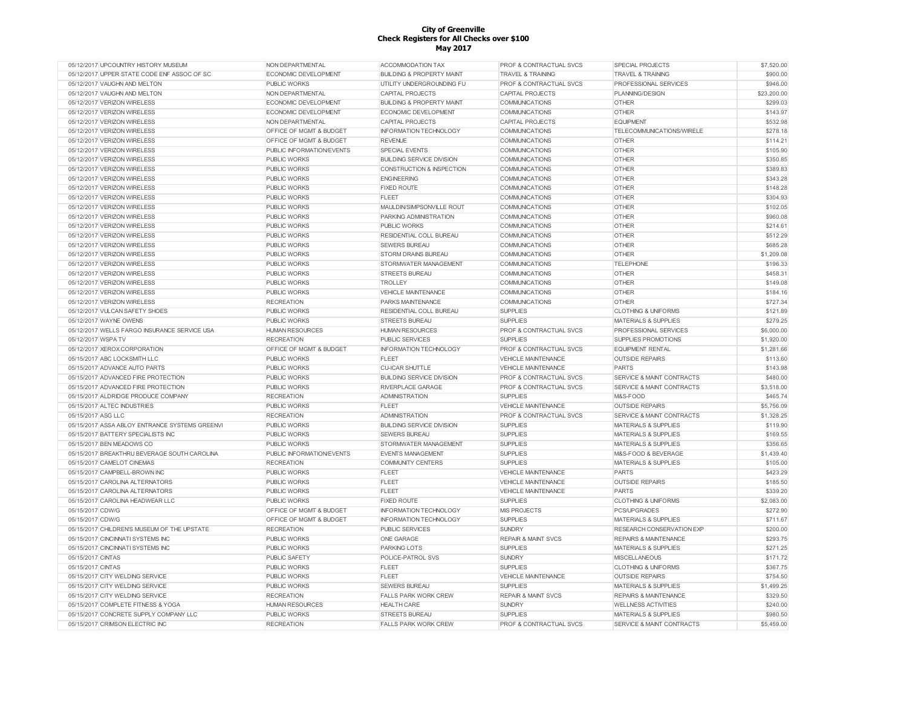| 05/12/2017 UPCOUNTRY HISTORY MUSEUM            | NON DEPARTMENTAL                 | ACCOMMODATION TAX                    | PROF & CONTRACTUAL SVCS            | SPECIAL PROJECTS                     | \$7,520.00  |
|------------------------------------------------|----------------------------------|--------------------------------------|------------------------------------|--------------------------------------|-------------|
| 05/12/2017 UPPER STATE CODE ENF ASSOC OF SC    | <b>ECONOMIC DEVELOPMENT</b>      | <b>BUILDING &amp; PROPERTY MAINT</b> | <b>TRAVEL &amp; TRAINING</b>       | <b>TRAVEL &amp; TRAINING</b>         | \$900.00    |
| 05/12/2017 VAUGHN AND MELTON                   | PUBLIC WORKS                     | UTILITY UNDERGROUNDING FU            | <b>PROF &amp; CONTRACTUAL SVCS</b> | PROFESSIONAL SERVICES                | \$946.00    |
| 05/12/2017 VAUGHN AND MELTON                   | NON DEPARTMENTAL                 | <b>CAPITAL PROJECTS</b>              | <b>CAPITAL PROJECTS</b>            | PLANNING/DESIGN                      | \$23,200.00 |
| 05/12/2017 VERIZON WIRELESS                    | <b>ECONOMIC DEVELOPMENT</b>      | <b>BUILDING &amp; PROPERTY MAINT</b> | <b>COMMUNICATIONS</b>              | <b>OTHER</b>                         | \$299.03    |
| 05/12/2017 VERIZON WIRELESS                    | <b>ECONOMIC DEVELOPMENT</b>      | <b>ECONOMIC DEVELOPMENT</b>          | COMMUNICATIONS                     | <b>OTHER</b>                         | \$143.97    |
| 05/12/2017 VERIZON WIRELESS                    | NON DEPARTMENTAL                 | <b>CAPITAL PROJECTS</b>              | <b>CAPITAL PROJECTS</b>            | <b>EQUIPMENT</b>                     | \$532.98    |
| 05/12/2017 VERIZON WIRELESS                    | OFFICE OF MGMT & BUDGET          | <b>INFORMATION TECHNOLOGY</b>        | <b>COMMUNICATIONS</b>              | TELECOMMUNICATIONS/WIRELE            | \$278.18    |
| 05/12/2017 VERIZON WIRELESS                    | OFFICE OF MGMT & BUDGET          | <b>REVENUE</b>                       | <b>COMMUNICATIONS</b>              | <b>OTHER</b>                         | \$114.21    |
| 05/12/2017 VERIZON WIRELESS                    | <b>PUBLIC INFORMATION/EVENTS</b> | SPECIAL EVENTS                       | COMMUNICATIONS                     | <b>OTHER</b>                         | \$105.90    |
| 05/12/2017 VERIZON WIRELESS                    | PUBLIC WORKS                     | <b>BUILDING SERVICE DIVISION</b>     | COMMUNICATIONS                     | <b>OTHER</b>                         | \$350.85    |
| 05/12/2017 VERIZON WIRELESS                    | <b>PUBLIC WORKS</b>              | CONSTRUCTION & INSPECTION            | <b>COMMUNICATIONS</b>              | <b>OTHER</b>                         | \$389.83    |
| 05/12/2017 VERIZON WIRELESS                    | <b>PUBLIC WORKS</b>              | <b>ENGINEERING</b>                   | <b>COMMUNICATIONS</b>              | <b>OTHER</b>                         | \$343.28    |
| 05/12/2017 VERIZON WIRELESS                    | <b>PUBLIC WORKS</b>              | <b>FIXED ROUTE</b>                   | COMMUNICATIONS                     | <b>OTHER</b>                         | \$148.28    |
| 05/12/2017 VERIZON WIRELESS                    | PUBLIC WORKS                     | <b>FLEET</b>                         | <b>COMMUNICATIONS</b>              | <b>OTHER</b>                         | \$304.93    |
| 05/12/2017 VERIZON WIRELESS                    | <b>PUBLIC WORKS</b>              | MAULDIN/SIMPSONVILLE ROUT            | COMMUNICATIONS                     | <b>OTHER</b>                         | \$102.05    |
| 05/12/2017 VERIZON WIRELESS                    | PUBLIC WORKS                     | PARKING ADMINISTRATION               | <b>COMMUNICATIONS</b>              | <b>OTHER</b>                         | \$960.08    |
| 05/12/2017 VERIZON WIRELESS                    | <b>PUBLIC WORKS</b>              | <b>PUBLIC WORKS</b>                  | <b>COMMUNICATIONS</b>              | <b>OTHER</b>                         | \$214.61    |
| 05/12/2017 VERIZON WIRELESS                    | PUBLIC WORKS                     | RESIDENTIAL COLL BUREAU              | <b>COMMUNICATIONS</b>              | <b>OTHER</b>                         | \$512.29    |
| 05/12/2017 VERIZON WIRELESS                    | <b>PUBLIC WORKS</b>              | <b>SEWERS BUREAU</b>                 | <b>COMMUNICATIONS</b>              | <b>OTHER</b>                         | \$685.28    |
| 05/12/2017 VERIZON WIRELESS                    | <b>PUBLIC WORKS</b>              | <b>STORM DRAINS BUREAU</b>           | <b>COMMUNICATIONS</b>              | <b>OTHER</b>                         | \$1,209.08  |
| 05/12/2017 VERIZON WIRELESS                    | <b>PUBLIC WORKS</b>              | STORMWATER MANAGEMENT                | <b>COMMUNICATIONS</b>              | <b>TELEPHONE</b>                     | \$196.33    |
| 05/12/2017 VERIZON WIRELESS                    | <b>PUBLIC WORKS</b>              | <b>STREETS BUREAU</b>                | <b>COMMUNICATIONS</b>              | <b>OTHER</b>                         | \$458.31    |
|                                                |                                  |                                      |                                    |                                      |             |
| 05/12/2017 VERIZON WIRELESS                    | <b>PUBLIC WORKS</b>              | <b>TROLLEY</b>                       | <b>COMMUNICATIONS</b>              | <b>OTHER</b>                         | \$149.08    |
| 05/12/2017 VERIZON WIRELESS                    | PUBLIC WORKS                     | <b>VEHICLE MAINTENANCE</b>           | COMMUNICATIONS                     | <b>OTHER</b>                         | \$184.16    |
| 05/12/2017 VERIZON WIRELESS                    | <b>RECREATION</b>                | PARKS MAINTENANCE                    | COMMUNICATIONS                     | <b>OTHER</b>                         | \$727.34    |
| 05/12/2017 VULCAN SAFETY SHOES                 | PUBLIC WORKS                     | RESIDENTIAL COLL BUREAU              | <b>SUPPLIES</b>                    | <b>CLOTHING &amp; UNIFORMS</b>       | \$121.89    |
| 05/12/2017 WAYNE OWENS                         | <b>PUBLIC WORKS</b>              | <b>STREETS BUREAU</b>                | <b>SUPPLIES</b>                    | <b>MATERIALS &amp; SUPPLIES</b>      | \$279.25    |
| 05/12/2017 WELLS FARGO INSURANCE SERVICE USA   | <b>HUMAN RESOURCES</b>           | <b>HUMAN RESOURCES</b>               | PROF & CONTRACTUAL SVCS            | PROFESSIONAL SERVICES                | \$6,000.00  |
| 05/12/2017 WSPA TV                             | <b>RECREATION</b>                | <b>PUBLIC SERVICES</b>               | <b>SUPPLIES</b>                    | SUPPLIES PROMOTIONS                  | \$1,920.00  |
| 05/12/2017 XEROX CORPORATION                   | OFFICE OF MGMT & BUDGET          | <b>INFORMATION TECHNOLOGY</b>        | <b>PROF &amp; CONTRACTUAL SVCS</b> | <b>EQUIPMENT RENTAL</b>              | \$1,281.66  |
| 05/15/2017 ABC LOCKSMITH LLC                   | <b>PUBLIC WORKS</b>              | <b>FLEET</b>                         | <b>VEHICLE MAINTENANCE</b>         | <b>OUTSIDE REPAIRS</b>               | \$113.60    |
| 05/15/2017 ADVANCE AUTO PARTS                  | <b>PUBLIC WORKS</b>              | <b>CU-ICAR SHUTTLE</b>               | <b>VEHICLE MAINTENANCE</b>         | <b>PARTS</b>                         | \$143.98    |
| 05/15/2017 ADVANCED FIRE PROTECTION            | <b>PUBLIC WORKS</b>              | <b>BUILDING SERVICE DIVISION</b>     | <b>PROF &amp; CONTRACTUAL SVCS</b> | <b>SERVICE &amp; MAINT CONTRACTS</b> | \$480.00    |
| 05/15/2017 ADVANCED FIRE PROTECTION            | <b>PUBLIC WORKS</b>              | <b>RIVERPLACE GARAGE</b>             | PROF & CONTRACTUAL SVCS            | <b>SERVICE &amp; MAINT CONTRACTS</b> | \$3,518.00  |
| 05/15/2017 ALDRIDGE PRODUCE COMPANY            | <b>RECREATION</b>                | <b>ADMINISTRATION</b>                | <b>SUPPLIES</b>                    | M&S-FOOD                             | \$465.74    |
| 05/15/2017 ALTEC INDUSTRIES                    | <b>PUBLIC WORKS</b>              | <b>FLEET</b>                         | <b>VEHICLE MAINTENANCE</b>         | <b>OUTSIDE REPAIRS</b>               | \$5,756.09  |
| 05/15/2017 ASG LLC                             | <b>RECREATION</b>                | <b>ADMINISTRATION</b>                | PROF & CONTRACTUAL SVCS            | <b>SERVICE &amp; MAINT CONTRACTS</b> | \$1,328.25  |
| 05/15/2017 ASSA ABLOY ENTRANCE SYSTEMS GREENVI | PUBLIC WORKS                     | <b>BUILDING SERVICE DIVISION</b>     | <b>SUPPLIES</b>                    | <b>MATERIALS &amp; SUPPLIES</b>      | \$119.90    |
| 05/15/2017 BATTERY SPECIALISTS INC             | <b>PUBLIC WORKS</b>              | <b>SEWERS BUREAU</b>                 | <b>SUPPLIES</b>                    | <b>MATERIALS &amp; SUPPLIES</b>      | \$169.55    |
| 05/15/2017 BEN MEADOWS CO                      | PUBLIC WORKS                     | STORMWATER MANAGEMENT                | <b>SUPPLIES</b>                    | <b>MATERIALS &amp; SUPPLIES</b>      | \$356.65    |
| 05/15/2017 BREAKTHRU BEVERAGE SOUTH CAROLINA   | PUBLIC INFORMATION/EVENTS        | <b>EVENTS MANAGEMENT</b>             | <b>SUPPLIES</b>                    | M&S-FOOD & BEVERAGE                  | \$1,439.40  |
| 05/15/2017 CAMELOT CINEMAS                     | <b>RECREATION</b>                | <b>COMMUNITY CENTERS</b>             | <b>SUPPLIES</b>                    | <b>MATERIALS &amp; SUPPLIES</b>      | \$105.00    |
| 05/15/2017 CAMPBELL-BROWN INC                  | <b>PUBLIC WORKS</b>              | FLEET                                | <b>VEHICLE MAINTENANCE</b>         | <b>PARTS</b>                         | \$423.29    |
| 05/15/2017 CAROLINA ALTERNATORS                | <b>PUBLIC WORKS</b>              | <b>FLEET</b>                         | <b>VEHICLE MAINTENANCE</b>         | <b>OUTSIDE REPAIRS</b>               | \$185.50    |
| 05/15/2017 CAROLINA ALTERNATORS                | <b>PUBLIC WORKS</b>              | <b>FLEET</b>                         | <b>VEHICLE MAINTENANCE</b>         | <b>PARTS</b>                         | \$339.20    |
| 05/15/2017 CAROLINA HEADWEAR LLC               | <b>PUBLIC WORKS</b>              | <b>FIXED ROUTE</b>                   | <b>SUPPLIES</b>                    | <b>CLOTHING &amp; UNIFORMS</b>       | \$2,083.00  |
| 05/15/2017 CDW/G                               | OFFICE OF MGMT & BUDGET          | <b>INFORMATION TECHNOLOGY</b>        | <b>MIS PROJECTS</b>                | <b>PCS/UPGRADES</b>                  | \$272.90    |
| 05/15/2017 CDW/G                               | OFFICE OF MGMT & BUDGET          | <b>INFORMATION TECHNOLOGY</b>        | <b>SUPPLIES</b>                    | <b>MATERIALS &amp; SUPPLIES</b>      | \$711.67    |
| 05/15/2017 CHILDRENS MUSEUM OF THE UPSTATE     | <b>RECREATION</b>                | <b>PUBLIC SERVICES</b>               | <b>SUNDRY</b>                      | RESEARCH CONSERVATION EXP            | \$200.00    |
| 05/15/2017 CINCINNATI SYSTEMS INC              | <b>PUBLIC WORKS</b>              | ONE GARAGE                           | <b>REPAIR &amp; MAINT SVCS</b>     | <b>REPAIRS &amp; MAINTENANCE</b>     | \$293.75    |
| 05/15/2017 CINCINNATI SYSTEMS INC              | <b>PUBLIC WORKS</b>              | <b>PARKING LOTS</b>                  | <b>SUPPLIES</b>                    | <b>MATERIALS &amp; SUPPLIES</b>      | \$271.25    |
| 05/15/2017 CINTAS                              | PUBLIC SAFETY                    | POLICE-PATROL SVS                    | <b>SUNDRY</b>                      | <b>MISCELLANEOUS</b>                 | \$171.72    |
| 05/15/2017 CINTAS                              | <b>PUBLIC WORKS</b>              | FLEET                                | <b>SUPPLIES</b>                    | <b>CLOTHING &amp; UNIFORMS</b>       | \$367.75    |
| 05/15/2017 CITY WELDING SERVICE                | <b>PUBLIC WORKS</b>              | <b>FLEET</b>                         | <b>VEHICLE MAINTENANCE</b>         | <b>OUTSIDE REPAIRS</b>               | \$754.50    |
| 05/15/2017 CITY WELDING SERVICE                | <b>PUBLIC WORKS</b>              | <b>SEWERS BUREAU</b>                 | <b>SUPPLIES</b>                    | <b>MATERIALS &amp; SUPPLIES</b>      | \$1,499.25  |
| 05/15/2017 CITY WELDING SERVICE                | <b>RECREATION</b>                | <b>FALLS PARK WORK CREW</b>          | <b>REPAIR &amp; MAINT SVCS</b>     | <b>REPAIRS &amp; MAINTENANCE</b>     | \$329.50    |
| 05/15/2017 COMPLETE FITNESS & YOGA             | <b>HUMAN RESOURCES</b>           | <b>HEALTH CARE</b>                   | <b>SUNDRY</b>                      | <b>WELLNESS ACTIVITIES</b>           | \$240.00    |
| 05/15/2017 CONCRETE SUPPLY COMPANY LLC         | PUBLIC WORKS                     | <b>STREETS BUREAU</b>                | <b>SUPPLIES</b>                    | <b>MATERIALS &amp; SUPPLIES</b>      | \$980.50    |
| 05/15/2017 CRIMSON ELECTRIC INC                | <b>RECREATION</b>                | <b>FALLS PARK WORK CREW</b>          | PROF & CONTRACTUAL SVCS            | <b>SERVICE &amp; MAINT CONTRACTS</b> | \$5,459.00  |
|                                                |                                  |                                      |                                    |                                      |             |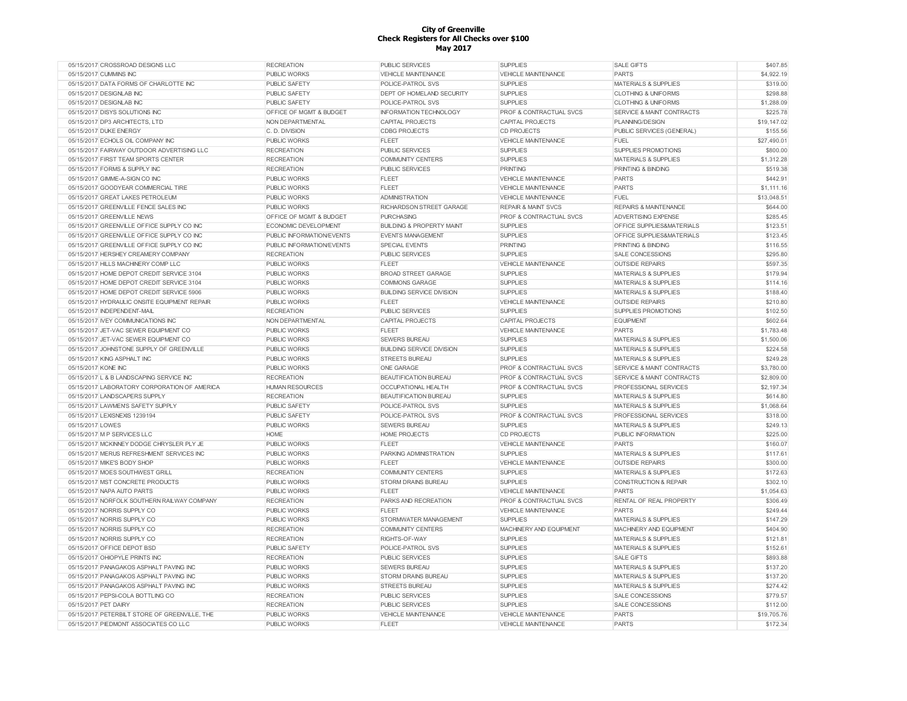| 05/15/2017 CROSSROAD DESIGNS LLC              | <b>RECREATION</b>         | <b>PUBLIC SERVICES</b>               | <b>SUPPLIES</b>                    | <b>SALE GIFTS</b>                    | \$407.85    |
|-----------------------------------------------|---------------------------|--------------------------------------|------------------------------------|--------------------------------------|-------------|
| 05/15/2017 CUMMINS INC                        | <b>PUBLIC WORKS</b>       | VEHICLE MAINTENANCE                  | VEHICLE MAINTENANCE                | PARTS                                | \$4,922.19  |
| 05/15/2017 DATA FORMS OF CHARLOTTE INC        | PUBLIC SAFETY             | POLICE-PATROL SVS                    | <b>SUPPLIES</b>                    | <b>MATERIALS &amp; SUPPLIES</b>      | \$319.00    |
| 05/15/2017 DESIGNLAB INC                      | PUBLIC SAFETY             | <b>DEPT OF HOMELAND SECURITY</b>     | <b>SUPPLIES</b>                    | <b>CLOTHING &amp; UNIFORMS</b>       | \$298.88    |
| 05/15/2017 DESIGNLAB INC                      | <b>PUBLIC SAFETY</b>      | POLICE-PATROL SVS                    | <b>SUPPLIES</b>                    | <b>CLOTHING &amp; UNIFORMS</b>       | \$1,288.09  |
| 05/15/2017 DISYS SOLUTIONS INC                | OFFICE OF MGMT & BUDGET   | <b>INFORMATION TECHNOLOGY</b>        | <b>PROF &amp; CONTRACTUAL SVCS</b> | SERVICE & MAINT CONTRACTS            | \$225.78    |
| 05/15/2017 DP3 ARCHITECTS, LTD                | NON DEPARTMENTAL          | CAPITAL PROJECTS                     | CAPITAL PROJECTS                   | PLANNING/DESIGN                      | \$19,147.02 |
| 05/15/2017 DUKE ENERGY                        | C. D. DIVISION            | <b>CDBG PROJECTS</b>                 | <b>CD PROJECTS</b>                 | PUBLIC SERVICES (GENERAL)            | \$155.56    |
| 05/15/2017 ECHOLS OIL COMPANY INC             | <b>PUBLIC WORKS</b>       | <b>FLEET</b>                         | <b>VEHICLE MAINTENANCE</b>         | <b>FUEL</b>                          | \$27,490.01 |
| 05/15/2017 FAIRWAY OUTDOOR ADVERTISING LLC    | <b>RECREATION</b>         | <b>PUBLIC SERVICES</b>               | <b>SUPPLIES</b>                    | <b>SUPPLIES PROMOTIONS</b>           | \$800.00    |
| 05/15/2017 FIRST TEAM SPORTS CENTER           | <b>RECREATION</b>         | <b>COMMUNITY CENTERS</b>             | <b>SUPPLIES</b>                    | <b>MATERIALS &amp; SUPPLIES</b>      | \$1,312.28  |
|                                               |                           |                                      |                                    |                                      |             |
| 05/15/2017 FORMS & SUPPLY INC                 | <b>RECREATION</b>         | <b>PUBLIC SERVICES</b>               | <b>PRINTING</b>                    | PRINTING & BINDING                   | \$519.38    |
| 05/15/2017 GIMME-A-SIGN CO INC                | <b>PUBLIC WORKS</b>       | <b>FLEET</b>                         | <b>VEHICLE MAINTENANCE</b>         | <b>PARTS</b>                         | \$442.91    |
| 05/15/2017 GOODYEAR COMMERCIAL TIRE           | <b>PUBLIC WORKS</b>       | FLEET                                | <b>VEHICLE MAINTENANCE</b>         | <b>PARTS</b>                         | \$1.111.16  |
| 05/15/2017 GREAT LAKES PETROLEUM              | <b>PUBLIC WORKS</b>       | <b>ADMINISTRATION</b>                | <b>VEHICLE MAINTENANCE</b>         | FUEL                                 | \$13,048.51 |
| 05/15/2017 GREENVILLE FENCE SALES INC         | <b>PUBLIC WORKS</b>       | RICHARDSON STREET GARAGE             | <b>REPAIR &amp; MAINT SVCS</b>     | <b>REPAIRS &amp; MAINTENANCE</b>     | \$644.00    |
| 05/15/2017 GREENVILLE NEWS                    | OFFICE OF MGMT & BUDGET   | <b>PURCHASING</b>                    | <b>PROF &amp; CONTRACTUAL SVCS</b> | <b>ADVERTISING EXPENSE</b>           | \$285.45    |
| 05/15/2017 GREENVILLE OFFICE SUPPLY CO INC    | ECONOMIC DEVELOPMENT      | <b>BUILDING &amp; PROPERTY MAINT</b> | <b>SUPPLIES</b>                    | OFFICE SUPPLIES&MATERIALS            | \$123.51    |
| 05/15/2017 GREENVILLE OFFICE SUPPLY CO INC.   | PUBLIC INFORMATION/EVENTS | <b>EVENTS MANAGEMENT</b>             | <b>SUPPLIES</b>                    | OFFICE SUPPLIES&MATERIALS            | \$123.45    |
| 05/15/2017 GREENVILLE OFFICE SUPPLY CO INC    | PUBLIC INFORMATION/EVENTS | <b>SPECIAL EVENTS</b>                | <b>PRINTING</b>                    | PRINTING & BINDING                   | \$116.55    |
| 05/15/2017 HERSHEY CREAMERY COMPANY           | <b>RECREATION</b>         | <b>PUBLIC SERVICES</b>               | <b>SUPPLIES</b>                    | SALE CONCESSIONS                     | \$295.80    |
| 05/15/2017 HILLS MACHINERY COMP LLC           | <b>PUBLIC WORKS</b>       | <b>FLEET</b>                         | <b>VEHICLE MAINTENANCE</b>         | <b>OUTSIDE REPAIRS</b>               | \$597.35    |
| 05/15/2017 HOME DEPOT CREDIT SERVICE 3104     | PUBLIC WORKS              | <b>BROAD STREET GARAGE</b>           | <b>SUPPLIES</b>                    | <b>MATERIALS &amp; SUPPLIES</b>      | \$179.94    |
| 05/15/2017 HOME DEPOT CREDIT SERVICE 3104     | <b>PUBLIC WORKS</b>       | <b>COMMONS GARAGE</b>                | <b>SUPPLIES</b>                    | <b>MATERIALS &amp; SUPPLIES</b>      | \$114.16    |
| 05/15/2017 HOME DEPOT CREDIT SERVICE 5906     | <b>PUBLIC WORKS</b>       | <b>BUILDING SERVICE DIVISION</b>     | <b>SUPPLIES</b>                    | <b>MATERIALS &amp; SUPPLIES</b>      | \$188.40    |
| 05/15/2017 HYDRAULIC ONSITE EQUIPMENT REPAIR  | <b>PUBLIC WORKS</b>       | <b>FLEET</b>                         | <b>VEHICLE MAINTENANCE</b>         | <b>OUTSIDE REPAIRS</b>               | \$210.80    |
|                                               |                           |                                      |                                    |                                      |             |
| 05/15/2017 INDEPENDENT-MAIL                   | <b>RECREATION</b>         | <b>PUBLIC SERVICES</b>               | <b>SUPPLIES</b>                    | SUPPLIES PROMOTIONS                  | \$102.50    |
| 05/15/2017 IVEY COMMUNICATIONS INC            | NON DEPARTMENTAL          | CAPITAL PROJECTS                     | <b>CAPITAL PROJECTS</b>            | <b>EQUIPMENT</b>                     | \$602.64    |
| 05/15/2017 JET-VAC SEWER EQUIPMENT CO         | <b>PUBLIC WORKS</b>       | <b>FLEET</b>                         | <b>VEHICLE MAINTENANCE</b>         | PARTS                                | \$1,783.48  |
| 05/15/2017 JET-VAC SEWER EQUIPMENT CO         | PUBLIC WORKS              | <b>SEWERS BUREAU</b>                 | <b>SUPPLIES</b>                    | <b>MATERIALS &amp; SUPPLIES</b>      | \$1,500.06  |
| 05/15/2017 JOHNSTONE SUPPLY OF GREENVILLE     | PUBLIC WORKS              | <b>BUILDING SERVICE DIVISION</b>     | <b>SUPPLIES</b>                    | MATERIALS & SUPPLIES                 | \$224.58    |
| 05/15/2017 KING ASPHALT INC                   | <b>PUBLIC WORKS</b>       | <b>STREETS BUREAU</b>                | <b>SUPPLIES</b>                    | MATERIALS & SUPPLIES                 | \$249.28    |
| 05/15/2017 KONE INC                           | <b>PUBLIC WORKS</b>       | <b>ONE GARAGE</b>                    | <b>PROF &amp; CONTRACTUAL SVCS</b> | <b>SERVICE &amp; MAINT CONTRACTS</b> | \$3,780.00  |
| 05/15/2017 L & B LANDSCAPING SERVICE INC      | <b>RECREATION</b>         | <b>BEAUTIFICATION BUREAU</b>         | <b>PROF &amp; CONTRACTUAL SVCS</b> | <b>SERVICE &amp; MAINT CONTRACTS</b> | \$2,809.00  |
| 05/15/2017 LABORATORY CORPORATION OF AMERICA  | <b>HUMAN RESOURCES</b>    | OCCUPATIONAL HEALTH                  | PROF & CONTRACTUAL SVCS            | PROFESSIONAL SERVICES                | \$2,197.34  |
| 05/15/2017 LANDSCAPERS SUPPLY                 | <b>RECREATION</b>         | <b>BEAUTIFICATION BUREAU</b>         | <b>SUPPLIES</b>                    | <b>MATERIALS &amp; SUPPLIES</b>      | \$614.80    |
| 05/15/2017 LAWMEN'S SAFETY SUPPLY             | <b>PUBLIC SAFETY</b>      | POLICE-PATROL SVS                    | <b>SUPPLIES</b>                    | <b>MATERIALS &amp; SUPPLIES</b>      | \$1,068.64  |
| 05/15/2017 LEXISNEXIS 1239194                 | <b>PUBLIC SAFETY</b>      | POLICE-PATROL SVS                    | <b>PROF &amp; CONTRACTUAL SVCS</b> | PROFESSIONAL SERVICES                | \$318.00    |
| 05/15/2017 LOWES                              | <b>PUBLIC WORKS</b>       | <b>SEWERS BUREAU</b>                 | <b>SUPPLIES</b>                    | <b>MATERIALS &amp; SUPPLIES</b>      | \$249.13    |
| 05/15/2017 M P SERVICES LLC                   | HOME                      | HOME PROJECTS                        | <b>CD PROJECTS</b>                 | PUBLIC INFORMATION                   | \$225.00    |
| 05/15/2017 MCKINNEY DODGE CHRYSLER PLY JE     | PUBLIC WORKS              | <b>FLEET</b>                         | VEHICLE MAINTENANCE                | PARTS                                | \$160.07    |
| 05/15/2017 MERUS REFRESHMENT SERVICES INC     | PUBLIC WORKS              |                                      | <b>SUPPLIES</b>                    |                                      | \$117.61    |
|                                               |                           | PARKING ADMINISTRATION               |                                    | MATERIALS & SUPPLIES                 |             |
| 05/15/2017 MIKE'S BODY SHOP                   | <b>PUBLIC WORKS</b>       | <b>FLEET</b>                         | <b>VEHICLE MAINTENANCE</b>         | <b>OUTSIDE REPAIRS</b>               | \$300.00    |
| 05/15/2017 MOES SOUTHWEST GRILL               | <b>RECREATION</b>         | <b>COMMUNITY CENTERS</b>             | <b>SUPPLIES</b>                    | <b>MATERIALS &amp; SUPPLIES</b>      | \$172.63    |
| 05/15/2017 MST CONCRETE PRODUCTS              | <b>PUBLIC WORKS</b>       | <b>STORM DRAINS BUREAU</b>           | <b>SUPPLIES</b>                    | CONSTRUCTION & REPAIR                | \$302.10    |
| 05/15/2017 NAPA AUTO PARTS                    | <b>PUBLIC WORKS</b>       | <b>FLEET</b>                         | <b>VEHICLE MAINTENANCE</b>         | <b>PARTS</b>                         | \$1,054.63  |
| 05/15/2017 NORFOLK SOUTHERN RAILWAY COMPANY   | <b>RECREATION</b>         | PARKS AND RECREATION                 | PROF & CONTRACTUAL SVCS            | RENTAL OF REAL PROPERTY              | \$306.49    |
| 05/15/2017 NORRIS SUPPLY CO                   | <b>PUBLIC WORKS</b>       | <b>FLEET</b>                         | <b>VEHICLE MAINTENANCE</b>         | <b>PARTS</b>                         | \$249.44    |
| 05/15/2017 NORRIS SUPPLY CO                   | <b>PUBLIC WORKS</b>       | <b>STORMWATER MANAGEMENT</b>         | <b>SUPPLIES</b>                    | <b>MATERIALS &amp; SUPPLIES</b>      | \$147.29    |
| 05/15/2017 NORRIS SUPPLY CO                   | <b>RECREATION</b>         | <b>COMMUNITY CENTERS</b>             | MACHINERY AND EQUIPMENT            | MACHINERY AND EQUIPMENT              | \$404.90    |
| 05/15/2017 NORRIS SUPPLY CO                   | <b>RECREATION</b>         | RIGHTS-OF-WAY                        | <b>SUPPLIES</b>                    | <b>MATERIALS &amp; SUPPLIES</b>      | \$121.81    |
| 05/15/2017 OFFICE DEPOT BSD                   | PUBLIC SAFETY             | POLICE-PATROL SVS                    | <b>SUPPLIES</b>                    | <b>MATERIALS &amp; SUPPLIES</b>      | \$152.61    |
| 05/15/2017 OHIOPYLE PRINTS INC                | <b>RECREATION</b>         | PUBLIC SERVICES                      | <b>SUPPLIES</b>                    | SALE GIFTS                           | \$893.88    |
| 05/15/2017 PANAGAKOS ASPHALT PAVING INC       | PUBLIC WORKS              | <b>SEWERS BUREAU</b>                 | <b>SUPPLIES</b>                    | MATERIALS & SUPPLIES                 | \$137.20    |
| 05/15/2017 PANAGAKOS ASPHALT PAVING INC       | <b>PUBLIC WORKS</b>       | STORM DRAINS BUREAU                  | <b>SUPPLIES</b>                    | MATERIALS & SUPPLIES                 | \$137.20    |
| 05/15/2017 PANAGAKOS ASPHALT PAVING INC       | PUBLIC WORKS              | <b>STREETS BUREAU</b>                | <b>SUPPLIES</b>                    | <b>MATERIALS &amp; SUPPLIES</b>      | \$274.42    |
| 05/15/2017 PEPSI-COLA BOTTLING CO             |                           |                                      | <b>SUPPLIES</b>                    |                                      | \$779.57    |
|                                               | <b>RECREATION</b>         | <b>PUBLIC SERVICES</b>               |                                    | SALE CONCESSIONS                     |             |
| 05/15/2017 PET DAIRY                          | <b>RECREATION</b>         | <b>PUBLIC SERVICES</b>               | <b>SUPPLIES</b>                    | SALE CONCESSIONS                     | \$112.00    |
| 05/15/2017 PETERBILT STORE OF GREENVILLE. THE | PUBLIC WORKS              | VEHICLE MAINTENANCE                  | <b>VEHICLE MAINTENANCE</b>         | <b>PARTS</b>                         | \$19,705.76 |
| 05/15/2017 PIEDMONT ASSOCIATES CO LLC         | PUBLIC WORKS              | <b>FLEET</b>                         | <b>VEHICLE MAINTENANCE</b>         | <b>PARTS</b>                         | \$172.34    |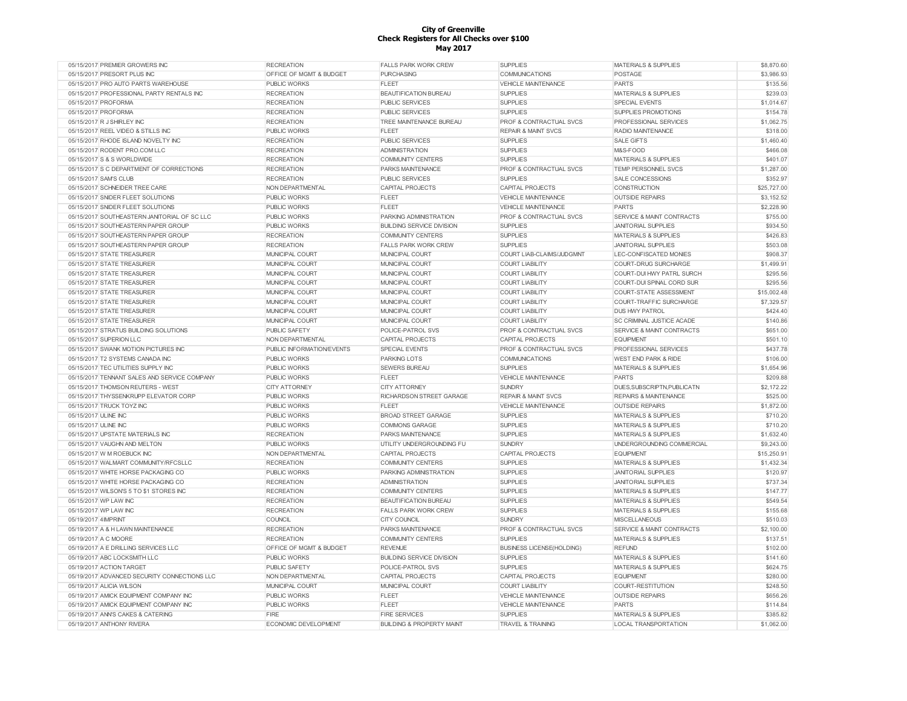| 05/15/2017 PREMIER GROWERS INC               | <b>RECREATION</b>                  | <b>FALLS PARK WORK CREW</b>          | <b>SUPPLIES</b>                    | <b>MATERIALS &amp; SUPPLIES</b>      | \$8,870.60  |
|----------------------------------------------|------------------------------------|--------------------------------------|------------------------------------|--------------------------------------|-------------|
| 05/15/2017 PRESORT PLUS INC                  | OFFICE OF MGMT & BUDGET            | <b>PURCHASING</b>                    | <b>COMMUNICATIONS</b>              | POSTAGE                              | \$3,986.93  |
| 05/15/2017 PRO AUTO PARTS WAREHOUSE          | <b>PUBLIC WORKS</b>                | <b>FLEET</b>                         | <b>VEHICLE MAINTENANCE</b>         | <b>PARTS</b>                         | \$135.56    |
| 05/15/2017 PROFESSIONAL PARTY RENTALS INC    | <b>RECREATION</b>                  | <b>BEAUTIFICATION BUREAU</b>         | <b>SUPPLIES</b>                    | <b>MATERIALS &amp; SUPPLIES</b>      | \$239.03    |
| 05/15/2017 PROFORMA                          | <b>RECREATION</b>                  | <b>PUBLIC SERVICES</b>               | <b>SUPPLIES</b>                    | SPECIAL EVENTS                       | \$1,014.67  |
| 05/15/2017 PROFORMA                          | <b>RECREATION</b>                  | <b>PUBLIC SERVICES</b>               | <b>SUPPLIES</b>                    | SUPPLIES PROMOTIONS                  | \$154.78    |
| 05/15/2017 R J SHIRLEY INC                   | <b>RECREATION</b>                  | TREE MAINTENANCE BUREAU              | PROF & CONTRACTUAL SVCS            | PROFESSIONAL SERVICES                | \$1,062.75  |
| 05/15/2017 REEL VIDEO & STILLS INC           | <b>PUBLIC WORKS</b>                | <b>FLEET</b>                         | <b>REPAIR &amp; MAINT SVCS</b>     | RADIO MAINTENANCE                    | \$318.00    |
| 05/15/2017 RHODE ISLAND NOVELTY INC          | <b>RECREATION</b>                  | <b>PUBLIC SERVICES</b>               | <b>SUPPLIES</b>                    | <b>SALE GIFTS</b>                    | \$1,460.40  |
| 05/15/2017 RODENT PRO.COM LLC                | <b>RECREATION</b>                  | <b>ADMINISTRATION</b>                | <b>SUPPLIES</b>                    | M&S-FOOD                             | \$466.08    |
| 05/15/2017 S & S WORLDWIDE                   | <b>RECREATION</b>                  | <b>COMMUNITY CENTERS</b>             | <b>SUPPLIES</b>                    | <b>MATERIALS &amp; SUPPLIES</b>      | \$401.07    |
| 05/15/2017 S C DEPARTMENT OF CORRECTIONS     | <b>RECREATION</b>                  | PARKS MAINTENANCE                    | PROF & CONTRACTUAL SVCS            | TEMP PERSONNEL SVCS                  | \$1,287.00  |
| 05/15/2017 SAM'S CLUB                        | <b>RECREATION</b>                  | <b>PUBLIC SERVICES</b>               | <b>SUPPLIES</b>                    | SALE CONCESSIONS                     | \$352.97    |
| 05/15/2017 SCHNEIDER TREE CARE               | NON DEPARTMENTAL                   | <b>CAPITAL PROJECTS</b>              | <b>CAPITAL PROJECTS</b>            | CONSTRUCTION                         | \$25,727.00 |
| 05/15/2017 SNIDER FLEET SOLUTIONS            | <b>PUBLIC WORKS</b>                | <b>FLEET</b>                         | <b>VEHICLE MAINTENANCE</b>         | <b>OUTSIDE REPAIRS</b>               | \$3.152.52  |
| 05/15/2017 SNIDER FLEET SOLUTIONS            | <b>PUBLIC WORKS</b>                | FLEET                                | <b>VEHICLE MAINTENANCE</b>         | <b>PARTS</b>                         | \$2,228.90  |
| 05/15/2017 SOUTHEASTERN JANITORIAL OF SC LLC | <b>PUBLIC WORKS</b>                | PARKING ADMINISTRATION               | <b>PROF &amp; CONTRACTUAL SVCS</b> | <b>SERVICE &amp; MAINT CONTRACTS</b> | \$755.00    |
| 05/15/2017 SOUTHEASTERN PAPER GROUP          | <b>PUBLIC WORKS</b>                | <b>BUILDING SERVICE DIVISION</b>     | <b>SUPPLIES</b>                    | <b>JANITORIAL SUPPLIES</b>           | \$934.50    |
| 05/15/2017 SOUTHEASTERN PAPER GROUP          | <b>RECREATION</b>                  | <b>COMMUNITY CENTERS</b>             | <b>SUPPLIES</b>                    | <b>MATERIALS &amp; SUPPLIES</b>      | \$426.83    |
| 05/15/2017 SOUTHEASTERN PAPER GROUP          | <b>RECREATION</b>                  | <b>FALLS PARK WORK CREW</b>          | <b>SUPPLIES</b>                    | <b>JANITORIAL SUPPLIES</b>           | \$503.08    |
| 05/15/2017 STATE TREASURER                   | MUNICIPAL COURT                    | MUNICIPAL COURT                      | COURT LIAB-CLAIMS/JUDGMNT          | LEC-CONFISCATED MONIES               | \$908.37    |
| 05/15/2017 STATE TREASURER                   |                                    |                                      | <b>COURT LIABILITY</b>             | <b>COURT-DRUG SURCHARGE</b>          | \$1,499.91  |
|                                              | MUNICIPAL COURT                    | MUNICIPAL COURT                      |                                    |                                      | \$295.56    |
| 05/15/2017 STATE TREASURER                   | MUNICIPAL COURT                    | MUNICIPAL COURT                      | <b>COURT LIABILITY</b>             | COURT-DUI HWY PATRL SURCH            |             |
| 05/15/2017 STATE TREASURER                   | MUNICIPAL COURT                    | MUNICIPAL COURT                      | <b>COURT LIABILITY</b>             | COURT-DUI SPINAL CORD SUR            | \$295.56    |
| 05/15/2017 STATE TREASURER                   | MUNICIPAL COURT                    | MUNICIPAL COURT                      | <b>COURT LIABILITY</b>             | <b>COURT-STATE ASSESSMENT</b>        | \$15,002.48 |
| 05/15/2017 STATE TREASURER                   | MUNICIPAL COURT                    | MUNICIPAL COURT                      | <b>COURT LIABILITY</b>             | COURT-TRAFFIC SURCHARGE              | \$7,329.57  |
| 05/15/2017 STATE TREASURER                   | MUNICIPAL COURT                    | MUNICIPAL COURT                      | <b>COURT LIABILITY</b>             | <b>DUS HWY PATROL</b>                | \$424.40    |
| 05/15/2017 STATE TREASURER                   | MUNICIPAL COURT                    | MUNICIPAL COURT                      | <b>COURT LIABILITY</b>             | SC CRIMINAL JUSTICE ACADE            | \$140.86    |
| 05/15/2017 STRATUS BUILDING SOLUTIONS        | PUBLIC SAFETY                      | POLICE-PATROL SVS                    | PROF & CONTRACTUAL SVCS            | SERVICE & MAINT CONTRACTS            | \$651.00    |
| 05/15/2017 SUPERION LLC                      | NON DEPARTMENTAL                   | CAPITAL PROJECTS                     | <b>CAPITAL PROJECTS</b>            | <b>EQUIPMENT</b>                     | \$501.10    |
| 05/15/2017 SWANK MOTION PICTURES INC         | PUBLIC INFORMATION/EVENTS          | <b>SPECIAL EVENTS</b>                | PROF & CONTRACTUAL SVCS            | PROFESSIONAL SERVICES                | \$437.78    |
| 05/15/2017 T2 SYSTEMS CANADA INC             | <b>PUBLIC WORKS</b>                | PARKING LOTS                         | <b>COMMUNICATIONS</b>              | WEST END PARK & RIDE                 | \$106.00    |
| 05/15/2017 TEC UTILITIES SUPPLY INC          | <b>PUBLIC WORKS</b>                | <b>SEWERS BUREAU</b>                 | <b>SUPPLIES</b>                    | <b>MATERIALS &amp; SUPPLIES</b>      | \$1,654.96  |
| 05/15/2017 TENNANT SALES AND SERVICE COMPANY | <b>PUBLIC WORKS</b>                | <b>FLEET</b>                         | VEHICLE MAINTENANCE                | PARTS                                | \$209.88    |
| 05/15/2017 THOMSON RELITERS - WEST           | <b>CITY ATTORNEY</b>               | <b>CITY ATTORNEY</b>                 | <b>SUNDRY</b>                      | DUES, SUBSCRIPTN, PUBLICATN          | \$2,172.22  |
| 05/15/2017 THYSSENKRUPP ELEVATOR CORP        | <b>PUBLIC WORKS</b>                | RICHARDSON STREET GARAGE             | <b>REPAIR &amp; MAINT SVCS</b>     | <b>REPAIRS &amp; MAINTENANCE</b>     | \$525.00    |
| 05/15/2017 TRUCK TOYZ INC                    | <b>PUBLIC WORKS</b>                | <b>FLEET</b>                         | <b>VEHICLE MAINTENANCE</b>         | <b>OUTSIDE REPAIRS</b>               | \$1,872.00  |
| 05/15/2017 ULINE INC                         | <b>PUBLIC WORKS</b>                | <b>BROAD STREET GARAGE</b>           | <b>SUPPLIES</b>                    | MATERIALS & SUPPLIES                 | \$710.20    |
| 05/15/2017 ULINE INC                         | <b>PUBLIC WORKS</b>                | <b>COMMONS GARAGE</b>                | <b>SUPPLIES</b>                    | <b>MATERIALS &amp; SUPPLIES</b>      | \$710.20    |
| 05/15/2017 UPSTATE MATERIALS INC             | <b>RECREATION</b>                  | <b>PARKS MAINTENANCE</b>             | <b>SUPPLIES</b>                    | MATERIALS & SUPPLIES                 | \$1,632.40  |
| 05/15/2017 VAUGHN AND MELTON                 | <b>PUBLIC WORKS</b>                | UTILITY UNDERGROUNDING FU            | <b>SUNDRY</b>                      | UNDERGROUNDING COMMERCIAL            | \$9,243.00  |
| 05/15/2017 W M ROEBUCK INC                   | NON DEPARTMENTAL                   | <b>CAPITAL PROJECTS</b>              | CAPITAL PROJECTS                   | <b>EQUIPMENT</b>                     | \$15,250.91 |
| 05/15/2017 WALMART COMMUNITY/RFCSLLC         | <b>RECREATION</b>                  | <b>COMMUNITY CENTERS</b>             | <b>SUPPLIES</b>                    | MATERIALS & SUPPLIES                 | \$1,432.34  |
| 05/15/2017 WHITE HORSE PACKAGING CO          | <b>PUBLIC WORKS</b>                | PARKING ADMINISTRATION               | <b>SUPPLIES</b>                    | <b>JANITORIAL SUPPLIES</b>           | \$120.97    |
| 05/15/2017 WHITE HORSE PACKAGING CO          | <b>RECREATION</b>                  | <b>ADMINISTRATION</b>                | <b>SUPPLIES</b>                    | <b>JANITORIAL SUPPLIES</b>           | \$737.34    |
| 05/15/2017 WILSON'S 5 TO \$1 STORES INC      | <b>RECREATION</b>                  | <b>COMMUNITY CENTERS</b>             | <b>SUPPLIES</b>                    | <b>MATERIALS &amp; SUPPLIES</b>      | \$147.77    |
| 05/15/2017 WP LAW INC                        | <b>RECREATION</b>                  | <b>BEAUTIFICATION BUREAU</b>         | <b>SUPPLIES</b>                    | <b>MATERIALS &amp; SUPPLIES</b>      | \$549.54    |
| 05/15/2017 WP LAW INC                        | <b>RECREATION</b>                  | <b>FALLS PARK WORK CREW</b>          | <b>SUPPLIES</b>                    | MATERIALS & SUPPLIES                 | \$155.68    |
| 05/19/2017 4IMPRINT                          | COUNCIL                            | <b>CITY COUNCIL</b>                  | <b>SUNDRY</b>                      | <b>MISCELLANEOUS</b>                 | \$510.03    |
| 05/19/2017 A & H LAWN MAINTENANCE            | <b>RECREATION</b>                  | PARKS MAINTENANCE                    | PROF & CONTRACTUAL SVCS            | SERVICE & MAINT CONTRACTS            | \$2,100.00  |
| 05/19/2017 A C MOORE                         | <b>RECREATION</b>                  | <b>COMMUNITY CENTERS</b>             | <b>SUPPLIES</b>                    | <b>MATERIALS &amp; SUPPLIES</b>      | \$137.51    |
| 05/19/2017 A E DRILLING SERVICES LLC         | <b>OFFICE OF MGMT &amp; BUDGET</b> | <b>REVENUE</b>                       | <b>BUSINESS LICENSE(HOLDING)</b>   | <b>REFUND</b>                        | \$102.00    |
| 05/19/2017 ABC LOCKSMITH LLC                 | <b>PUBLIC WORKS</b>                | <b>BUILDING SERVICE DIVISION</b>     | <b>SUPPLIES</b>                    | <b>MATERIALS &amp; SUPPLIES</b>      | \$141.60    |
| 05/19/2017 ACTION TARGET                     | <b>PUBLIC SAFETY</b>               | POLICE-PATROL SVS                    | <b>SUPPLIES</b>                    | <b>MATERIALS &amp; SUPPLIES</b>      | \$624.75    |
| 05/19/2017 ADVANCED SECURITY CONNECTIONS LLC | NON DEPARTMENTAL                   | <b>CAPITAL PROJECTS</b>              | CAPITAL PROJECTS                   | <b>EQUIPMENT</b>                     | \$280.00    |
| 05/19/2017 ALICIA WILSON                     | MUNICIPAL COURT                    | MUNICIPAL COURT                      | <b>COURT LIABILITY</b>             | COURT-RESTITUTION                    | \$248.50    |
| 05/19/2017 AMICK EQUIPMENT COMPANY INC       | <b>PUBLIC WORKS</b>                | FLEET                                | <b>VEHICLE MAINTENANCE</b>         | <b>OUTSIDE REPAIRS</b>               | \$656.26    |
| 05/19/2017 AMICK EQUIPMENT COMPANY INC       | <b>PUBLIC WORKS</b>                | <b>FLEET</b>                         | VEHICLE MAINTENANCE                | <b>PARTS</b>                         | \$114.84    |
| 05/19/2017 ANN'S CAKES & CATERING            | FIRE                               | <b>FIRE SERVICES</b>                 | <b>SUPPLIES</b>                    | <b>MATERIALS &amp; SUPPLIES</b>      | \$385.82    |
| 05/19/2017 ANTHONY RIVERA                    | <b>ECONOMIC DEVELOPMENT</b>        | <b>BUILDING &amp; PROPERTY MAINT</b> | <b>TRAVEL &amp; TRAINING</b>       | <b>LOCAL TRANSPORTATION</b>          | \$1,062.00  |
|                                              |                                    |                                      |                                    |                                      |             |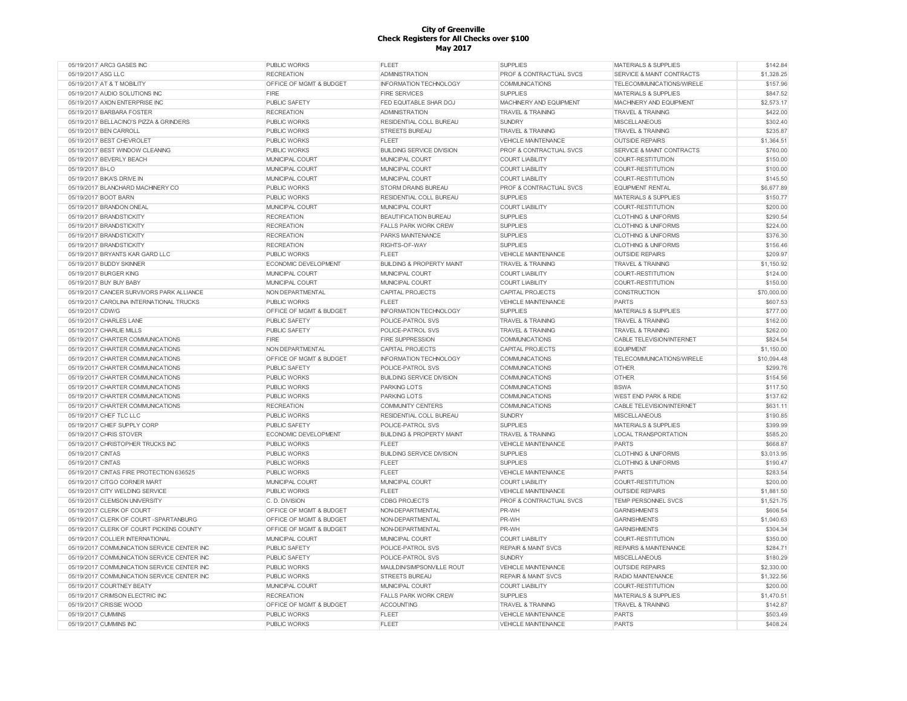| 05/19/2017 ARC3 GASES INC                    | <b>PUBLIC WORKS</b>                        | <b>FLEET</b>                         | <b>SUPPLIES</b>                                          | <b>MATERIALS &amp; SUPPLIES</b>      | \$142.84             |
|----------------------------------------------|--------------------------------------------|--------------------------------------|----------------------------------------------------------|--------------------------------------|----------------------|
| 05/19/2017 ASG LLC                           | <b>RECREATION</b>                          | <b>ADMINISTRATION</b>                | <b>PROF &amp; CONTRACTUAL SVCS</b>                       | <b>SERVICE &amp; MAINT CONTRACTS</b> | \$1,328.25           |
| 05/19/2017 AT & T MOBILITY                   | OFFICE OF MGMT & BUDGET                    | <b>INFORMATION TECHNOLOGY</b>        | <b>COMMUNICATIONS</b>                                    | TELECOMMUNICATIONS/WIRELE            | \$157.96             |
| 05/19/2017 AUDIO SOLUTIONS INC               | FIRE                                       | <b>FIRE SERVICES</b>                 | <b>SUPPLIES</b>                                          | <b>MATERIALS &amp; SUPPLIES</b>      | \$847.52             |
| 05/19/2017 AXON ENTERPRISE INC               | <b>PUBLIC SAFETY</b>                       | FED EQUITABLE SHAR DOJ               | MACHINERY AND EQUIPMENT                                  | MACHINERY AND EQUIPMENT              | \$2,573.17           |
| 05/19/2017 BARBARA FOSTER                    | <b>RECREATION</b>                          | <b>ADMINISTRATION</b>                | <b>TRAVEL &amp; TRAINING</b>                             | <b>TRAVEL &amp; TRAINING</b>         | \$422.00             |
| 05/19/2017 BELLACINO'S PIZZA & GRINDERS      | PUBLIC WORKS                               | RESIDENTIAL COLL BUREAU              | <b>SUNDRY</b>                                            | <b>MISCELLANEOUS</b>                 | \$302.40             |
| 05/19/2017 BEN CARROLL                       | <b>PUBLIC WORKS</b>                        | <b>STREETS BUREAU</b>                | <b>TRAVEL &amp; TRAINING</b>                             | <b>TRAVEL &amp; TRAINING</b>         | \$235.87             |
| 05/19/2017 BEST CHEVROLET                    | PUBLIC WORKS                               | <b>FLEET</b>                         | VEHICLE MAINTENANCE                                      | <b>OUTSIDE REPAIRS</b>               | \$1,364.51           |
| 05/19/2017 BEST WINDOW CLEANING              | <b>PUBLIC WORKS</b>                        | <b>BUILDING SERVICE DIVISION</b>     | <b>PROF &amp; CONTRACTUAL SVCS</b>                       | <b>SERVICE &amp; MAINT CONTRACTS</b> | \$760.00             |
| 05/19/2017 BEVERLY BEACH                     | MUNICIPAL COURT                            | MUNICIPAL COURT                      | <b>COURT LIABILITY</b>                                   | COURT-RESTITUTION                    | \$150.00             |
| 05/19/2017 BI-LO                             | MUNICIPAL COURT                            | MUNICIPAL COURT                      | <b>COURT LIABILITY</b>                                   | <b>COURT-RESTITUTION</b>             | \$100.00             |
| 05/19/2017 BIKA'S DRIVE IN                   | MUNICIPAL COURT                            | MUNICIPAL COURT                      | <b>COURT LIABILITY</b>                                   | COURT-RESTITUTION                    | \$145.50             |
| 05/19/2017 BLANCHARD MACHINERY CO            | <b>PUBLIC WORKS</b>                        | <b>STORM DRAINS BUREAU</b>           | <b>PROF &amp; CONTRACTUAL SVCS</b>                       | <b>EQUIPMENT RENTAL</b>              | \$6,677.89           |
| 05/19/2017 BOOT BARN                         | PUBLIC WORKS                               | RESIDENTIAL COLL BUREAU              | <b>SUPPLIES</b>                                          | <b>MATERIALS &amp; SUPPLIES</b>      | \$150.77             |
| 05/19/2017 BRANDON ONEAL                     | MUNICIPAL COURT                            | MUNICIPAL COURT                      | <b>COURT LIABILITY</b>                                   | <b>COURT-RESTITUTION</b>             | \$200.00             |
| 05/19/2017 BRANDSTICKITY                     | <b>RECREATION</b>                          | <b>BEAUTIFICATION BUREAU</b>         | <b>SUPPLIES</b>                                          | <b>CLOTHING &amp; UNIFORMS</b>       | \$290.54             |
| 05/19/2017 BRANDSTICKITY                     | <b>RECREATION</b>                          | <b>FALLS PARK WORK CREW</b>          | <b>SUPPLIES</b>                                          | <b>CLOTHING &amp; UNIFORMS</b>       | \$224.00             |
|                                              |                                            |                                      |                                                          |                                      | \$376.30             |
| 05/19/2017 BRANDSTICKITY                     | <b>RECREATION</b>                          | PARKS MAINTENANCE                    | <b>SUPPLIES</b>                                          | <b>CLOTHING &amp; UNIFORMS</b>       |                      |
| 05/19/2017 BRANDSTICKITY                     | <b>RECREATION</b>                          | RIGHTS-OF-WAY                        | <b>SUPPLIES</b>                                          | <b>CLOTHING &amp; UNIFORMS</b>       | \$156.46             |
| 05/19/2017 BRYANTS KAR GARD LLC              | <b>PUBLIC WORKS</b>                        | <b>FLEET</b>                         | VEHICLE MAINTENANCE                                      | <b>OUTSIDE REPAIRS</b>               | \$209.97             |
| 05/19/2017 BUDDY SKINNER                     | ECONOMIC DEVELOPMENT                       | <b>BUILDING &amp; PROPERTY MAINT</b> | <b>TRAVEL &amp; TRAINING</b>                             | <b>TRAVEL &amp; TRAINING</b>         | \$1,150.92           |
| 05/19/2017 BURGER KING                       | MUNICIPAL COURT                            | MUNICIPAL COURT                      | <b>COURT LIABILITY</b>                                   | <b>COURT-RESTITUTION</b>             | \$124.00             |
| 05/19/2017 BUY BUY BABY                      | MUNICIPAL COURT                            | MUNICIPAL COURT                      | <b>COURT LIABILITY</b>                                   | <b>COURT-RESTITUTION</b>             | \$150.00             |
| 05/19/2017 CANCER SURVIVORS PARK ALLIANCE    | NON DEPARTMENTAL                           | <b>CAPITAL PROJECTS</b>              | <b>CAPITAL PROJECTS</b>                                  | CONSTRUCTION                         | \$70,000.00          |
| 05/19/2017 CAROLINA INTERNATIONAL TRUCKS     | <b>PUBLIC WORKS</b>                        | <b>FLEET</b>                         | <b>VEHICLE MAINTENANCE</b>                               | <b>PARTS</b>                         | \$607.53             |
| 05/19/2017 CDW/G                             | OFFICE OF MGMT & BUDGET                    | <b>INFORMATION TECHNOLOGY</b>        | <b>SUPPLIES</b>                                          | <b>MATERIALS &amp; SUPPLIES</b>      | \$777.00             |
| 05/19/2017 CHARLES LANE                      | <b>PUBLIC SAFETY</b>                       | POLICE-PATROL SVS                    | <b>TRAVEL &amp; TRAINING</b>                             | <b>TRAVEL &amp; TRAINING</b>         | \$162.00             |
| 05/19/2017 CHARLIE MILLS                     | PUBLIC SAFETY                              | POLICE-PATROL SVS                    | <b>TRAVEL &amp; TRAINING</b>                             | <b>TRAVEL &amp; TRAINING</b>         | \$262.00             |
| 05/19/2017 CHARTER COMMUNICATIONS            | <b>FIRE</b>                                | <b>FIRE SUPPRESSION</b>              | <b>COMMUNICATIONS</b>                                    | CABLE TELEVISION/INTERNET            | \$824.54             |
| 05/19/2017 CHARTER COMMUNICATIONS            | NON DEPARTMENTAL                           | CAPITAL PROJECTS                     | <b>CAPITAL PROJECTS</b>                                  | <b>EQUIPMENT</b>                     | \$1,150.00           |
| 05/19/2017 CHARTER COMMUNICATIONS            | OFFICE OF MGMT & BUDGET                    | INFORMATION TECHNOLOGY               | <b>COMMUNICATIONS</b>                                    | TELECOMMUNICATIONS/WIRELE            | \$10,094.48          |
| 05/19/2017 CHARTER COMMUNICATIONS            | PUBLIC SAFETY                              | POLICE-PATROL SVS                    | <b>COMMUNICATIONS</b>                                    | <b>OTHER</b>                         | \$299.76             |
| 05/19/2017 CHARTER COMMUNICATIONS            | <b>PUBLIC WORKS</b>                        | <b>BUILDING SERVICE DIVISION</b>     | <b>COMMUNICATIONS</b>                                    | <b>OTHER</b>                         | \$154.56             |
| 05/19/2017 CHARTER COMMUNICATIONS            | PUBLIC WORKS                               | <b>PARKING LOTS</b>                  | <b>COMMUNICATIONS</b>                                    | <b>BSWA</b>                          | \$117.50             |
| 05/19/2017 CHARTER COMMUNICATIONS            | PUBLIC WORKS                               | <b>PARKING LOTS</b>                  | <b>COMMUNICATIONS</b>                                    | <b>WEST END PARK &amp; RIDE</b>      | \$137.62             |
| 05/19/2017 CHARTER COMMUNICATIONS            | <b>RECREATION</b>                          | <b>COMMUNITY CENTERS</b>             | <b>COMMUNICATIONS</b>                                    | CABLE TELEVISION/INTERNET            | \$631.11             |
| 05/19/2017 CHEF TLC LLC                      | PUBLIC WORKS                               | RESIDENTIAL COLL BUREAU              | <b>SUNDRY</b>                                            | <b>MISCELLANEOUS</b>                 | \$190.85             |
| 05/19/2017 CHIEF SUPPLY CORP                 | PUBLIC SAFETY                              | POLICE-PATROL SVS                    | <b>SUPPLIES</b>                                          | <b>MATERIALS &amp; SUPPLIES</b>      | \$399.99             |
| 05/19/2017 CHRIS STOVER                      | ECONOMIC DEVELOPMENT                       | <b>BUILDING &amp; PROPERTY MAINT</b> | <b>TRAVEL &amp; TRAINING</b>                             | <b>LOCAL TRANSPORTATION</b>          | \$585.20             |
| 05/19/2017 CHRISTOPHER TRUCKS INC            | <b>PUBLIC WORKS</b>                        | <b>FLEET</b>                         | <b>VEHICLE MAINTENANCE</b>                               | PARTS                                | \$668.87             |
| 05/19/2017 CINTAS                            | <b>PUBLIC WORKS</b>                        | <b>BUILDING SERVICE DIVISION</b>     | <b>SUPPLIES</b>                                          | <b>CLOTHING &amp; UNIFORMS</b>       | \$3,013.95           |
| 05/19/2017 CINTAS                            | PUBLIC WORKS                               | <b>FLEET</b>                         | <b>SUPPLIES</b>                                          | <b>CLOTHING &amp; UNIFORMS</b>       | \$190.47             |
| 05/19/2017 CINTAS FIRE PROTECTION 636525     | <b>PUBLIC WORKS</b>                        | <b>FLEET</b>                         | <b>VEHICLE MAINTENANCE</b>                               | <b>PARTS</b>                         | \$283.54             |
| 05/19/2017 CITGO CORNER MART                 | MUNICIPAL COURT                            | MUNICIPAL COURT                      | <b>COURT LIABILITY</b>                                   | COURT-RESTITUTION                    | \$200.00             |
| 05/19/2017 CITY WELDING SERVICE              | <b>PUBLIC WORKS</b>                        | FLEET                                | <b>VEHICLE MAINTENANCE</b>                               | <b>OUTSIDE REPAIRS</b>               | \$1,881.50           |
| 05/19/2017 CLEMSON UNIVERSITY                | C. D. DIVISION                             | <b>CDBG PROJECTS</b>                 | PROF & CONTRACTUAL SVCS                                  | TEMP PERSONNEL SVCS                  | \$1,521.75           |
| 05/19/2017 CLERK OF COURT                    | OFFICE OF MGMT & BUDGET                    | NON-DEPARTMENTAL                     | PR-WH                                                    | <b>GARNISHMENTS</b>                  | \$606.54             |
| 05/19/2017 CLERK OF COURT -SPARTANBURG       | OFFICE OF MGMT & BUDGET                    | NON-DEPARTMENTAL                     | PR-WH                                                    | <b>GARNISHMENTS</b>                  | \$1,040.63           |
| 05/19/2017 CLERK OF COURT PICKENS COUNTY     |                                            |                                      |                                                          |                                      |                      |
|                                              |                                            |                                      |                                                          |                                      |                      |
| 05/19/2017 COLLIER INTERNATIONAL             | OFFICE OF MGMT & BUDGET                    | NON-DEPARTMENTAL                     | PR-WH                                                    | <b>GARNISHMENTS</b>                  | \$304.34             |
|                                              | MUNICIPAL COURT                            | MUNICIPAL COURT                      | <b>COURT LIABILITY</b>                                   | COURT-RESTITUTION                    | \$350.00             |
| 05/19/2017 COMMUNICATION SERVICE CENTER INC  | PUBLIC SAFETY                              | POLICE-PATROL SVS                    | <b>REPAIR &amp; MAINT SVCS</b>                           | <b>REPAIRS &amp; MAINTENANCE</b>     | \$284.71             |
| 05/19/2017 COMMUNICATION SERVICE CENTER INC  | PUBLIC SAFETY                              | POLICE-PATROL SVS                    | <b>SUNDRY</b>                                            | <b>MISCELLANEOUS</b>                 | \$180.29             |
| 05/19/2017 COMMUNICATION SERVICE CENTER INC  | <b>PUBLIC WORKS</b>                        | MAULDIN/SIMPSONVILLE ROUT            | <b>VEHICLE MAINTENANCE</b>                               | <b>OUTSIDE REPAIRS</b>               | \$2,330.00           |
| 05/19/2017 COMMUNICATION SERVICE CENTER INC  | <b>PUBLIC WORKS</b>                        | <b>STREETS BUREAU</b>                | <b>REPAIR &amp; MAINT SVCS</b>                           | RADIO MAINTENANCE                    | \$1,322.56           |
| 05/19/2017 COURTNEY BEATY                    | MUNICIPAL COURT                            | MUNICIPAL COURT                      | <b>COURT LIABILITY</b>                                   | COURT-RESTITUTION                    | \$200.00             |
| 05/19/2017 CRIMSON ELECTRIC INC              | <b>RECREATION</b>                          | FALLS PARK WORK CREW                 | <b>SUPPLIES</b>                                          | MATERIALS & SUPPLIES                 | \$1.470.51           |
| 05/19/2017 CRISSIE WOOD                      | OFFICE OF MGMT & BUDGET                    | ACCOUNTING                           | <b>TRAVEL &amp; TRAINING</b>                             | <b>TRAVEL &amp; TRAINING</b>         | \$142.87             |
| 05/19/2017 CUMMINS<br>05/19/2017 CUMMINS INC | <b>PUBLIC WORKS</b><br><b>PUBLIC WORKS</b> | <b>FLEET</b><br><b>FLEET</b>         | <b>VEHICLE MAINTENANCE</b><br><b>VEHICLE MAINTENANCE</b> | <b>PARTS</b><br>PARTS                | \$503.49<br>\$408.24 |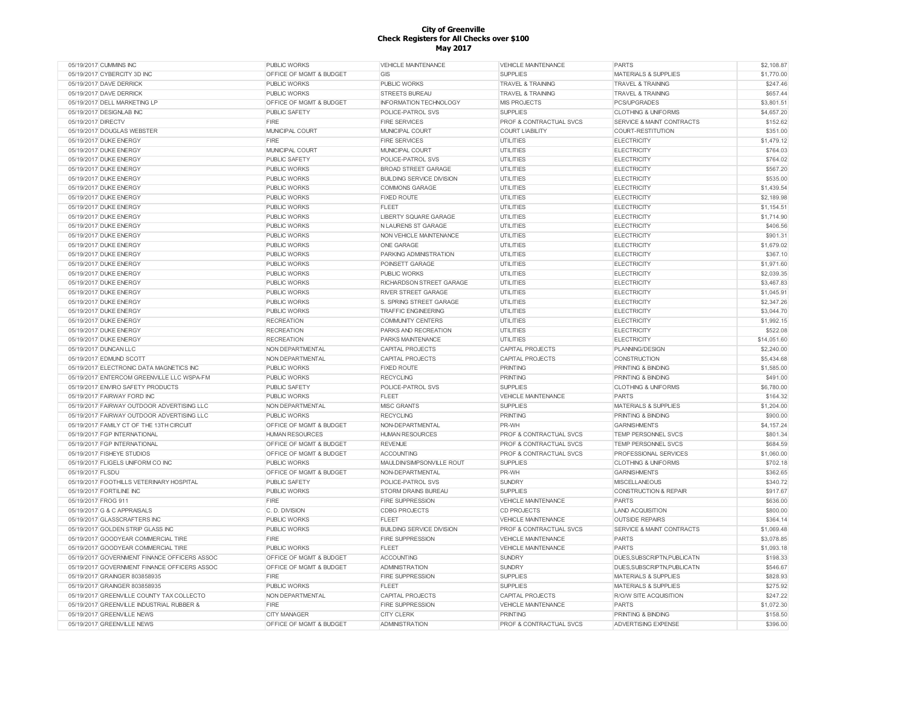| 05/19/2017 CUMMINS INC                       | PUBLIC WORKS            | <b>VEHICLE MAINTENANCE</b>       | <b>VEHICLE MAINTENANCE</b>         | <b>PARTS</b>                    | \$2,108.87  |
|----------------------------------------------|-------------------------|----------------------------------|------------------------------------|---------------------------------|-------------|
| 05/19/2017 CYBERCITY 3D INC                  | OFFICE OF MGMT & BUDGET | GIS                              | <b>SUPPLIES</b>                    | <b>MATERIALS &amp; SUPPLIES</b> | \$1,770.00  |
| 05/19/2017 DAVE DERRICK                      | <b>PUBLIC WORKS</b>     | PUBLIC WORKS                     | <b>TRAVEL &amp; TRAINING</b>       | <b>TRAVEL &amp; TRAINING</b>    | \$247.46    |
| 05/19/2017 DAVE DERRICK                      | <b>PUBLIC WORKS</b>     | <b>STREETS BUREAU</b>            | <b>TRAVEL &amp; TRAINING</b>       | <b>TRAVEL &amp; TRAINING</b>    | \$657.44    |
| 05/19/2017 DELL MARKETING LP                 | OFFICE OF MGMT & BUDGET | INFORMATION TECHNOLOGY           | <b>MIS PROJECTS</b>                | PCS/UPGRADES                    | \$3,801.51  |
| 05/19/2017 DESIGNLAB INC                     | PUBLIC SAFETY           | POLICE-PATROL SVS                | <b>SUPPLIES</b>                    | <b>CLOTHING &amp; UNIFORMS</b>  | \$4,657.20  |
| 05/19/2017 DIRECTV                           | FIRE                    | <b>FIRE SERVICES</b>             | PROF & CONTRACTUAL SVCS            | SERVICE & MAINT CONTRACTS       | \$152.62    |
| 05/19/2017 DOUGLAS WEBSTER                   | MUNICIPAL COURT         | MUNICIPAL COURT                  | <b>COURT LIABILITY</b>             | <b>COURT-RESTITUTION</b>        | \$351.00    |
| 05/19/2017 DUKE ENERGY                       | <b>FIRE</b>             | <b>FIRE SERVICES</b>             | <b>UTILITIES</b>                   | <b>ELECTRICITY</b>              | \$1,479.12  |
| 05/19/2017 DUKE ENERGY                       | MUNICIPAL COURT         | MUNICIPAL COURT                  | <b>UTILITIES</b>                   | <b>ELECTRICITY</b>              | \$764.03    |
| 05/19/2017 DUKE ENERGY                       | PUBLIC SAFETY           | POLICE-PATROL SVS                | <b>UTILITIES</b>                   | <b>ELECTRICITY</b>              | \$764.02    |
| 05/19/2017 DUKE ENERGY                       | <b>PUBLIC WORKS</b>     |                                  |                                    |                                 |             |
|                                              |                         | <b>BROAD STREET GARAGE</b>       | <b>UTILITIES</b>                   | <b>ELECTRICITY</b>              | \$567.20    |
| 05/19/2017 DUKE ENERGY                       | PUBLIC WORKS            | <b>BUILDING SERVICE DIVISION</b> | <b>UTILITIES</b>                   | <b>ELECTRICITY</b>              | \$535.00    |
| 05/19/2017 DUKE ENERGY                       | PUBLIC WORKS            | <b>COMMONS GARAGE</b>            | <b>UTILITIES</b>                   | <b>ELECTRICITY</b>              | \$1,439.54  |
| 05/19/2017 DUKE ENERGY                       | <b>PUBLIC WORKS</b>     | <b>FIXED ROUTE</b>               | UTILITIES                          | <b>ELECTRICITY</b>              | \$2,189.98  |
| 05/19/2017 DUKE ENERGY                       | PUBLIC WORKS            | FLEET                            | <b>UTILITIES</b>                   | <b>ELECTRICITY</b>              | \$1,154.51  |
| 05/19/2017 DUKE ENERGY                       | <b>PUBLIC WORKS</b>     | <b>LIBERTY SQUARE GARAGE</b>     | <b>UTILITIES</b>                   | <b>ELECTRICITY</b>              | \$1,714.90  |
| 05/19/2017 DUKE ENERGY                       | PUBLIC WORKS            | N LAURENS ST GARAGE              | UTILITIES                          | <b>ELECTRICITY</b>              | \$406.56    |
| 05/19/2017 DUKE ENERGY                       | <b>PUBLIC WORKS</b>     | NON VEHICLE MAINTENANCE          | <b>UTILITIES</b>                   | <b>ELECTRICITY</b>              | \$901.31    |
| 05/19/2017 DUKE ENERGY                       | PUBLIC WORKS            | ONE GARAGE                       | <b>UTILITIES</b>                   | <b>ELECTRICITY</b>              | \$1,679.02  |
| 05/19/2017 DUKE ENERGY                       | PUBLIC WORKS            | PARKING ADMINISTRATION           | <b>UTILITIES</b>                   | <b>ELECTRICITY</b>              | \$367.10    |
| 05/19/2017 DUKE ENERGY                       | PUBLIC WORKS            | POINSETT GARAGE                  | <b>UTILITIES</b>                   | <b>ELECTRICITY</b>              | \$1,971.60  |
| 05/19/2017 DUKE ENERGY                       | <b>PUBLIC WORKS</b>     | PUBLIC WORKS                     | <b>UTILITIES</b>                   | <b>ELECTRICITY</b>              | \$2,039.35  |
| 05/19/2017 DUKE ENERGY                       | <b>PUBLIC WORKS</b>     | RICHARDSON STREET GARAGE         | <b>UTILITIES</b>                   | <b>ELECTRICITY</b>              | \$3,467.83  |
| 05/19/2017 DUKE ENERGY                       | <b>PUBLIC WORKS</b>     | <b>RIVER STREET GARAGE</b>       | <b>UTILITIES</b>                   | <b>ELECTRICITY</b>              | \$1.045.91  |
| 05/19/2017 DUKE ENERGY                       | <b>PUBLIC WORKS</b>     | S. SPRING STREET GARAGE          | <b>UTILITIES</b>                   | <b>ELECTRICITY</b>              | \$2,347.26  |
| 05/19/2017 DUKE ENERGY                       | <b>PUBLIC WORKS</b>     | <b>TRAFFIC ENGINEERING</b>       | <b>UTILITIES</b>                   | <b>ELECTRICITY</b>              | \$3,044.70  |
| 05/19/2017 DUKE ENERGY                       |                         |                                  |                                    |                                 |             |
|                                              | <b>RECREATION</b>       | <b>COMMUNITY CENTERS</b>         | UTILITIES                          | <b>ELECTRICITY</b>              | \$1,992.15  |
| 05/19/2017 DUKE ENERGY                       | <b>RECREATION</b>       | PARKS AND RECREATION             | UTILITIES                          | <b>ELECTRICITY</b>              | \$522.08    |
| 05/19/2017 DUKE ENERGY                       | <b>RECREATION</b>       | PARKS MAINTENANCE                | UTILITIES                          | <b>ELECTRICITY</b>              | \$14,051.60 |
| 05/19/2017 DUNCAN LLC                        | NON DEPARTMENTAL        | CAPITAL PROJECTS                 | CAPITAL PROJECTS                   | PLANNING/DESIGN                 | \$2,240.00  |
| 05/19/2017 EDMUND SCOTT                      | NON DEPARTMENTAL        | CAPITAL PROJECTS                 | CAPITAL PROJECTS                   | <b>CONSTRUCTION</b>             | \$5,434.68  |
| 05/19/2017 ELECTRONIC DATA MAGNETICS INC     | <b>PUBLIC WORKS</b>     | <b>FIXED ROUTE</b>               | <b>PRINTING</b>                    | PRINTING & BINDING              | \$1,585.00  |
| 05/19/2017 ENTERCOM GREENVILLE LLC WSPA-FM   | <b>PUBLIC WORKS</b>     | <b>RECYCLING</b>                 | <b>PRINTING</b>                    | <b>PRINTING &amp; BINDING</b>   | \$491.00    |
| 05/19/2017 ENVIRO SAFETY PRODUCTS            | PUBLIC SAFETY           | POLICE-PATROL SVS                | <b>SUPPLIES</b>                    | <b>CLOTHING &amp; UNIFORMS</b>  | \$6,780.00  |
| 05/19/2017 FAIRWAY FORD INC                  | <b>PUBLIC WORKS</b>     | <b>FLEET</b>                     | VEHICLE MAINTENANCE                | <b>PARTS</b>                    | \$164.32    |
| 05/19/2017 FAIRWAY OUTDOOR ADVERTISING LLC   | NON DEPARTMENTAL        | <b>MISC GRANTS</b>               | <b>SUPPLIES</b>                    | MATERIALS & SUPPLIES            | \$1,204.00  |
| 05/19/2017 FAIRWAY OUTDOOR ADVERTISING LLC   | <b>PUBLIC WORKS</b>     | <b>RECYCLING</b>                 | <b>PRINTING</b>                    | PRINTING & BINDING              | \$900.00    |
| 05/19/2017 FAMILY CT OF THE 13TH CIRCUIT     | OFFICE OF MGMT & BUDGET | NON-DEPARTMENTAL                 | PR-WH                              | <b>GARNISHMENTS</b>             | \$4,157.24  |
| 05/19/2017 FGP INTERNATIONAL                 | <b>HUMAN RESOURCES</b>  | <b>HUMAN RESOURCES</b>           | PROF & CONTRACTUAL SVCS            | TEMP PERSONNEL SVCS             | \$801.34    |
| 05/19/2017 FGP INTERNATIONAL                 | OFFICE OF MGMT & BUDGET | <b>REVENUE</b>                   | <b>PROF &amp; CONTRACTUAL SVCS</b> | TEMP PERSONNEL SVCS             | \$684.59    |
| 05/19/2017 FISHEYE STUDIOS                   | OFFICE OF MGMT & BUDGET | <b>ACCOUNTING</b>                | <b>PROF &amp; CONTRACTUAL SVCS</b> | PROFESSIONAL SERVICES           | \$1,060.00  |
| 05/19/2017 FLIGELS UNIFORM CO INC            | <b>PUBLIC WORKS</b>     | MAULDIN/SIMPSONVILLE ROUT        | <b>SUPPLIES</b>                    | <b>CLOTHING &amp; UNIFORMS</b>  | \$702.18    |
| 05/19/2017 FLSDU                             | OFFICE OF MGMT & BUDGET | NON-DEPARTMENTAL                 | PR-WH                              | <b>GARNISHMENTS</b>             | \$362.65    |
|                                              |                         |                                  |                                    |                                 |             |
| 05/19/2017 FOOTHILLS VETERINARY HOSPITAL     | <b>PUBLIC SAFETY</b>    | POLICE-PATROL SVS                | <b>SUNDRY</b>                      | <b>MISCELLANEOUS</b>            | \$340.72    |
| 05/19/2017 FORTILINE INC                     | <b>PUBLIC WORKS</b>     | <b>STORM DRAINS BUREAU</b>       | <b>SUPPLIES</b>                    | CONSTRUCTION & REPAIR           | \$917.67    |
| 05/19/2017 FROG 911                          | <b>FIRE</b>             | <b>FIRE SUPPRESSION</b>          | <b>VEHICLE MAINTENANCE</b>         | <b>PARTS</b>                    | \$636.00    |
| 05/19/2017 G & C APPRAISALS                  | C. D. DIVISION          | <b>CDBG PROJECTS</b>             | <b>CD PROJECTS</b>                 | <b>LAND ACQUISITION</b>         | \$800.00    |
| 05/19/2017 GLASSCRAFTERS INC                 | <b>PUBLIC WORKS</b>     | <b>FLEET</b>                     | <b>VEHICLE MAINTENANCE</b>         | <b>OUTSIDE REPAIRS</b>          | \$364.14    |
| 05/19/2017 GOLDEN STRIP GLASS INC            | <b>PUBLIC WORKS</b>     | <b>BUILDING SERVICE DIVISION</b> | PROF & CONTRACTUAL SVCS            | SERVICE & MAINT CONTRACTS       | \$1,069.48  |
| 05/19/2017 GOODYEAR COMMERCIAL TIRE          | <b>FIRE</b>             | <b>FIRE SUPPRESSION</b>          | <b>VEHICLE MAINTENANCE</b>         | <b>PARTS</b>                    | \$3,078.85  |
| 05/19/2017 GOODYEAR COMMERCIAL TIRE          | PUBLIC WORKS            | FLEET                            | <b>VEHICLE MAINTENANCE</b>         | <b>PARTS</b>                    | \$1,093.18  |
| 05/19/2017 GOVERNMENT FINANCE OFFICERS ASSOC | OFFICE OF MGMT & BUDGET | <b>ACCOUNTING</b>                | <b>SUNDRY</b>                      | DUES.SUBSCRIPTN.PUBLICATN       | \$198.33    |
| 05/19/2017 GOVERNMENT FINANCE OFFICERS ASSOC | OFFICE OF MGMT & BUDGET | <b>ADMINISTRATION</b>            | <b>SUNDRY</b>                      | DUES.SUBSCRIPTN.PUBLICATN       | \$546.67    |
| 05/19/2017 GRAINGER 803858935                | FIRE                    | <b>FIRE SUPPRESSION</b>          | <b>SUPPLIES</b>                    | <b>MATERIALS &amp; SUPPLIES</b> | \$828.93    |
| 05/19/2017 GRAINGER 803858935                | <b>PUBLIC WORKS</b>     | FLEET                            | <b>SUPPLIES</b>                    | <b>MATERIALS &amp; SUPPLIES</b> | \$275.92    |
| 05/19/2017 GREENVILLE COUNTY TAX COLLECTO    | NON DEPARTMENTAL        | CAPITAL PROJECTS                 | CAPITAL PROJECTS                   | <b>R/O/W SITE ACQUISITION</b>   | \$247.22    |
| 05/19/2017 GREENVILLE INDUSTRIAL RUBBER &    | <b>FIRE</b>             | <b>FIRE SUPPRESSION</b>          | <b>VEHICLE MAINTENANCE</b>         | <b>PARTS</b>                    | \$1,072.30  |
| 05/19/2017 GREENVILLE NEWS                   | CITY MANAGER            | <b>CITY CLERK</b>                | <b>PRINTING</b>                    | PRINTING & BINDING              | \$158.50    |
|                                              |                         |                                  |                                    |                                 |             |
| 05/19/2017 GREENVILLE NEWS                   | OFFICE OF MGMT & BUDGET | <b>ADMINISTRATION</b>            | PROF & CONTRACTUAL SVCS            | <b>ADVERTISING EXPENSE</b>      | \$396.00    |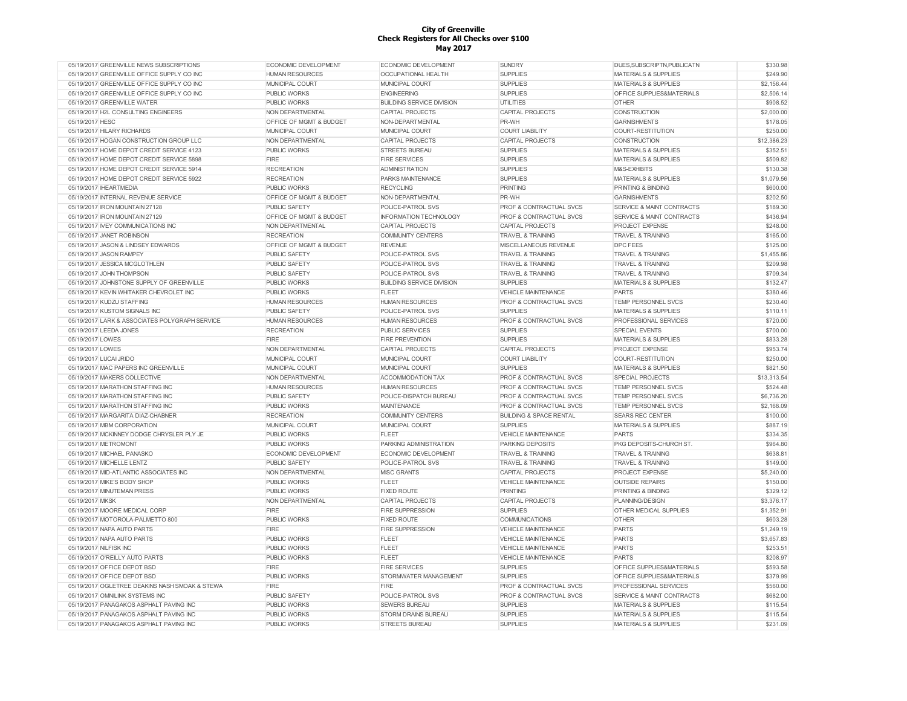| 05/19/2017 GREENVILLE NEWS SUBSCRIPTIONS       | ECONOMIC DEVELOPMENT    | ECONOMIC DEVELOPMENT             | <b>SUNDRY</b>                      | DUES, SUBSCRIPTN, PUBLICATN          | \$330.98    |
|------------------------------------------------|-------------------------|----------------------------------|------------------------------------|--------------------------------------|-------------|
| 05/19/2017 GREENVILLE OFFICE SUPPLY CO INC     | <b>HUMAN RESOURCES</b>  | <b>OCCUPATIONAL HEALTH</b>       | <b>SUPPLIES</b>                    | <b>MATERIALS &amp; SUPPLIES</b>      | \$249.90    |
| 05/19/2017 GREENVILLE OFFICE SUPPLY CO INC     | MUNICIPAL COURT         | <b>MUNICIPAL COURT</b>           | <b>SUPPLIES</b>                    | <b>MATERIALS &amp; SUPPLIES</b>      | \$2.156.44  |
| 05/19/2017 GREENVILLE OFFICE SUPPLY CO INC     | <b>PUBLIC WORKS</b>     | <b>ENGINEERING</b>               | <b>SUPPLIES</b>                    | <b>OFFICE SUPPLIES&amp;MATERIALS</b> | \$2,506.14  |
| 05/19/2017 GREENVILLE WATER                    | <b>PUBLIC WORKS</b>     | <b>BUILDING SERVICE DIVISION</b> | UTILITIES                          | <b>OTHER</b>                         | \$908.52    |
| 05/19/2017 H2L CONSULTING ENGINEERS            | NON DEPARTMENTAL        | <b>CAPITAL PROJECTS</b>          | <b>CAPITAL PROJECTS</b>            | CONSTRUCTION                         | \$2,000.00  |
| 05/19/2017 HESC                                | OFFICE OF MGMT & BUDGET | NON-DEPARTMENTAL                 | PR-WH                              | <b>GARNISHMENTS</b>                  | \$178.05    |
| 05/19/2017 HILARY RICHARDS                     | MUNICIPAL COURT         | MUNICIPAL COURT                  | <b>COURT LIABILITY</b>             | COURT-RESTITUTION                    | \$250.00    |
| 05/19/2017 HOGAN CONSTRUCTION GROUP LLC        | NON DEPARTMENTAL        | <b>CAPITAL PROJECTS</b>          | <b>CAPITAL PROJECTS</b>            | <b>CONSTRUCTION</b>                  | \$12,386.23 |
| 05/19/2017 HOME DEPOT CREDIT SERVICE 4123      | <b>PUBLIC WORKS</b>     | <b>STREETS BUREAU</b>            | <b>SUPPLIES</b>                    | <b>MATERIALS &amp; SUPPLIES</b>      | \$352.51    |
| 05/19/2017 HOME DEPOT CREDIT SERVICE 5898      | FIRE                    | <b>FIRE SERVICES</b>             | <b>SUPPLIES</b>                    | <b>MATERIALS &amp; SUPPLIES</b>      | \$509.82    |
| 05/19/2017 HOME DEPOT CREDIT SERVICE 5914      | <b>RECREATION</b>       | <b>ADMINISTRATION</b>            | <b>SUPPLIES</b>                    | M&S-EXHIBITS                         | \$130.38    |
| 05/19/2017 HOME DEPOT CREDIT SERVICE 5922      | <b>RECREATION</b>       | PARKS MAINTENANCE                | <b>SUPPLIES</b>                    | <b>MATERIALS &amp; SUPPLIES</b>      | \$1,079.56  |
| 05/19/2017 IHEARTMEDIA                         | <b>PUBLIC WORKS</b>     | <b>RECYCLING</b>                 | PRINTING                           | <b>PRINTING &amp; BINDING</b>        | \$600.00    |
| 05/19/2017 INTERNAL REVENUE SERVICE            | OFFICE OF MGMT & BUDGET | NON-DEPARTMENTAL                 | PR-WH                              | <b>GARNISHMENTS</b>                  | \$202.50    |
| 05/19/2017 IRON MOUNTAIN 27128                 | <b>PUBLIC SAFETY</b>    | POLICE-PATROL SVS                | <b>PROF &amp; CONTRACTUAL SVCS</b> | <b>SERVICE &amp; MAINT CONTRACTS</b> | \$189.30    |
| 05/19/2017 IRON MOUNTAIN 27129                 | OFFICE OF MGMT & BUDGET | <b>INFORMATION TECHNOLOGY</b>    | PROF & CONTRACTUAL SVCS            | SERVICE & MAINT CONTRACTS            | \$436.94    |
|                                                |                         |                                  |                                    |                                      | \$248.00    |
| 05/19/2017 IVEY COMMUNICATIONS INC             | NON DEPARTMENTAL        | <b>CAPITAL PROJECTS</b>          | <b>CAPITAL PROJECTS</b>            | <b>PROJECT EXPENSE</b>               |             |
| 05/19/2017 JANET ROBINSON                      | <b>RECREATION</b>       | <b>COMMUNITY CENTERS</b>         | <b>TRAVEL &amp; TRAINING</b>       | <b>TRAVEL &amp; TRAINING</b>         | \$165.00    |
| 05/19/2017 JASON & LINDSEY EDWARDS             | OFFICE OF MGMT & BUDGET | <b>REVENUE</b>                   | MISCELLANEOUS REVENUE              | <b>DPC FEES</b>                      | \$125.00    |
| 05/19/2017 JASON RAMPEY                        | <b>PUBLIC SAFETY</b>    | POLICE-PATROL SVS                | <b>TRAVEL &amp; TRAINING</b>       | <b>TRAVEL &amp; TRAINING</b>         | \$1,455.86  |
| 05/19/2017 JESSICA MCGLOTHLEN                  | PUBLIC SAFETY           | POLICE-PATROL SVS                | <b>TRAVEL &amp; TRAINING</b>       | <b>TRAVEL &amp; TRAINING</b>         | \$209.98    |
| 05/19/2017 JOHN THOMPSON                       | PUBLIC SAFETY           | POLICE-PATROL SVS                | <b>TRAVEL &amp; TRAINING</b>       | <b>TRAVEL &amp; TRAINING</b>         | \$709.34    |
| 05/19/2017 JOHNSTONE SUPPLY OF GREENVILLE      | <b>PUBLIC WORKS</b>     | <b>BUILDING SERVICE DIVISION</b> | <b>SUPPLIES</b>                    | <b>MATERIALS &amp; SUPPLIES</b>      | \$132.47    |
| 05/19/2017 KEVIN WHITAKER CHEVROLET INC        | <b>PUBLIC WORKS</b>     | <b>FLEET</b>                     | <b>VEHICLE MAINTENANCE</b>         | PARTS                                | \$380.46    |
| 05/19/2017 KUDZU STAFFING                      | <b>HUMAN RESOURCES</b>  | <b>HUMAN RESOURCES</b>           | <b>PROF &amp; CONTRACTUAL SVCS</b> | <b>TEMP PERSONNEL SVCS</b>           | \$230.40    |
| 05/19/2017 KUSTOM SIGNALS INC                  | PUBLIC SAFETY           | POLICE-PATROL SVS                | <b>SUPPLIES</b>                    | <b>MATERIALS &amp; SUPPLIES</b>      | \$110.11    |
| 05/19/2017 LARK & ASSOCIATES POLYGRAPH SERVICE | <b>HUMAN RESOURCES</b>  | <b>HUMAN RESOURCES</b>           | <b>PROF &amp; CONTRACTUAL SVCS</b> | PROFESSIONAL SERVICES                | \$720.00    |
| 05/19/2017 LEEDA JONES                         | <b>RECREATION</b>       | <b>PUBLIC SERVICES</b>           | <b>SUPPLIES</b>                    | <b>SPECIAL EVENTS</b>                | \$700.00    |
| 05/19/2017 LOWES                               | FIRE                    | <b>FIRE PREVENTION</b>           | <b>SUPPLIES</b>                    | <b>MATERIALS &amp; SUPPLIES</b>      | \$833.28    |
| 05/19/2017 LOWES                               | NON DEPARTMENTAL        | <b>CAPITAL PROJECTS</b>          | CAPITAL PROJECTS                   | PROJECT EXPENSE                      | \$953.74    |
| 05/19/2017 LUCAI JRIDO                         | MUNICIPAL COURT         | MUNICIPAL COURT                  | <b>COURT LIABILITY</b>             | <b>COURT-RESTITUTION</b>             | \$250.00    |
| 05/19/2017 MAC PAPERS INC GREENVILLE           | MUNICIPAL COURT         | MUNICIPAL COURT                  | <b>SUPPLIES</b>                    | <b>MATERIALS &amp; SUPPLIES</b>      | \$821.50    |
| 05/19/2017 MAKERS COLLECTIVE                   | NON DEPARTMENTAL        | ACCOMMODATION TAX                | <b>PROF &amp; CONTRACTUAL SVCS</b> | <b>SPECIAL PROJECTS</b>              | \$13,313.54 |
| 05/19/2017 MARATHON STAFFING INC               | <b>HUMAN RESOURCES</b>  | <b>HUMAN RESOURCES</b>           | PROF & CONTRACTUAL SVCS            | TEMP PERSONNEL SVCS                  | \$524.48    |
| 05/19/2017 MARATHON STAFFING INC               | <b>PUBLIC SAFETY</b>    | POLICE-DISPATCH BUREAU           | PROF & CONTRACTUAL SVCS            | <b>TEMP PERSONNEL SVCS</b>           | \$6,736.20  |
| 05/19/2017 MARATHON STAFFING INC               | PUBLIC WORKS            | <b>MAINTENANCE</b>               | PROF & CONTRACTUAL SVCS            | TEMP PERSONNEL SVCS                  | \$2,168.09  |
| 05/19/2017 MARGARITA DIAZ-CHABNER              | <b>RECREATION</b>       | <b>COMMUNITY CENTERS</b>         | <b>BUILDING &amp; SPACE RENTAL</b> | <b>SEARS REC CENTER</b>              | \$100.00    |
| 05/19/2017 MBM CORPORATION                     | MUNICIPAL COURT         | MUNICIPAL COURT                  | <b>SUPPLIES</b>                    | <b>MATERIALS &amp; SUPPLIES</b>      | \$887.19    |
| 05/19/2017 MCKINNEY DODGE CHRYSLER PLY JE      | <b>PUBLIC WORKS</b>     | <b>FLEET</b>                     | <b>VEHICLE MAINTENANCE</b>         | PARTS                                | \$334.35    |
| 05/19/2017 METROMONT                           | <b>PUBLIC WORKS</b>     | PARKING ADMINISTRATION           | <b>PARKING DEPOSITS</b>            | PKG DEPOSITS-CHURCH ST.              | \$964.80    |
| 05/19/2017 MICHAEL PANASKO                     | ECONOMIC DEVELOPMENT    | <b>ECONOMIC DEVELOPMENT</b>      | <b>TRAVEL &amp; TRAINING</b>       | <b>TRAVEL &amp; TRAINING</b>         | \$638.81    |
| 05/19/2017 MICHELLE LENTZ                      | <b>PUBLIC SAFETY</b>    | POLICE-PATROL SVS                | <b>TRAVEL &amp; TRAINING</b>       | <b>TRAVEL &amp; TRAINING</b>         | \$149.00    |
| 05/19/2017 MID-ATLANTIC ASSOCIATES INC         | NON DEPARTMENTAL        | <b>MISC GRANTS</b>               | <b>CAPITAL PROJECTS</b>            | PROJECT EXPENSE                      | \$5,240.00  |
| 05/19/2017 MIKE'S BODY SHOP                    | <b>PUBLIC WORKS</b>     | <b>FLEET</b>                     | <b>VEHICLE MAINTENANCE</b>         | <b>OUTSIDE REPAIRS</b>               | \$150.00    |
| 05/19/2017 MINUTEMAN PRESS                     | <b>PUBLIC WORKS</b>     | <b>FIXED ROUTE</b>               | PRINTING                           | PRINTING & BINDING                   | \$329.12    |
| 05/19/2017 MKSK                                | NON DEPARTMENTAL        | <b>CAPITAL PROJECTS</b>          | <b>CAPITAL PROJECTS</b>            | PLANNING/DESIGN                      | \$3.376.17  |
| 05/19/2017 MOORE MEDICAL CORP                  | FIRE                    | <b>FIRE SUPPRESSION</b>          | <b>SUPPLIES</b>                    | OTHER MEDICAL SUPPLIES               | \$1,352.91  |
| 05/19/2017 MOTOROLA-PALMETTO 800               |                         | <b>FIXED ROUTE</b>               | <b>COMMUNICATIONS</b>              | <b>OTHER</b>                         | \$603.28    |
|                                                | <b>PUBLIC WORKS</b>     |                                  |                                    |                                      |             |
| 05/19/2017 NAPA AUTO PARTS                     | <b>FIRE</b>             | <b>FIRE SUPPRESSION</b>          | <b>VEHICLE MAINTENANCE</b>         | <b>PARTS</b>                         | \$1,249.19  |
| 05/19/2017 NAPA AUTO PARTS                     | <b>PUBLIC WORKS</b>     | FLEET                            | <b>VEHICLE MAINTENANCE</b>         | <b>PARTS</b>                         | \$3,657.83  |
| 05/19/2017 NILFISK INC                         | <b>PUBLIC WORKS</b>     | <b>FLEET</b>                     | <b>VEHICLE MAINTENANCE</b>         | PARTS                                | \$253.51    |
| 05/19/2017 O'REILLY AUTO PARTS                 | <b>PUBLIC WORKS</b>     | <b>FLEET</b>                     | <b>VEHICLE MAINTENANCE</b>         | <b>PARTS</b>                         | \$208.97    |
| 05/19/2017 OFFICE DEPOT BSD                    | FIRE                    | <b>FIRE SERVICES</b>             | <b>SUPPLIES</b>                    | OFFICE SUPPLIES&MATERIALS            | \$593.58    |
| 05/19/2017 OFFICE DEPOT BSD                    | <b>PUBLIC WORKS</b>     | STORMWATER MANAGEMENT            | <b>SUPPLIES</b>                    | OFFICE SUPPLIES&MATERIALS            | \$379.99    |
| 05/19/2017 OGLETREE DEAKINS NASH SMOAK & STEWA | FIRE                    | <b>FIRE</b>                      | PROF & CONTRACTUAL SVCS            | <b>PROFESSIONAL SERVICES</b>         | \$560.00    |
| 05/19/2017 OMNILINK SYSTEMS INC                | PUBLIC SAFETY           | POLICE-PATROL SVS                | PROF & CONTRACTUAL SVCS            | SERVICE & MAINT CONTRACTS            | \$682.00    |
| 05/19/2017 PANAGAKOS ASPHALT PAVING INC        | <b>PUBLIC WORKS</b>     | <b>SEWERS BUREAU</b>             | <b>SUPPLIES</b>                    | MATERIALS & SUPPLIES                 | \$115.54    |
| 05/19/2017 PANAGAKOS ASPHALT PAVING INC        | <b>PUBLIC WORKS</b>     | <b>STORM DRAINS BUREAU</b>       | <b>SUPPLIES</b>                    | <b>MATERIALS &amp; SUPPLIES</b>      | \$115.54    |
| 05/19/2017 PANAGAKOS ASPHALT PAVING INC        | <b>PUBLIC WORKS</b>     | <b>STREETS BUREAU</b>            | <b>SUPPLIES</b>                    | <b>MATERIALS &amp; SUPPLIES</b>      | \$231.09    |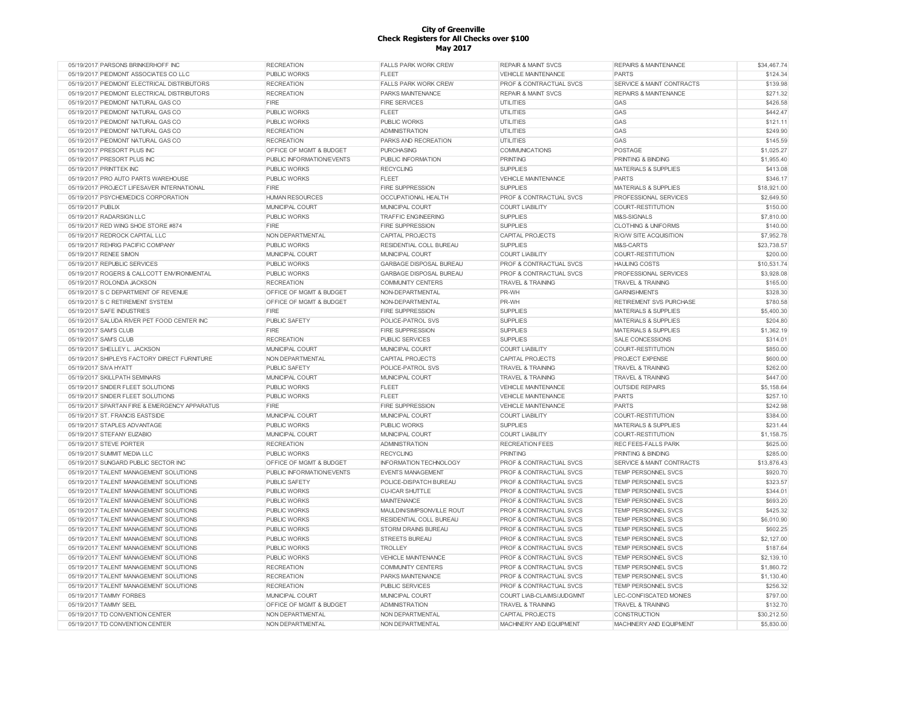| 05/19/2017 PARSONS BRINKERHOFF INC            | <b>RECREATION</b>                  | <b>FALLS PARK WORK CREW</b>    | <b>REPAIR &amp; MAINT SVCS</b>     | REPAIRS & MAINTENANCE            | \$34,467.74 |
|-----------------------------------------------|------------------------------------|--------------------------------|------------------------------------|----------------------------------|-------------|
| 05/19/2017 PIEDMONT ASSOCIATES CO LLC         | PUBLIC WORKS                       | <b>FLEET</b>                   | <b>VEHICLE MAINTENANCE</b>         | <b>PARTS</b>                     | \$124.34    |
| 05/19/2017 PIEDMONT ELECTRICAL DISTRIBUTORS   | <b>RECREATION</b>                  | <b>FALLS PARK WORK CREW</b>    | PROF & CONTRACTUAL SVCS            | SERVICE & MAINT CONTRACTS        | \$139.98    |
| 05/19/2017 PIEDMONT ELECTRICAL DISTRIBUTORS   | <b>RECREATION</b>                  | PARKS MAINTENANCE              | <b>REPAIR &amp; MAINT SVCS</b>     | <b>REPAIRS &amp; MAINTENANCE</b> | \$271.32    |
| 05/19/2017 PIEDMONT NATURAL GAS CO            | FIRE                               | <b>FIRE SERVICES</b>           | <b>UTILITIES</b>                   | GAS                              | \$426.58    |
| 05/19/2017 PIEDMONT NATURAL GAS CO            | <b>PUBLIC WORKS</b>                | <b>FLEET</b>                   | UTILITIES                          | GAS                              | \$442.47    |
| 05/19/2017 PIEDMONT NATURAL GAS CO            | PUBLIC WORKS                       | <b>PUBLIC WORKS</b>            | <b>UTILITIES</b>                   | GAS                              | \$121.11    |
| 05/19/2017 PIEDMONT NATURAL GAS CO            | <b>RECREATION</b>                  | <b>ADMINISTRATION</b>          | <b>UTILITIES</b>                   | GAS                              | \$249.90    |
| 05/19/2017 PIEDMONT NATURAL GAS CO            | <b>RECREATION</b>                  | PARKS AND RECREATION           | <b>UTILITIES</b>                   | GAS                              | \$145.59    |
| 05/19/2017 PRESORT PLUS INC                   | OFFICE OF MGMT & BUDGET            | <b>PURCHASING</b>              | <b>COMMUNICATIONS</b>              | POSTAGE                          | \$1,025.27  |
| 05/19/2017 PRESORT PLUS INC                   | PUBLIC INFORMATION/EVENTS          | PUBLIC INFORMATION             | <b>PRINTING</b>                    | PRINTING & BINDING               | \$1,955.40  |
| 05/19/2017 PRINTTEK INC                       | <b>PUBLIC WORKS</b>                | <b>RECYCLING</b>               | <b>SUPPLIES</b>                    | <b>MATERIALS &amp; SUPPLIES</b>  | \$413.08    |
| 05/19/2017 PRO AUTO PARTS WAREHOUSE           | <b>PUBLIC WORKS</b>                | <b>FLEET</b>                   | <b>VEHICLE MAINTENANCE</b>         | <b>PARTS</b>                     | \$346.17    |
| 05/19/2017 PROJECT LIFESAVER INTERNATIONAL    | FIRE                               | <b>FIRE SUPPRESSION</b>        | <b>SUPPLIES</b>                    | <b>MATERIALS &amp; SUPPLIES</b>  | \$18,921.00 |
| 05/19/2017 PSYCHEMEDICS CORPORATION           | <b>HUMAN RESOURCES</b>             | OCCUPATIONAL HEALTH            | PROF & CONTRACTUAL SVCS            | PROFESSIONAL SERVICES            | \$2,649.50  |
| 05/19/2017 PUBLIX                             | MUNICIPAL COURT                    | MUNICIPAL COURT                | <b>COURT LIABILITY</b>             | COURT-RESTITUTION                | \$150.00    |
| 05/19/2017 RADARSIGN LLC                      | <b>PUBLIC WORKS</b>                | <b>TRAFFIC ENGINEERING</b>     | <b>SUPPLIES</b>                    | M&S-SIGNALS                      | \$7,810.00  |
| 05/19/2017 RED WING SHOE STORE #874           | FIRE                               | <b>FIRE SUPPRESSION</b>        | <b>SUPPLIES</b>                    | <b>CLOTHING &amp; UNIFORMS</b>   | \$140.00    |
| 05/19/2017 REDROCK CAPITAL LLC                | NON DEPARTMENTAL                   | CAPITAL PROJECTS               | CAPITAL PROJECTS                   | R/O/W SITE ACQUISITION           | \$7,952.78  |
| 05/19/2017 REHRIG PACIFIC COMPANY             | PUBLIC WORKS                       | RESIDENTIAL COLL BUREAU        | <b>SUPPLIES</b>                    | M&S-CARTS                        | \$23,738.57 |
| 05/19/2017 RENEE SIMON                        | MUNICIPAL COURT                    | MUNICIPAL COURT                | <b>COURT LIABILITY</b>             | COURT-RESTITUTION                | \$200.00    |
| 05/19/2017 REPUBLIC SERVICES                  | <b>PUBLIC WORKS</b>                | GARBAGE DISPOSAL BUREAU        | PROF & CONTRACTUAL SVCS            | <b>HAULING COSTS</b>             | \$10,531.74 |
| 05/19/2017 ROGERS & CALLCOTT ENVIRONMENTAL    | <b>PUBLIC WORKS</b>                | <b>GARBAGE DISPOSAL BUREAU</b> | PROF & CONTRACTUAL SVCS            |                                  | \$3,928.08  |
|                                               |                                    |                                |                                    | PROFESSIONAL SERVICES            |             |
| 05/19/2017 ROLONDA JACKSON                    | <b>RECREATION</b>                  | <b>COMMUNITY CENTERS</b>       | <b>TRAVEL &amp; TRAINING</b>       | <b>TRAVEL &amp; TRAINING</b>     | \$165.00    |
| 05/19/2017 S C DEPARTMENT OF REVENUE          | OFFICE OF MGMT & BUDGET            | NON-DEPARTMENTAL               | PR-WH                              | <b>GARNISHMENTS</b>              | \$328.30    |
| 05/19/2017 S C RETIREMENT SYSTEM              | <b>OFFICE OF MGMT &amp; BUDGET</b> | NON-DEPARTMENTAL               | PR-WH                              | <b>RETIREMENT SVS PURCHASE</b>   | \$780.58    |
| 05/19/2017 SAFE INDUSTRIES                    | FIRE                               | <b>FIRE SUPPRESSION</b>        | <b>SUPPLIES</b>                    | <b>MATERIALS &amp; SUPPLIES</b>  | \$5,400.30  |
| 05/19/2017 SALUDA RIVER PET FOOD CENTER INC   | PUBLIC SAFETY                      | POLICE-PATROL SVS              | <b>SUPPLIES</b>                    | <b>MATERIALS &amp; SUPPLIES</b>  | \$204.80    |
| 05/19/2017 SAM'S CLUB                         | FIRE                               | <b>FIRE SUPPRESSION</b>        | <b>SUPPLIES</b>                    | <b>MATERIALS &amp; SUPPLIES</b>  | \$1,362.19  |
| 05/19/2017 SAM'S CLUB                         | <b>RECREATION</b>                  | PUBLIC SERVICES                | <b>SUPPLIES</b>                    | <b>SALE CONCESSIONS</b>          | \$314.01    |
| 05/19/2017 SHELLEY L. JACKSON                 | MUNICIPAL COURT                    | MUNICIPAL COURT                | <b>COURT LIABILITY</b>             | COURT-RESTITUTION                | \$850.00    |
| 05/19/2017 SHIPLEYS FACTORY DIRECT FURNITURE  | NON DEPARTMENTAL                   | CAPITAL PROJECTS               | <b>CAPITAL PROJECTS</b>            | PROJECT EXPENSE                  | \$600.00    |
| 05/19/2017 SIVA HYATT                         | PUBLIC SAFETY                      | POLICE-PATROL SVS              | <b>TRAVEL &amp; TRAINING</b>       | <b>TRAVEL &amp; TRAINING</b>     | \$262.00    |
| 05/19/2017 SKILLPATH SEMINARS                 | MUNICIPAL COURT                    | MUNICIPAL COURT                | <b>TRAVEL &amp; TRAINING</b>       | <b>TRAVEL &amp; TRAINING</b>     | \$447.00    |
| 05/19/2017 SNIDER FLEET SOLUTIONS             | <b>PUBLIC WORKS</b>                | <b>FLEET</b>                   | <b>VEHICLE MAINTENANCE</b>         | <b>OUTSIDE REPAIRS</b>           | \$5,158.64  |
| 05/19/2017 SNIDER FLEET SOLUTIONS             | <b>PUBLIC WORKS</b>                | <b>FLEET</b>                   | <b>VEHICLE MAINTENANCE</b>         | <b>PARTS</b>                     | \$257.10    |
| 05/19/2017 SPARTAN FIRE & EMERGENCY APPARATUS | FIRE                               | <b>FIRE SUPPRESSION</b>        | <b>VEHICLE MAINTENANCE</b>         | <b>PARTS</b>                     | \$242.98    |
| 05/19/2017 ST. FRANCIS EASTSIDE               | MUNICIPAL COURT                    | MUNICIPAL COURT                | <b>COURT LIABILITY</b>             | COURT-RESTITUTION                | \$384.00    |
| 05/19/2017 STAPLES ADVANTAGE                  | PUBLIC WORKS                       | <b>PUBLIC WORKS</b>            | <b>SUPPLIES</b>                    | <b>MATERIALS &amp; SUPPLIES</b>  | \$231.44    |
| 05/19/2017 STEFANY EUZABIO                    | MUNICIPAL COURT                    | MUNICIPAL COURT                | <b>COURT LIABILITY</b>             | COURT-RESTITUTION                | \$1,158.75  |
| 05/19/2017 STEVE PORTER                       | <b>RECREATION</b>                  | <b>ADMINISTRATION</b>          | <b>RECREATION FEES</b>             | <b>REC FEES-FALLS PARK</b>       | \$625.00    |
| 05/19/2017 SUMMIT MEDIA LLC                   | <b>PUBLIC WORKS</b>                | <b>RECYCLING</b>               | <b>PRINTING</b>                    | PRINTING & BINDING               | \$285.00    |
| 05/19/2017 SUNGARD PUBLIC SECTOR INC          | OFFICE OF MGMT & BUDGET            | <b>INFORMATION TECHNOLOGY</b>  | PROF & CONTRACTUAL SVCS            | SERVICE & MAINT CONTRACTS        | \$13,876.43 |
| 05/19/2017 TALENT MANAGEMENT SOLUTIONS        | PUBLIC INFORMATION/EVENTS          | <b>EVENTS MANAGEMENT</b>       | PROF & CONTRACTUAL SVCS            | TEMP PERSONNEL SVCS              | \$920.70    |
| 05/19/2017 TALENT MANAGEMENT SOLUTIONS        | <b>PUBLIC SAFETY</b>               | POLICE-DISPATCH BUREAU         | PROF & CONTRACTUAL SVCS            | TEMP PERSONNEL SVCS              | \$323.57    |
| 05/19/2017 TALENT MANAGEMENT SOLUTIONS        | <b>PUBLIC WORKS</b>                | <b>CU-ICAR SHUTTLE</b>         | PROF & CONTRACTUAL SVCS            | <b>TEMP PERSONNEL SVCS</b>       | \$344.01    |
| 05/19/2017 TALENT MANAGEMENT SOLUTIONS        | <b>PUBLIC WORKS</b>                | <b>MAINTENANCE</b>             | PROF & CONTRACTUAL SVCS            | TEMP PERSONNEL SVCS              | \$693.20    |
| 05/19/2017 TALENT MANAGEMENT SOLUTIONS        | <b>PUBLIC WORKS</b>                | MAULDIN/SIMPSONVILLE ROUT      | PROF & CONTRACTUAL SVCS            | <b>TEMP PERSONNEL SVCS</b>       | \$425.32    |
| 05/19/2017 TALENT MANAGEMENT SOLUTIONS        | <b>PUBLIC WORKS</b>                | RESIDENTIAL COLL BUREAU        | PROF & CONTRACTUAL SVCS            | TEMP PERSONNEL SVCS              | \$6,010.90  |
| 05/19/2017 TALENT MANAGEMENT SOLUTIONS        | <b>PUBLIC WORKS</b>                | <b>STORM DRAINS BUREAU</b>     | <b>PROF &amp; CONTRACTUAL SVCS</b> | <b>TEMP PERSONNEL SVCS</b>       | \$602.25    |
| 05/19/2017 TALENT MANAGEMENT SOLUTIONS        | <b>PUBLIC WORKS</b>                | <b>STREETS BUREAU</b>          | PROF & CONTRACTUAL SVCS            | TEMP PERSONNEL SVCS              | \$2,127.00  |
| 05/19/2017 TALENT MANAGEMENT SOLUTIONS        | <b>PUBLIC WORKS</b>                | <b>TROLLEY</b>                 | PROF & CONTRACTUAL SVCS            | TEMP PERSONNEL SVCS              | \$187.64    |
| 05/19/2017 TALENT MANAGEMENT SOLUTIONS        | PUBLIC WORKS                       | <b>VEHICLE MAINTENANCE</b>     | PROF & CONTRACTUAL SVCS            | TEMP PERSONNEL SVCS              | \$2,139.10  |
| 05/19/2017 TALENT MANAGEMENT SOLUTIONS        | <b>RECREATION</b>                  | <b>COMMUNITY CENTERS</b>       | PROF & CONTRACTUAL SVCS            | TEMP PERSONNEL SVCS              | \$1,860.72  |
| 05/19/2017 TALENT MANAGEMENT SOLUTIONS        | <b>RECREATION</b>                  | PARKS MAINTENANCE              | <b>PROF &amp; CONTRACTUAL SVCS</b> | TEMP PERSONNEL SVCS              | \$1,130.40  |
| 05/19/2017 TALENT MANAGEMENT SOLUTIONS        | <b>RECREATION</b>                  | PUBLIC SERVICES                | PROF & CONTRACTUAL SVCS            | TEMP PERSONNEL SVCS              | \$256.32    |
| 05/19/2017 TAMMY FORBES                       | MUNICIPAL COURT                    | MUNICIPAL COURT                | COURT LIAB-CLAIMS/JUDGMNT          | LEC-CONFISCATED MONIES           | \$797.00    |
| 05/19/2017 TAMMY SEEL                         | OFFICE OF MGMT & BUDGET            | <b>ADMINISTRATION</b>          | <b>TRAVEL &amp; TRAINING</b>       | <b>TRAVEL &amp; TRAINING</b>     | \$132.70    |
| 05/19/2017 TD CONVENTION CENTER               | NON DEPARTMENTAL                   | NON DEPARTMENTAL               | <b>CAPITAL PROJECTS</b>            | <b>CONSTRUCTION</b>              | \$30,212.50 |
| 05/19/2017 TD CONVENTION CENTER               | NON DEPARTMENTAL                   | NON DEPARTMENTAL               | MACHINERY AND EQUIPMENT            | MACHINERY AND EQUIPMENT          | \$5,830.00  |
|                                               |                                    |                                |                                    |                                  |             |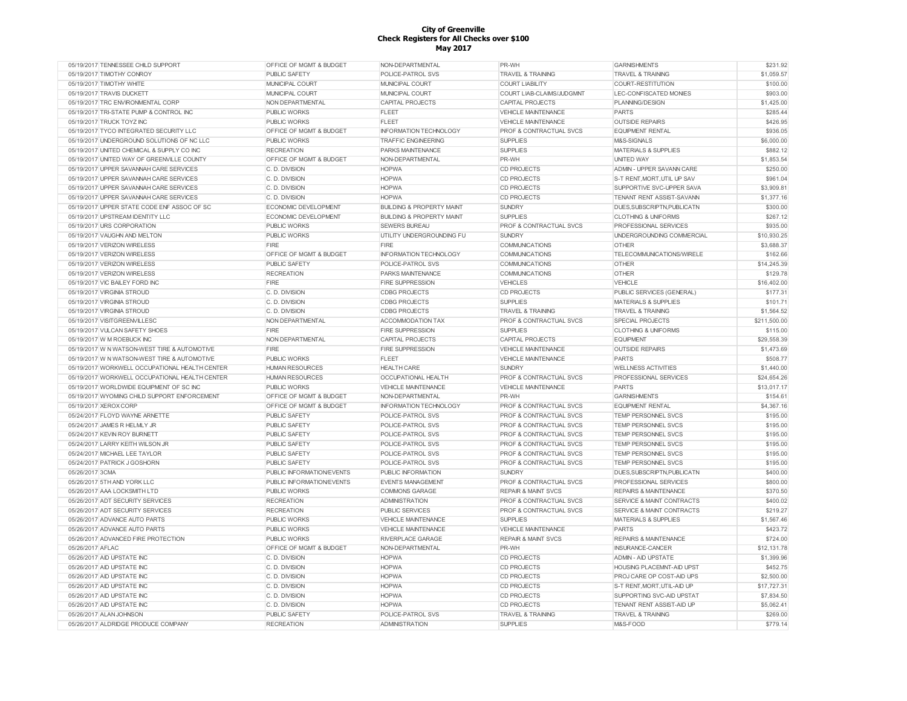| 05/19/2017 TENNESSEE CHILD SUPPORT             | OFFICE OF MGMT & BUDGET     | NON-DEPARTMENTAL                     | PR-WH                              | <b>GARNISHMENTS</b>                  | \$231.92     |
|------------------------------------------------|-----------------------------|--------------------------------------|------------------------------------|--------------------------------------|--------------|
| 05/19/2017 TIMOTHY CONROY                      | <b>PUBLIC SAFETY</b>        | POLICE-PATROL SVS                    | <b>TRAVEL &amp; TRAINING</b>       | <b>TRAVEL &amp; TRAINING</b>         | \$1,059.57   |
| 05/19/2017 TIMOTHY WHITE                       | MUNICIPAL COURT             | <b>MUNICIPAL COURT</b>               | <b>COURT LIABILITY</b>             | COURT-RESTITUTION                    | \$100.00     |
| 05/19/2017 TRAVIS DUCKETT                      | MUNICIPAL COURT             | MUNICIPAL COURT                      | COURT LIAB-CLAIMS/JUDGMNT          | LEC-CONFISCATED MONIES               | \$903.00     |
| 05/19/2017 TRC ENVIRONMENTAL CORP              | NON DEPARTMENTAL            | CAPITAL PROJECTS                     | <b>CAPITAL PROJECTS</b>            | PLANNING/DESIGN                      | \$1,425.00   |
| 05/19/2017 TRI-STATE PUMP & CONTROL INC        | <b>PUBLIC WORKS</b>         | FLEET                                | <b>VEHICLE MAINTENANCE</b>         | <b>PARTS</b>                         | \$285.44     |
| 05/19/2017 TRUCK TOYZ INC                      | PUBLIC WORKS                | <b>FLEET</b>                         | <b>VEHICLE MAINTENANCE</b>         | <b>OUTSIDE REPAIRS</b>               | \$426.95     |
| 05/19/2017 TYCO INTEGRATED SECURITY LLC        | OFFICE OF MGMT & BUDGET     | INFORMATION TECHNOLOGY               | <b>PROF &amp; CONTRACTUAL SVCS</b> | <b>EQUIPMENT RENTAL</b>              | \$936.05     |
| 05/19/2017 UNDERGROUND SOLUTIONS OF NC LLC     | <b>PUBLIC WORKS</b>         | <b>TRAFFIC ENGINEERING</b>           | <b>SUPPLIES</b>                    | M&S-SIGNALS                          | \$6,000.00   |
| 05/19/2017 UNITED CHEMICAL & SUPPLY CO INC     | <b>RECREATION</b>           | PARKS MAINTENANCE                    | <b>SUPPLIES</b>                    | <b>MATERIALS &amp; SUPPLIES</b>      | \$882.12     |
| 05/19/2017 UNITED WAY OF GREENVILLE COUNTY     | OFFICE OF MGMT & BUDGET     | NON-DEPARTMENTAL                     | PR-WH                              | <b>UNITED WAY</b>                    | \$1,853.54   |
| 05/19/2017 UPPER SAVANNAH CARE SERVICES        | C. D. DIVISION              | <b>HOPWA</b>                         | <b>CD PROJECTS</b>                 | ADMIN - UPPER SAVANN CARE            | \$250.00     |
| 05/19/2017 UPPER SAVANNAH CARE SERVICES        | C. D. DIVISION              | <b>HOPWA</b>                         | <b>CD PROJECTS</b>                 | S-T RENT, MORT, UTIL UP SAV          | \$961.04     |
| 05/19/2017 UPPER SAVANNAH CARE SERVICES        | C. D. DIVISION              | <b>HOPWA</b>                         | <b>CD PROJECTS</b>                 | SUPPORTIVE SVC-UPPER SAVA            | \$3,909.81   |
| 05/19/2017 UPPER SAVANNAH CARE SERVICES        | C. D. DIVISION              | <b>HOPWA</b>                         | <b>CD PROJECTS</b>                 | TENANT RENT ASSIST-SAVANN            | \$1,377.16   |
| 05/19/2017 UPPER STATE CODE ENF ASSOC OF SC    | <b>ECONOMIC DEVELOPMENT</b> | <b>BUILDING &amp; PROPERTY MAINT</b> | <b>SUNDRY</b>                      | DUES, SUBSCRIPTN, PUBLICATN          | \$300.00     |
| 05/19/2017 UPSTREAM IDENTITY LLC               | ECONOMIC DEVELOPMENT        | <b>BUILDING &amp; PROPERTY MAINT</b> | <b>SUPPLIES</b>                    | <b>CLOTHING &amp; UNIFORMS</b>       | \$267.12     |
|                                                |                             |                                      |                                    |                                      |              |
| 05/19/2017 URS CORPORATION                     | <b>PUBLIC WORKS</b>         | <b>SEWERS BUREAU</b>                 | <b>PROF &amp; CONTRACTUAL SVCS</b> | PROFESSIONAL SERVICES                | \$935.00     |
| 05/19/2017 VAUGHN AND MELTON                   | PUBLIC WORKS                | UTILITY UNDERGROUNDING FU            | <b>SUNDRY</b>                      | UNDERGROUNDING COMMERCIAL            | \$10,930.25  |
| 05/19/2017 VERIZON WIRELESS                    | FIRE                        | FIRE                                 | COMMUNICATIONS                     | <b>OTHER</b>                         | \$3,688.37   |
| 05/19/2017 VERIZON WIRELESS                    | OFFICE OF MGMT & BUDGET     | INFORMATION TECHNOLOGY               | COMMUNICATIONS                     | TELECOMMUNICATIONS/WIRELE            | \$162.66     |
| 05/19/2017 VERIZON WIRELESS                    | <b>PUBLIC SAFETY</b>        | POLICE-PATROL SVS                    | COMMUNICATIONS                     | <b>OTHER</b>                         | \$14,245.39  |
| 05/19/2017 VERIZON WIRELESS                    | <b>RECREATION</b>           | PARKS MAINTENANCE                    | COMMUNICATIONS                     | <b>OTHER</b>                         | \$129.78     |
| 05/19/2017 VIC BAILEY FORD INC                 | FIRE                        | <b>FIRE SUPPRESSION</b>              | <b>VEHICLES</b>                    | VEHICLE                              | \$16,402.00  |
| 05/19/2017 VIRGINIA STROUD                     | C. D. DIVISION              | <b>CDBG PROJECTS</b>                 | <b>CD PROJECTS</b>                 | PUBLIC SERVICES (GENERAL)            | \$177.31     |
| 05/19/2017 VIRGINIA STROUD                     | C. D. DIVISION              | <b>CDBG PROJECTS</b>                 | <b>SUPPLIES</b>                    | <b>MATERIALS &amp; SUPPLIES</b>      | \$101.71     |
| 05/19/2017 VIRGINIA STROUD                     | C. D. DIVISION              | <b>CDBG PROJECTS</b>                 | <b>TRAVEL &amp; TRAINING</b>       | <b>TRAVEL &amp; TRAINING</b>         | \$1,564.52   |
| 05/19/2017 VISITGREENVILLESC                   | NON DEPARTMENTAL            | ACCOMMODATION TAX                    | PROF & CONTRACTUAL SVCS            | <b>SPECIAL PROJECTS</b>              | \$211,500.00 |
| 05/19/2017 VULCAN SAFETY SHOES                 | FIRE                        | <b>FIRE SUPPRESSION</b>              | <b>SUPPLIES</b>                    | <b>CLOTHING &amp; UNIFORMS</b>       | \$115.00     |
| 05/19/2017 W M ROEBUCK INC                     | NON DEPARTMENTAL            | <b>CAPITAL PROJECTS</b>              | <b>CAPITAL PROJECTS</b>            | EQUIPMENT                            | \$29,558.39  |
| 05/19/2017 W N WATSON-WEST TIRE & AUTOMOTIVE   | FIRE                        | <b>FIRE SUPPRESSION</b>              | <b>VEHICLE MAINTENANCE</b>         | <b>OUTSIDE REPAIRS</b>               | \$1,473.69   |
| 05/19/2017 W N WATSON-WEST TIRE & AUTOMOTIVE   | <b>PUBLIC WORKS</b>         | <b>FLEET</b>                         | VEHICLE MAINTENANCE                | <b>PARTS</b>                         | \$508.77     |
| 05/19/2017 WORKWELL OCCUPATIONAL HEALTH CENTER | <b>HUMAN RESOURCES</b>      | <b>HEALTH CARE</b>                   | <b>SUNDRY</b>                      | <b>WELLNESS ACTIVITIES</b>           | \$1,440.00   |
| 05/19/2017 WORKWELL OCCUPATIONAL HEALTH CENTER | <b>HUMAN RESOURCES</b>      | <b>OCCUPATIONAL HEALTH</b>           | <b>PROF &amp; CONTRACTUAL SVCS</b> | PROFESSIONAL SERVICES                | \$24,654.26  |
| 05/19/2017 WORLDWIDE EQUIPMENT OF SC INC       | <b>PUBLIC WORKS</b>         | <b>VEHICLE MAINTENANCE</b>           | VEHICLE MAINTENANCE                | <b>PARTS</b>                         | \$13,017.17  |
| 05/19/2017 WYOMING CHILD SUPPORT ENFORCEMENT   | OFFICE OF MGMT & BUDGET     | NON-DEPARTMENTAL                     | PR-WH                              | <b>GARNISHMENTS</b>                  | \$154.61     |
| 05/19/2017 XEROX CORP                          | OFFICE OF MGMT & BUDGET     | INFORMATION TECHNOLOGY               | <b>PROF &amp; CONTRACTUAL SVCS</b> | <b>EQUIPMENT RENTAL</b>              | \$4,367.16   |
| 05/24/2017 FLOYD WAYNE ARNETTE                 | <b>PUBLIC SAFETY</b>        | POLICE-PATROL SVS                    | <b>PROF &amp; CONTRACTUAL SVCS</b> | TEMP PERSONNEL SVCS                  | \$195.00     |
| 05/24/2017 JAMES R HELMLY JR                   | <b>PUBLIC SAFETY</b>        | POLICE-PATROL SVS                    | <b>PROF &amp; CONTRACTUAL SVCS</b> | <b>TEMP PERSONNEL SVCS</b>           | \$195.00     |
| 05/24/2017 KEVIN ROY BURNETT                   | <b>PUBLIC SAFETY</b>        | POLICE-PATROL SVS                    | <b>PROF &amp; CONTRACTUAL SVCS</b> | <b>TEMP PERSONNEL SVCS</b>           | \$195.00     |
| 05/24/2017 LARRY KEITH WILSON JR               | PUBLIC SAFETY               | POLICE-PATROL SVS                    | PROF & CONTRACTUAL SVCS            | TEMP PERSONNEL SVCS                  | \$195.00     |
| 05/24/2017 MICHAEL LEE TAYLOR                  | PUBLIC SAFETY               | POLICE-PATROL SVS                    | PROF & CONTRACTUAL SVCS            | TEMP PERSONNEL SVCS                  | \$195.00     |
| 05/24/2017 PATRICK J GOSHORN                   | <b>PUBLIC SAFETY</b>        | POLICE-PATROL SVS                    | <b>PROF &amp; CONTRACTUAL SVCS</b> | TEMP PERSONNEL SVCS                  | \$195.00     |
|                                                |                             |                                      |                                    |                                      |              |
| 05/26/2017 3CMA                                | PUBLIC INFORMATION/EVENTS   | PUBLIC INFORMATION                   | <b>SUNDRY</b>                      | DUES, SUBSCRIPTN, PUBLICATN          | \$400.00     |
| 05/26/2017 5TH AND YORK LLC                    | PUBLIC INFORMATION/EVENTS   | <b>EVENTS MANAGEMENT</b>             | <b>PROF &amp; CONTRACTUAL SVCS</b> | <b>PROFESSIONAL SERVICES</b>         | \$800.00     |
| 05/26/2017 AAA LOCKSMITH LTD                   | <b>PUBLIC WORKS</b>         | <b>COMMONS GARAGE</b>                | <b>REPAIR &amp; MAINT SVCS</b>     | <b>REPAIRS &amp; MAINTENANCE</b>     | \$370.50     |
| 05/26/2017 ADT SECURITY SERVICES               | <b>RECREATION</b>           | <b>ADMINISTRATION</b>                | <b>PROF &amp; CONTRACTUAL SVCS</b> | <b>SERVICE &amp; MAINT CONTRACTS</b> | \$400.02     |
| 05/26/2017 ADT SECURITY SERVICES               | <b>RECREATION</b>           | <b>PUBLIC SERVICES</b>               | PROF & CONTRACTUAL SVCS            | <b>SERVICE &amp; MAINT CONTRACTS</b> | \$219.27     |
| 05/26/2017 ADVANCE AUTO PARTS                  | <b>PUBLIC WORKS</b>         | <b>VEHICLE MAINTENANCE</b>           | <b>SUPPLIES</b>                    | <b>MATERIALS &amp; SUPPLIES</b>      | \$1,567.46   |
| 05/26/2017 ADVANCE AUTO PARTS                  | <b>PUBLIC WORKS</b>         | VEHICLE MAINTENANCE                  | <b>VEHICLE MAINTENANCE</b>         | PARTS                                | \$423.72     |
| 05/26/2017 ADVANCED FIRE PROTECTION            | <b>PUBLIC WORKS</b>         | RIVERPLACE GARAGE                    | <b>REPAIR &amp; MAINT SVCS</b>     | REPAIRS & MAINTENANCE                | \$724.00     |
| 05/26/2017 AFLAC                               | OFFICE OF MGMT & BUDGET     | NON-DEPARTMENTAL                     | PR-WH                              | INSURANCE-CANCER                     | \$12,131.78  |
| 05/26/2017 AID UPSTATE INC                     | C. D. DIVISION              | <b>HOPWA</b>                         | <b>CD PROJECTS</b>                 | <b>ADMIN - AID UPSTATE</b>           | \$1,399.96   |
| 05/26/2017 AID UPSTATE INC                     | C. D. DIVISION              | <b>HOPWA</b>                         | <b>CD PROJECTS</b>                 | HOUSING PLACEMNT-AID UPST            | \$452.75     |
| 05/26/2017 AID UPSTATE INC                     | C. D. DIVISION              | <b>HOPWA</b>                         | <b>CD PROJECTS</b>                 | PROJ CARE OP COST-AID UPS            | \$2,500.00   |
| 05/26/2017 AID UPSTATE INC                     | C. D. DIVISION              | <b>HOPWA</b>                         | <b>CD PROJECTS</b>                 | S-T RENT, MORT, UTIL-AID UP          | \$17,727.31  |
| 05/26/2017 AID UPSTATE INC                     | C. D. DIVISION              | <b>HOPWA</b>                         | <b>CD PROJECTS</b>                 | SUPPORTING SVC-AID UPSTAT            | \$7,834.50   |
| 05/26/2017 AID UPSTATE INC                     | C. D. DIVISION              | <b>HOPWA</b>                         | <b>CD PROJECTS</b>                 | TENANT RENT ASSIST-AID UP            | \$5,062.41   |
| 05/26/2017 ALAN JOHNSON                        | PUBLIC SAFETY               | POLICE-PATROL SVS                    | TRAVEL & TRAINING                  | <b>TRAVEL &amp; TRAINING</b>         | \$269.00     |
| 05/26/2017 ALDRIDGE PRODUCE COMPANY            | <b>RECREATION</b>           | <b>ADMINISTRATION</b>                | <b>SUPPLIES</b>                    | M&S-FOOD                             | \$779.14     |
|                                                |                             |                                      |                                    |                                      |              |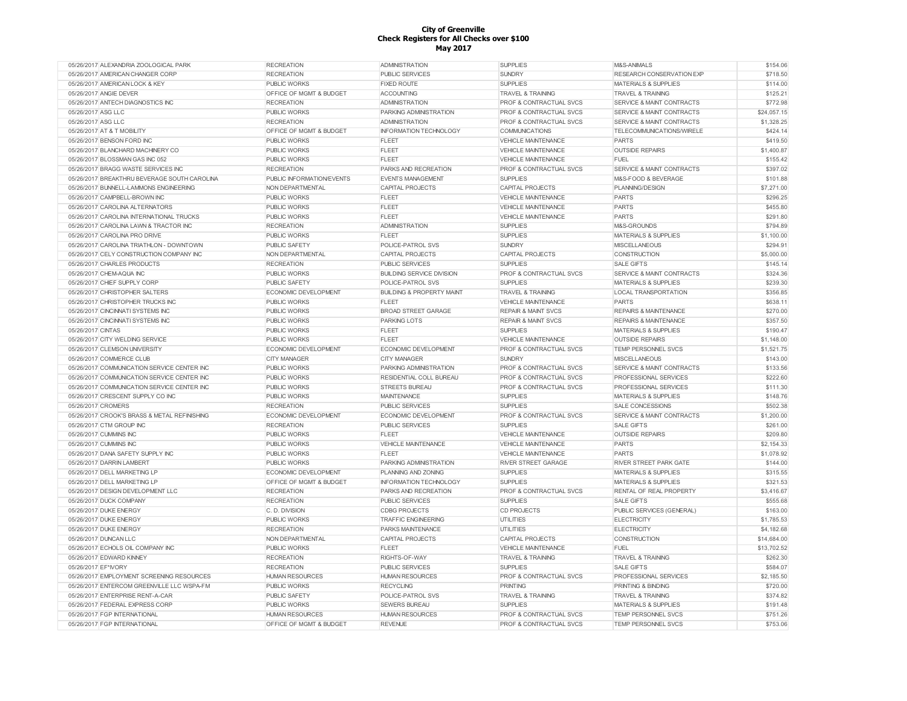| 05/26/2017 ALEXANDRIA ZOOLOGICAL PARK        | <b>RECREATION</b>         | <b>ADMINISTRATION</b>                | <b>SUPPLIES</b>                    | M&S-ANIMALS                          | \$154.06    |
|----------------------------------------------|---------------------------|--------------------------------------|------------------------------------|--------------------------------------|-------------|
| 05/26/2017 AMERICAN CHANGER CORP             | <b>RECREATION</b>         | PUBLIC SERVICES                      | <b>SUNDRY</b>                      | RESEARCH CONSERVATION EXP            | \$718.50    |
| 05/26/2017 AMERICAN LOCK & KEY               | <b>PUBLIC WORKS</b>       | <b>FIXED ROUTE</b>                   | <b>SUPPLIES</b>                    | <b>MATERIALS &amp; SUPPLIES</b>      | \$114.00    |
| 05/26/2017 ANGIE DEVER                       | OFFICE OF MGMT & BUDGET   | ACCOUNTING                           | <b>TRAVEL &amp; TRAINING</b>       | <b>TRAVEL &amp; TRAINING</b>         | \$125.21    |
| 05/26/2017 ANTECH DIAGNOSTICS INC            | <b>RECREATION</b>         | <b>ADMINISTRATION</b>                | PROF & CONTRACTUAL SVCS            | SERVICE & MAINT CONTRACTS            | \$772.98    |
| 05/26/2017 ASG LLC                           | <b>PUBLIC WORKS</b>       | PARKING ADMINISTRATION               | PROF & CONTRACTUAL SVCS            | <b>SERVICE &amp; MAINT CONTRACTS</b> | \$24,057.15 |
| 05/26/2017 ASG LLC                           | <b>RECREATION</b>         | <b>ADMINISTRATION</b>                | PROF & CONTRACTUAL SVCS            | SERVICE & MAINT CONTRACTS            | \$1,328.25  |
| 05/26/2017 AT & T MOBILITY                   | OFFICE OF MGMT & BUDGET   | <b>INFORMATION TECHNOLOGY</b>        | <b>COMMUNICATIONS</b>              | TELECOMMUNICATIONS/WIRELE            | \$424.14    |
| 05/26/2017 BENSON FORD INC                   | PUBLIC WORKS              | <b>FLEET</b>                         | <b>VEHICLE MAINTENANCE</b>         | <b>PARTS</b>                         | \$419.50    |
| 05/26/2017 BLANCHARD MACHINERY CO            | <b>PUBLIC WORKS</b>       | FLEET                                | <b>VEHICLE MAINTENANCE</b>         | <b>OUTSIDE REPAIRS</b>               | \$1,400.87  |
| 05/26/2017 BLOSSMAN GAS INC 052              | <b>PUBLIC WORKS</b>       | <b>FLEET</b>                         | <b>VEHICLE MAINTENANCE</b>         | FUEL                                 | \$155.42    |
| 05/26/2017 BRAGG WASTE SERVICES INC          | <b>RECREATION</b>         | PARKS AND RECREATION                 | <b>PROF &amp; CONTRACTUAL SVCS</b> | <b>SERVICE &amp; MAINT CONTRACTS</b> | \$397.02    |
| 05/26/2017 BREAKTHRU BEVERAGE SOUTH CAROLINA | PUBLIC INFORMATION/EVENTS | <b>EVENTS MANAGEMENT</b>             | <b>SUPPLIES</b>                    | M&S-FOOD & BEVERAGE                  | \$101.88    |
|                                              |                           |                                      |                                    |                                      |             |
| 05/26/2017 BUNNELL-LAMMONS ENGINEERING       | NON DEPARTMENTAL          | CAPITAL PROJECTS                     | CAPITAL PROJECTS                   | PLANNING/DESIGN                      | \$7,271.00  |
| 05/26/2017 CAMPBELL-BROWN INC                | <b>PUBLIC WORKS</b>       | <b>FLEET</b>                         | <b>VEHICLE MAINTENANCE</b>         | <b>PARTS</b>                         | \$296.25    |
| 05/26/2017 CAROLINA ALTERNATORS              | <b>PUBLIC WORKS</b>       | FLEET                                | <b>VEHICLE MAINTENANCE</b>         | <b>PARTS</b>                         | \$455.80    |
| 05/26/2017 CAROLINA INTERNATIONAL TRUCKS     | <b>PUBLIC WORKS</b>       | <b>FLEET</b>                         | <b>VEHICLE MAINTENANCE</b>         | <b>PARTS</b>                         | \$291.80    |
| 05/26/2017 CAROLINA LAWN & TRACTOR INC       | <b>RECREATION</b>         | <b>ADMINISTRATION</b>                | <b>SUPPLIES</b>                    | M&S-GROUNDS                          | \$794.89    |
| 05/26/2017 CAROLINA PRO DRIVE                | <b>PUBLIC WORKS</b>       | <b>FLEET</b>                         | <b>SUPPLIES</b>                    | <b>MATERIALS &amp; SUPPLIES</b>      | \$1,100.00  |
| 05/26/2017 CAROLINA TRIATHLON - DOWNTOWN     | <b>PUBLIC SAFETY</b>      | POLICE-PATROL SVS                    | <b>SUNDRY</b>                      | <b>MISCELLANEOUS</b>                 | \$294.91    |
| 05/26/2017 CELY CONSTRUCTION COMPANY INC     | NON DEPARTMENTAL          | <b>CAPITAL PROJECTS</b>              | <b>CAPITAL PROJECTS</b>            | <b>CONSTRUCTION</b>                  | \$5,000.00  |
| 05/26/2017 CHARLES PRODUCTS                  | <b>RECREATION</b>         | <b>PUBLIC SERVICES</b>               | <b>SUPPLIES</b>                    | <b>SALE GIFTS</b>                    | \$145.14    |
| 05/26/2017 CHEM-AQUA INC                     | PUBLIC WORKS              | <b>BUILDING SERVICE DIVISION</b>     | PROF & CONTRACTUAL SVCS            | SERVICE & MAINT CONTRACTS            | \$324.36    |
| 05/26/2017 CHIEF SUPPLY CORP                 | <b>PUBLIC SAFETY</b>      | POLICE-PATROL SVS                    | <b>SUPPLIES</b>                    | <b>MATERIALS &amp; SUPPLIES</b>      | \$239.30    |
| 05/26/2017 CHRISTOPHER SALTERS               | ECONOMIC DEVELOPMENT      | <b>BUILDING &amp; PROPERTY MAINT</b> | <b>TRAVEL &amp; TRAINING</b>       | <b>LOCAL TRANSPORTATION</b>          | \$356.85    |
| 05/26/2017 CHRISTOPHER TRUCKS INC            | <b>PUBLIC WORKS</b>       | <b>FLEET</b>                         | <b>VEHICLE MAINTENANCE</b>         | <b>PARTS</b>                         | \$638.11    |
| 05/26/2017 CINCINNATI SYSTEMS INC            | <b>PUBLIC WORKS</b>       | <b>BROAD STREET GARAGE</b>           | <b>REPAIR &amp; MAINT SVCS</b>     | <b>REPAIRS &amp; MAINTENANCE</b>     | \$270.00    |
| 05/26/2017 CINCINNATI SYSTEMS INC            | <b>PUBLIC WORKS</b>       | <b>PARKING LOTS</b>                  | <b>REPAIR &amp; MAINT SVCS</b>     | <b>REPAIRS &amp; MAINTENANCE</b>     | \$357.50    |
| 05/26/2017 CINTAS                            | <b>PUBLIC WORKS</b>       | <b>FLEET</b>                         | <b>SUPPLIES</b>                    | <b>MATERIALS &amp; SUPPLIES</b>      | \$190.47    |
| 05/26/2017 CITY WELDING SERVICE              | <b>PUBLIC WORKS</b>       | FLEET                                | <b>VEHICLE MAINTENANCE</b>         | <b>OUTSIDE REPAIRS</b>               | \$1,148.00  |
| 05/26/2017 CLEMSON UNIVERSITY                | ECONOMIC DEVELOPMENT      | <b>ECONOMIC DEVELOPMENT</b>          | <b>PROF &amp; CONTRACTUAL SVCS</b> | <b>TEMP PERSONNEL SVCS</b>           | \$1,521.75  |
|                                              |                           |                                      |                                    |                                      | \$143.00    |
| 05/26/2017 COMMERCE CLUB                     | <b>CITY MANAGER</b>       | <b>CITY MANAGER</b>                  | <b>SUNDRY</b>                      | <b>MISCELLANEOUS</b>                 |             |
| 05/26/2017 COMMUNICATION SERVICE CENTER INC  | <b>PUBLIC WORKS</b>       | PARKING ADMINISTRATION               | <b>PROF &amp; CONTRACTUAL SVCS</b> | SERVICE & MAINT CONTRACTS            | \$133.56    |
| 05/26/2017 COMMUNICATION SERVICE CENTER INC  | <b>PUBLIC WORKS</b>       | RESIDENTIAL COLL BUREAU              | <b>PROF &amp; CONTRACTUAL SVCS</b> | PROFESSIONAL SERVICES                | \$222.60    |
| 05/26/2017 COMMUNICATION SERVICE CENTER INC  | PUBLIC WORKS              | <b>STREETS BUREAU</b>                | PROF & CONTRACTUAL SVCS            | PROFESSIONAL SERVICES                | \$111.30    |
| 05/26/2017 CRESCENT SUPPLY CO INC            | <b>PUBLIC WORKS</b>       | <b>MAINTENANCE</b>                   | <b>SUPPLIES</b>                    | <b>MATERIALS &amp; SUPPLIES</b>      | \$148.76    |
| 05/26/2017 CROMERS                           | <b>RECREATION</b>         | <b>PUBLIC SERVICES</b>               | <b>SUPPLIES</b>                    | SALE CONCESSIONS                     | \$502.38    |
| 05/26/2017 CROOK'S BRASS & METAL REFINISHING | ECONOMIC DEVELOPMENT      | <b>ECONOMIC DEVELOPMENT</b>          | <b>PROF &amp; CONTRACTUAL SVCS</b> | <b>SERVICE &amp; MAINT CONTRACTS</b> | \$1,200.00  |
| 05/26/2017 CTM GROUP INC                     | <b>RECREATION</b>         | <b>PUBLIC SERVICES</b>               | <b>SUPPLIES</b>                    | <b>SALE GIFTS</b>                    | \$261.00    |
| 05/26/2017 CUMMINS INC                       | <b>PUBLIC WORKS</b>       | <b>FLEET</b>                         | <b>VEHICLE MAINTENANCE</b>         | <b>OUTSIDE REPAIRS</b>               | \$209.80    |
| 05/26/2017 CUMMINS INC                       | PUBLIC WORKS              | VEHICLE MAINTENANCE                  | <b>VEHICLE MAINTENANCE</b>         | <b>PARTS</b>                         | \$2,154.33  |
| 05/26/2017 DANA SAFETY SUPPLY INC            | <b>PUBLIC WORKS</b>       | FLEET                                | <b>VEHICLE MAINTENANCE</b>         | <b>PARTS</b>                         | \$1,078.92  |
| 05/26/2017 DARRIN LAMBERT                    | PUBLIC WORKS              | PARKING ADMINISTRATION               | <b>RIVER STREET GARAGE</b>         | RIVER STREET PARK GATE               | \$144.00    |
| 05/26/2017 DELL MARKETING LP                 | ECONOMIC DEVELOPMENT      | PLANNING AND ZONING                  | <b>SUPPLIES</b>                    | <b>MATERIALS &amp; SUPPLIES</b>      | \$315.55    |
| 05/26/2017 DELL MARKETING LP                 | OFFICE OF MGMT & BUDGET   | INFORMATION TECHNOLOGY               | <b>SUPPLIES</b>                    | <b>MATERIALS &amp; SUPPLIES</b>      | \$321.53    |
| 05/26/2017 DESIGN DEVELOPMENT LLC            | <b>RECREATION</b>         | PARKS AND RECREATION                 | <b>PROF &amp; CONTRACTUAL SVCS</b> | RENTAL OF REAL PROPERTY              | \$3,416.67  |
| 05/26/2017 DUCK COMPANY                      | <b>RECREATION</b>         | <b>PUBLIC SERVICES</b>               | <b>SUPPLIES</b>                    | <b>SALE GIFTS</b>                    | \$555.68    |
| 05/26/2017 DUKE ENERGY                       | C. D. DIVISION            | <b>CDBG PROJECTS</b>                 | <b>CD PROJECTS</b>                 | PUBLIC SERVICES (GENERAL)            | \$163.00    |
| 05/26/2017 DUKE ENERGY                       | PUBLIC WORKS              | <b>TRAFFIC ENGINEERING</b>           | <b>UTILITIES</b>                   | <b>ELECTRICITY</b>                   | \$1,785.53  |
| 05/26/2017 DUKE ENERGY                       | <b>RECREATION</b>         | PARKS MAINTENANCE                    | <b>UTILITIES</b>                   | <b>ELECTRICITY</b>                   | \$4,182.68  |
| 05/26/2017 DUNCAN LLC                        | NON DEPARTMENTAL          | CAPITAL PROJECTS                     | CAPITAL PROJECTS                   | CONSTRUCTION                         | \$14,684.00 |
| 05/26/2017 ECHOLS OIL COMPANY INC            | <b>PUBLIC WORKS</b>       | <b>FLEET</b>                         | <b>VEHICLE MAINTENANCE</b>         | <b>FUEL</b>                          | \$13,702.52 |
| 05/26/2017 EDWARD KINNEY                     | <b>RECREATION</b>         | RIGHTS-OF-WAY                        | <b>TRAVEL &amp; TRAINING</b>       | <b>TRAVEL &amp; TRAINING</b>         | \$262.30    |
|                                              |                           |                                      |                                    |                                      |             |
| 05/26/2017 EF*NORY                           | <b>RECREATION</b>         | <b>PUBLIC SERVICES</b>               | <b>SUPPLIES</b>                    | <b>SALE GIFTS</b>                    | \$584.07    |
| 05/26/2017 EMPLOYMENT SCREENING RESOURCES    | <b>HUMAN RESOURCES</b>    | <b>HUMAN RESOURCES</b>               | PROF & CONTRACTUAL SVCS            | PROFESSIONAL SERVICES                | \$2,185.50  |
| 05/26/2017 ENTERCOM GREENVILLE LLC WSPA-FM   | <b>PUBLIC WORKS</b>       | <b>RECYCLING</b>                     | <b>PRINTING</b>                    | PRINTING & BINDING                   | \$720.00    |
| 05/26/2017 ENTERPRISE RENT-A-CAR             | PUBLIC SAFETY             | POLICE-PATROL SVS                    | <b>TRAVEL &amp; TRAINING</b>       | <b>TRAVEL &amp; TRAINING</b>         | \$374.82    |
| 05/26/2017 FEDERAL EXPRESS CORP              | PUBLIC WORKS              | SEWERS BUREAU                        | <b>SUPPLIES</b>                    | <b>MATERIALS &amp; SUPPLIES</b>      | \$191.48    |
| 05/26/2017 FGP INTERNATIONAL                 | <b>HUMAN RESOURCES</b>    | <b>HUMAN RESOURCES</b>               | PROF & CONTRACTUAL SVCS            | TEMP PERSONNEL SVCS                  | \$751.26    |
| 05/26/2017 FGP INTERNATIONAL                 | OFFICE OF MGMT & BUDGET   | <b>REVENUE</b>                       | PROF & CONTRACTUAL SVCS            | TEMP PERSONNEL SVCS                  | \$753.06    |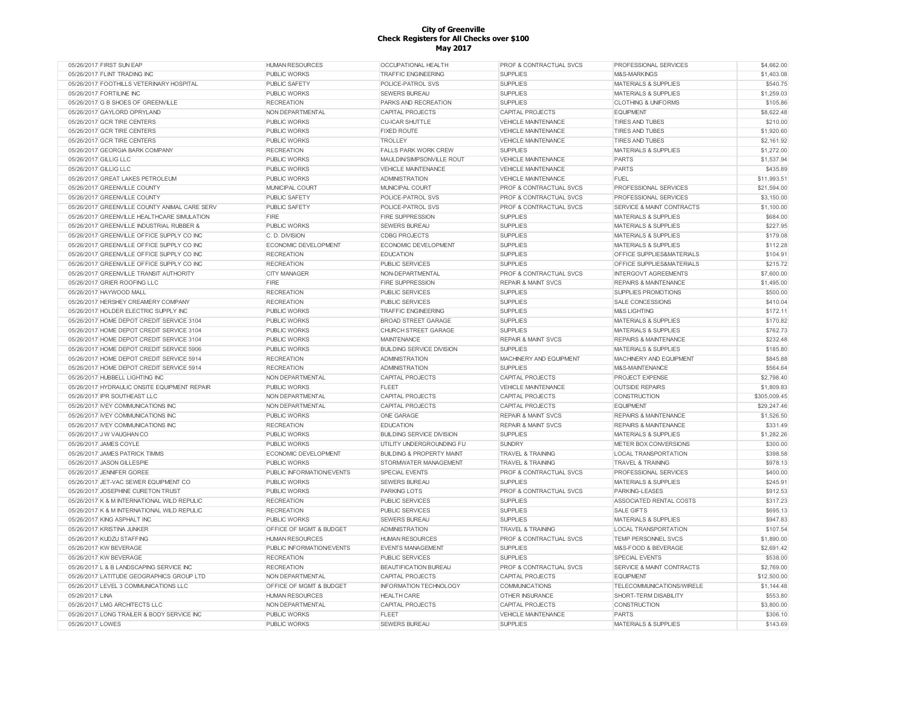| 05/26/2017 FIRST SUN EAP                      | <b>HUMAN RESOURCES</b>      | <b>OCCUPATIONAL HEALTH</b>           | PROF & CONTRACTUAL SVCS            | PROFESSIONAL SERVICES            | \$4,662.00   |
|-----------------------------------------------|-----------------------------|--------------------------------------|------------------------------------|----------------------------------|--------------|
| 05/26/2017 FLINT TRADING INC                  | <b>PUBLIC WORKS</b>         | <b>TRAFFIC ENGINEERING</b>           | <b>SUPPLIES</b>                    | M&S-MARKINGS                     | \$1,403.08   |
| 05/26/2017 FOOTHILLS VETERINARY HOSPITAL      | PUBLIC SAFETY               | POLICE-PATROL SVS                    | <b>SUPPLIES</b>                    | <b>MATERIALS &amp; SUPPLIES</b>  | \$540.75     |
| 05/26/2017 FORTILINE INC                      | <b>PUBLIC WORKS</b>         | <b>SEWERS BUREAU</b>                 | <b>SUPPLIES</b>                    | <b>MATERIALS &amp; SUPPLIES</b>  | \$1,259.03   |
| 05/26/2017 G B SHOES OF GREENVILLE            | <b>RECREATION</b>           | PARKS AND RECREATION                 | <b>SUPPLIES</b>                    | <b>CLOTHING &amp; UNIFORMS</b>   | \$105.86     |
| 05/26/2017 GAYLORD OPRYLAND                   | NON DEPARTMENTAL            | CAPITAL PROJECTS                     | CAPITAL PROJECTS                   | <b>EQUIPMENT</b>                 | \$8,622.48   |
| 05/26/2017 GCR TIRE CENTERS                   | PUBLIC WORKS                | <b>CU-ICAR SHUTTLE</b>               | <b>VEHICLE MAINTENANCE</b>         | <b>TIRES AND TUBES</b>           | \$210.00     |
| 05/26/2017 GCR TIRE CENTERS                   | <b>PUBLIC WORKS</b>         | <b>FIXED ROUTE</b>                   | <b>VEHICLE MAINTENANCE</b>         | <b>TIRES AND TUBES</b>           | \$1,920.60   |
| 05/26/2017 GCR TIRE CENTERS                   | <b>PUBLIC WORKS</b>         | <b>TROLLEY</b>                       | <b>VEHICLE MAINTENANCE</b>         | <b>TIRES AND TUBES</b>           | \$2.161.92   |
| 05/26/2017 GEORGIA BARK COMPANY               | <b>RECREATION</b>           | <b>FALLS PARK WORK CREW</b>          | <b>SUPPLIES</b>                    | MATERIALS & SUPPLIES             | \$1,272.00   |
| 05/26/2017 GILLIG LLC                         | <b>PUBLIC WORKS</b>         | MAULDIN/SIMPSONVILLE ROUT            | <b>VEHICLE MAINTENANCE</b>         | <b>PARTS</b>                     | \$1,537.94   |
| 05/26/2017 GILLIG LLC                         | <b>PUBLIC WORKS</b>         | VEHICLE MAINTENANCE                  | <b>VEHICLE MAINTENANCE</b>         | <b>PARTS</b>                     | \$435.89     |
| 05/26/2017 GREAT LAKES PETROLEUM              | <b>PUBLIC WORKS</b>         | <b>ADMINISTRATION</b>                | VEHICLE MAINTENANCE                | <b>FUEL</b>                      | \$11,993.51  |
| 05/26/2017 GREENVILLE COUNTY                  | MUNICIPAL COURT             | MUNICIPAL COURT                      | PROF & CONTRACTUAL SVCS            | PROFESSIONAL SERVICES            | \$21,594.00  |
| 05/26/2017 GREENVILLE COUNTY                  | PUBLIC SAFETY               | POLICE-PATROL SVS                    | PROF & CONTRACTUAL SVCS            | PROFESSIONAL SERVICES            | \$3,150.00   |
| 05/26/2017 GREENVILLE COUNTY ANIMAL CARE SERV | <b>PUBLIC SAFETY</b>        | POLICE-PATROL SVS                    | PROF & CONTRACTUAL SVCS            | SERVICE & MAINT CONTRACTS        | \$1,100.00   |
| 05/26/2017 GREENVILLE HEALTHCARE SIMULATION   | FIRE                        | <b>FIRE SUPPRESSION</b>              | <b>SUPPLIES</b>                    | <b>MATERIALS &amp; SUPPLIES</b>  | \$684.00     |
| 05/26/2017 GREENVILLE INDUSTRIAL RUBBER &     | <b>PUBLIC WORKS</b>         | <b>SEWERS BUREAU</b>                 | <b>SUPPLIES</b>                    | <b>MATERIALS &amp; SUPPLIES</b>  | \$227.95     |
| 05/26/2017 GREENVILLE OFFICE SUPPLY CO INC    | C. D. DIVISION              | <b>CDBG PROJECTS</b>                 | <b>SUPPLIES</b>                    | <b>MATERIALS &amp; SUPPLIES</b>  | \$179.08     |
| 05/26/2017 GREENVILLE OFFICE SUPPLY CO INC    | ECONOMIC DEVELOPMENT        | <b>ECONOMIC DEVELOPMENT</b>          | <b>SUPPLIES</b>                    | <b>MATERIALS &amp; SUPPLIES</b>  | \$112.28     |
| 05/26/2017 GREENVILLE OFFICE SUPPLY CO INC    | <b>RECREATION</b>           | <b>EDUCATION</b>                     | <b>SUPPLIES</b>                    | OFFICE SUPPLIES&MATERIALS        | \$104.91     |
| 05/26/2017 GREENVILLE OFFICE SUPPLY CO INC    | <b>RECREATION</b>           | <b>PUBLIC SERVICES</b>               | <b>SUPPLIES</b>                    | OFFICE SUPPLIES&MATERIALS        | \$215.72     |
| 05/26/2017 GREENVILLE TRANSIT AUTHORITY       | <b>CITY MANAGER</b>         | NON-DEPARTMENTAL                     | PROF & CONTRACTUAL SVCS            | <b>INTERGOVT AGREEMENTS</b>      | \$7,600.00   |
| 05/26/2017 GRIER ROOFING LLC                  | <b>FIRE</b>                 | <b>FIRE SUPPRESSION</b>              | <b>REPAIR &amp; MAINT SVCS</b>     | <b>REPAIRS &amp; MAINTENANCE</b> | \$1,495.00   |
| 05/26/2017 HAYWOOD MALL                       |                             |                                      |                                    |                                  |              |
|                                               | <b>RECREATION</b>           | PUBLIC SERVICES                      | <b>SUPPLIES</b>                    | SUPPLIES PROMOTIONS              | \$500.00     |
| 05/26/2017 HERSHEY CREAMERY COMPANY           | <b>RECREATION</b>           | <b>PUBLIC SERVICES</b>               | <b>SUPPLIES</b>                    | SALE CONCESSIONS                 | \$410.04     |
| 05/26/2017 HOLDER ELECTRIC SUPPLY INC         | <b>PUBLIC WORKS</b>         | <b>TRAFFIC ENGINEERING</b>           | <b>SUPPLIES</b>                    | <b>M&amp;S LIGHTING</b>          | \$172.11     |
| 05/26/2017 HOME DEPOT CREDIT SERVICE 3104     | <b>PUBLIC WORKS</b>         | <b>BROAD STREET GARAGE</b>           | <b>SUPPLIES</b>                    | <b>MATERIALS &amp; SUPPLIES</b>  | \$170.82     |
| 05/26/2017 HOME DEPOT CREDIT SERVICE 3104     | <b>PUBLIC WORKS</b>         | CHURCH STREET GARAGE                 | <b>SUPPLIES</b>                    | <b>MATERIALS &amp; SUPPLIES</b>  | \$762.73     |
| 05/26/2017 HOME DEPOT CREDIT SERVICE 3104     | <b>PUBLIC WORKS</b>         | <b>MAINTENANCE</b>                   | <b>REPAIR &amp; MAINT SVCS</b>     | <b>REPAIRS &amp; MAINTENANCE</b> | \$232.48     |
| 05/26/2017 HOME DEPOT CREDIT SERVICE 5906     | <b>PUBLIC WORKS</b>         | <b>BUILDING SERVICE DIVISION</b>     | <b>SUPPLIES</b>                    | <b>MATERIALS &amp; SUPPLIES</b>  | \$185.80     |
| 05/26/2017 HOME DEPOT CREDIT SERVICE 5914     | <b>RECREATION</b>           | <b>ADMINISTRATION</b>                | MACHINERY AND EQUIPMENT            | MACHINERY AND EQUIPMENT          | \$845.88     |
| 05/26/2017 HOME DEPOT CREDIT SERVICE 5914     | <b>RECREATION</b>           | <b>ADMINISTRATION</b>                | <b>SUPPLIES</b>                    | M&S-MAINTENANCE                  | \$564.64     |
| 05/26/2017 HUBBELL LIGHTING INC               | NON DEPARTMENTAL            | <b>CAPITAL PROJECTS</b>              | CAPITAL PROJECTS                   | <b>PROJECT EXPENSE</b>           | \$2,798.40   |
| 05/26/2017 HYDRAULIC ONSITE EQUIPMENT REPAIR  | <b>PUBLIC WORKS</b>         | <b>FLEET</b>                         | <b>VEHICLE MAINTENANCE</b>         | <b>OUTSIDE REPAIRS</b>           | \$1,809.83   |
| 05/26/2017 IPR SOUTHEAST LLC                  | NON DEPARTMENTAL            | CAPITAL PROJECTS                     | CAPITAL PROJECTS                   | <b>CONSTRUCTION</b>              | \$305,009.45 |
| 05/26/2017 IVEY COMMUNICATIONS INC            | NON DEPARTMENTAL            | CAPITAL PROJECTS                     | CAPITAL PROJECTS                   | <b>EQUIPMENT</b>                 | \$29,247.46  |
| 05/26/2017 IVEY COMMUNICATIONS INC            | <b>PUBLIC WORKS</b>         | <b>ONE GARAGE</b>                    | <b>REPAIR &amp; MAINT SVCS</b>     | <b>REPAIRS &amp; MAINTENANCE</b> | \$1,526.50   |
| 05/26/2017 IVEY COMMUNICATIONS INC            | <b>RECREATION</b>           | <b>EDUCATION</b>                     | <b>REPAIR &amp; MAINT SVCS</b>     | <b>REPAIRS &amp; MAINTENANCE</b> | \$331.49     |
| 05/26/2017 J W VAUGHAN CO                     | <b>PUBLIC WORKS</b>         | <b>BUILDING SERVICE DIVISION</b>     | <b>SUPPLIES</b>                    | <b>MATERIALS &amp; SUPPLIES</b>  | \$1,282.26   |
| 05/26/2017 JAMES COYLE                        | <b>PUBLIC WORKS</b>         | UTILITY UNDERGROUNDING FU            | <b>SUNDRY</b>                      | METER BOX CONVERSIONS            | \$300.00     |
| 05/26/2017 JAMES PATRICK TIMMS                | <b>ECONOMIC DEVELOPMENT</b> | <b>BUILDING &amp; PROPERTY MAINT</b> | <b>TRAVEL &amp; TRAINING</b>       | <b>LOCAL TRANSPORTATION</b>      | \$398.58     |
| 05/26/2017 JASON GILLESPIE                    | PUBLIC WORKS                | STORMWATER MANAGEMENT                | <b>TRAVEL &amp; TRAINING</b>       | <b>TRAVEL &amp; TRAINING</b>     | \$978.13     |
| 05/26/2017 JENNIFER GOREE                     | PUBLIC INFORMATION/EVENTS   | <b>SPECIAL EVENTS</b>                | <b>PROF &amp; CONTRACTUAL SVCS</b> | PROFESSIONAL SERVICES            | \$400.00     |
| 05/26/2017 JET-VAC SEWER EQUIPMENT CO         | <b>PUBLIC WORKS</b>         | <b>SEWERS BUREAU</b>                 | <b>SUPPLIES</b>                    | <b>MATERIALS &amp; SUPPLIES</b>  | \$245.91     |
| 05/26/2017 JOSEPHINE CURETON TRUST            | <b>PUBLIC WORKS</b>         | <b>PARKING LOTS</b>                  | <b>PROF &amp; CONTRACTUAL SVCS</b> | PARKING-LEASES                   | \$912.53     |
| 05/26/2017 K & M INTERNATIONAL WILD REPULIC   | <b>RECREATION</b>           | <b>PUBLIC SERVICES</b>               | <b>SUPPLIES</b>                    | ASSOCIATED RENTAL COSTS          | \$317.23     |
| 05/26/2017 K & M INTERNATIONAL WILD REPULIC   | <b>RECREATION</b>           | <b>PUBLIC SERVICES</b>               | <b>SUPPLIES</b>                    | <b>SALE GIFTS</b>                | \$695.13     |
| 05/26/2017 KING ASPHALT INC                   | <b>PUBLIC WORKS</b>         | SEWERS BUREAU                        | <b>SUPPLIES</b>                    | <b>MATERIALS &amp; SUPPLIES</b>  | \$947.83     |
| 05/26/2017 KRISTINA JUNKER                    | OFFICE OF MGMT & BUDGET     | <b>ADMINISTRATION</b>                | <b>TRAVEL &amp; TRAINING</b>       | <b>LOCAL TRANSPORTATION</b>      | \$107.54     |
| 05/26/2017 KUDZU STAFFING                     | <b>HUMAN RESOURCES</b>      | <b>HUMAN RESOURCES</b>               | PROF & CONTRACTUAL SVCS            | TEMP PERSONNEL SVCS              | \$1,890.00   |
| 05/26/2017 KW BEVERAGE                        | PUBLIC INFORMATION/EVENTS   | <b>EVENTS MANAGEMENT</b>             | <b>SUPPLIES</b>                    | M&S-FOOD & BEVERAGE              | \$2,691.42   |
| 05/26/2017 KW BEVERAGE                        | <b>RECREATION</b>           | PUBLIC SERVICES                      | <b>SUPPLIES</b>                    | <b>SPECIAL EVENTS</b>            | \$538.00     |
| 05/26/2017 L & B LANDSCAPING SERVICE INC      | <b>RECREATION</b>           | BEAUTIFICATION BUREAU                | <b>PROF &amp; CONTRACTUAL SVCS</b> | SERVICE & MAINT CONTRACTS        | \$2,769.00   |
| 05/26/2017 LATITUDE GEOGRAPHICS GROUP LTD     | NON DEPARTMENTAL            | CAPITAL PROJECTS                     | <b>CAPITAL PROJECTS</b>            | <b>EQUIPMENT</b>                 | \$12,500.00  |
| 05/26/2017 LEVEL 3 COMMUNICATIONS LLC         | OFFICE OF MGMT & BUDGET     | INFORMATION TECHNOLOGY               | <b>COMMUNICATIONS</b>              | TELECOMMUNICATIONS/WIRELE        | \$1,144.48   |
| 05/26/2017 LINA                               | <b>HUMAN RESOURCES</b>      | <b>HEALTH CARE</b>                   | OTHER INSURANCE                    | SHORT-TERM DISABILITY            | \$553.80     |
| 05/26/2017 LMG ARCHITECTS LLC                 | NON DEPARTMENTAL            | <b>CAPITAL PROJECTS</b>              | CAPITAL PROJECTS                   | CONSTRUCTION                     | \$3,800.00   |
| 05/26/2017 LONG TRAILER & BODY SERVICE INC    | PUBLIC WORKS                | <b>FLEET</b>                         | <b>VEHICLE MAINTENANCE</b>         | <b>PARTS</b>                     | \$306.10     |
| 05/26/2017 LOWES                              | PUBLIC WORKS                | SEWERS BUREAU                        | <b>SUPPLIES</b>                    | <b>MATERIALS &amp; SUPPLIES</b>  | \$143.69     |
|                                               |                             |                                      |                                    |                                  |              |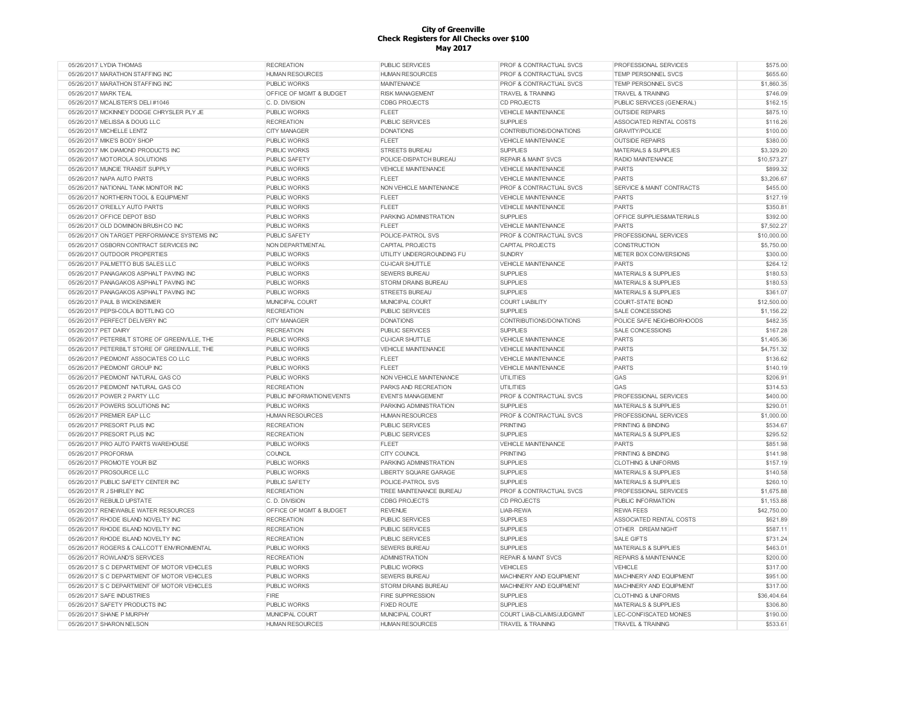| 05/26/2017 LYDIA THOMAS                       | <b>RECREATION</b>                  | <b>PUBLIC SERVICES</b>     | <b>PROF &amp; CONTRACTUAL SVCS</b> | <b>PROFESSIONAL SERVICES</b>         | \$575.00    |
|-----------------------------------------------|------------------------------------|----------------------------|------------------------------------|--------------------------------------|-------------|
| 05/26/2017 MARATHON STAFFING INC              | <b>HUMAN RESOURCES</b>             | <b>HUMAN RESOURCES</b>     | PROF & CONTRACTUAL SVCS            | TEMP PERSONNEL SVCS                  | \$655.60    |
| 05/26/2017 MARATHON STAFFING INC              | <b>PUBLIC WORKS</b>                | <b>MAINTENANCE</b>         | PROF & CONTRACTUAL SVCS            | TEMP PERSONNEL SVCS                  | \$1,860.35  |
| 05/26/2017 MARK TEAL                          | OFFICE OF MGMT & BUDGET            | <b>RISK MANAGEMENT</b>     | <b>TRAVEL &amp; TRAINING</b>       | <b>TRAVEL &amp; TRAINING</b>         | \$746.09    |
| 05/26/2017 MCALISTER'S DELI #1046             | C. D. DIVISION                     | <b>CDBG PROJECTS</b>       | <b>CD PROJECTS</b>                 | PUBLIC SERVICES (GENERAL)            | \$162.15    |
| 05/26/2017 MCKINNEY DODGE CHRYSLER PLY JE     | <b>PUBLIC WORKS</b>                | <b>FLEET</b>               | <b>VEHICLE MAINTENANCE</b>         | <b>OUTSIDE REPAIRS</b>               | \$875.10    |
| 05/26/2017 MELISSA & DOUG LLC                 | <b>RECREATION</b>                  | <b>PUBLIC SERVICES</b>     | <b>SUPPLIES</b>                    | ASSOCIATED RENTAL COSTS              | \$116.26    |
| 05/26/2017 MICHELLE LENTZ                     | <b>CITY MANAGER</b>                | <b>DONATIONS</b>           | CONTRIBUTIONS/DONATIONS            | <b>GRAVITY/POLICE</b>                | \$100.00    |
| 05/26/2017 MIKE'S BODY SHOP                   | <b>PUBLIC WORKS</b>                | <b>FLEET</b>               | VEHICLE MAINTENANCE                | <b>OUTSIDE REPAIRS</b>               | \$380.00    |
| 05/26/2017 MK DIAMOND PRODUCTS INC            | <b>PUBLIC WORKS</b>                | <b>STREETS BUREAU</b>      | <b>SUPPLIES</b>                    | MATERIALS & SUPPLIES                 | \$3,329.20  |
| 05/26/2017 MOTOROLA SOLUTIONS                 | <b>PUBLIC SAFETY</b>               | POLICE-DISPATCH BUREAU     | <b>REPAIR &amp; MAINT SVCS</b>     | RADIO MAINTENANCE                    | \$10,573.27 |
| 05/26/2017 MUNCIE TRANSIT SUPPLY              | <b>PUBLIC WORKS</b>                | <b>VEHICLE MAINTENANCE</b> | <b>VEHICLE MAINTENANCE</b>         | <b>PARTS</b>                         | \$899.32    |
| 05/26/2017 NAPA AUTO PARTS                    | <b>PUBLIC WORKS</b>                | <b>FLEET</b>               | <b>VEHICLE MAINTENANCE</b>         | <b>PARTS</b>                         | \$3,206.67  |
| 05/26/2017 NATIONAL TANK MONITOR INC          | <b>PUBLIC WORKS</b>                | NON VEHICLE MAINTENANCE    | PROF & CONTRACTUAL SVCS            | <b>SERVICE &amp; MAINT CONTRACTS</b> | \$455.00    |
| 05/26/2017 NORTHERN TOOL & EQUIPMENT          | <b>PUBLIC WORKS</b>                | <b>FLEET</b>               | <b>VEHICLE MAINTENANCE</b>         | <b>PARTS</b>                         | \$127.19    |
| 05/26/2017 O'REILLY AUTO PARTS                | <b>PUBLIC WORKS</b>                | <b>FLEET</b>               | <b>VEHICLE MAINTENANCE</b>         | PARTS                                | \$350.81    |
| 05/26/2017 OFFICE DEPOT BSD                   | <b>PUBLIC WORKS</b>                | PARKING ADMINISTRATION     | <b>SUPPLIES</b>                    | OFFICE SUPPLIES&MATERIALS            | \$392.00    |
| 05/26/2017 OLD DOMINION BRUSH CO INC          | <b>PUBLIC WORKS</b>                | <b>FLEET</b>               | <b>VEHICLE MAINTENANCE</b>         | <b>PARTS</b>                         | \$7,502.27  |
| 05/26/2017 ON TARGET PERFORMANCE SYSTEMS INC  | PUBLIC SAFETY                      | POLICE-PATROL SVS          | PROF & CONTRACTUAL SVCS            | PROFESSIONAL SERVICES                | \$10,000.00 |
| 05/26/2017 OSBORN CONTRACT SERVICES INC       | NON DEPARTMENTAL                   | <b>CAPITAL PROJECTS</b>    | <b>CAPITAL PROJECTS</b>            | <b>CONSTRUCTION</b>                  | \$5,750.00  |
| 05/26/2017 OUTDOOR PROPERTIES                 | <b>PUBLIC WORKS</b>                | UTILITY UNDERGROUNDING FU  | <b>SUNDRY</b>                      | METER BOX CONVERSIONS                | \$300.00    |
| 05/26/2017 PALMETTO BUS SALES LLC             | <b>PUBLIC WORKS</b>                | <b>CU-ICAR SHUTTLE</b>     | <b>VEHICLE MAINTENANCE</b>         | <b>PARTS</b>                         | \$264.12    |
| 05/26/2017 PANAGAKOS ASPHALT PAVING INC       | <b>PUBLIC WORKS</b>                | <b>SEWERS BUREAU</b>       | <b>SUPPLIES</b>                    |                                      | \$180.53    |
|                                               |                                    |                            |                                    | MATERIALS & SUPPLIES                 | \$180.53    |
| 05/26/2017 PANAGAKOS ASPHALT PAVING INC       | <b>PUBLIC WORKS</b>                | <b>STORM DRAINS BUREAU</b> | <b>SUPPLIES</b>                    | <b>MATERIALS &amp; SUPPLIES</b>      |             |
| 05/26/2017 PANAGAKOS ASPHALT PAVING INC       | <b>PUBLIC WORKS</b>                | <b>STREETS BUREAU</b>      | <b>SUPPLIES</b>                    | <b>MATERIALS &amp; SUPPLIES</b>      | \$361.07    |
| 05/26/2017 PAUL B WICKENSIMER                 | MUNICIPAL COURT                    | MUNICIPAL COURT            | <b>COURT LIABILITY</b>             | COURT-STATE BOND                     | \$12,500.00 |
| 05/26/2017 PEPSI-COLA BOTTLING CO             | <b>RECREATION</b>                  | PUBLIC SERVICES            | <b>SUPPLIES</b>                    | SALE CONCESSIONS                     | \$1,156.22  |
| 05/26/2017 PERFECT DELIVERY INC               | <b>CITY MANAGER</b>                | <b>DONATIONS</b>           | CONTRIBUTIONS/DONATIONS            | POLICE SAFE NEIGHBORHOODS            | \$482.35    |
| 05/26/2017 PET DAIRY                          | <b>RECREATION</b>                  | PUBLIC SERVICES            | <b>SUPPLIES</b>                    | SALE CONCESSIONS                     | \$167.28    |
| 05/26/2017 PETERBILT STORE OF GREENVILLE, THE | <b>PUBLIC WORKS</b>                | <b>CU-ICAR SHUTTLE</b>     | <b>VEHICLE MAINTENANCE</b>         | PARTS                                | \$1,405.36  |
| 05/26/2017 PETERBILT STORE OF GREENVILLE. THE | <b>PUBLIC WORKS</b>                | VEHICLE MAINTENANCE        | <b>VEHICLE MAINTENANCE</b>         | PARTS                                | \$4,751.32  |
| 05/26/2017 PIEDMONT ASSOCIATES CO LLC         | <b>PUBLIC WORKS</b>                | <b>FLEET</b>               | <b>VEHICLE MAINTENANCE</b>         | PARTS                                | \$136.62    |
| 05/26/2017 PIEDMONT GROUP INC                 | PUBLIC WORKS                       | <b>FLEET</b>               | <b>VEHICLE MAINTENANCE</b>         | <b>PARTS</b>                         | \$140.19    |
| 05/26/2017 PIEDMONT NATURAL GAS CO            | <b>PUBLIC WORKS</b>                | NON VEHICLE MAINTENANCE    | <b>UTILITIES</b>                   | GAS                                  | \$206.91    |
| 05/26/2017 PIEDMONT NATURAL GAS CO            | <b>RECREATION</b>                  | PARKS AND RECREATION       | <b>UTILITIES</b>                   | GAS                                  | \$314.53    |
| 05/26/2017 POWER 2 PARTY LLC                  | PUBLIC INFORMATION/EVENTS          | <b>EVENTS MANAGEMENT</b>   | <b>PROF &amp; CONTRACTUAL SVCS</b> | PROFESSIONAL SERVICES                | \$400.00    |
| 05/26/2017 POWERS SOLUTIONS INC               | <b>PUBLIC WORKS</b>                | PARKING ADMINISTRATION     | <b>SUPPLIES</b>                    | <b>MATERIALS &amp; SUPPLIES</b>      | \$290.01    |
| 05/26/2017 PREMIER EAP LLC                    | <b>HUMAN RESOURCES</b>             | <b>HUMAN RESOURCES</b>     | <b>PROF &amp; CONTRACTUAL SVCS</b> | PROFESSIONAL SERVICES                | \$1,000.00  |
| 05/26/2017 PRESORT PLUS INC                   | <b>RECREATION</b>                  | PUBLIC SERVICES            | <b>PRINTING</b>                    | PRINTING & BINDING                   | \$534.67    |
| 05/26/2017 PRESORT PLUS INC                   | <b>RECREATION</b>                  | PUBLIC SERVICES            | <b>SUPPLIES</b>                    | <b>MATERIALS &amp; SUPPLIES</b>      | \$295.52    |
| 05/26/2017 PRO AUTO PARTS WAREHOUSE           | <b>PUBLIC WORKS</b>                | <b>FLEET</b>               | <b>VEHICLE MAINTENANCE</b>         | <b>PARTS</b>                         | \$851.98    |
| 05/26/2017 PROFORMA                           | COUNCIL                            | <b>CITY COUNCIL</b>        | PRINTING                           | PRINTING & BINDING                   | \$141.98    |
| 05/26/2017 PROMOTE YOUR BIZ                   | <b>PUBLIC WORKS</b>                | PARKING ADMINISTRATION     | <b>SUPPLIES</b>                    | <b>CLOTHING &amp; UNIFORMS</b>       | \$157.19    |
| 05/26/2017 PROSOURCE LLC                      | PUBLIC WORKS                       | LIBERTY SQUARE GARAGE      | <b>SUPPLIES</b>                    | MATERIALS & SUPPLIES                 | \$140.58    |
| 05/26/2017 PUBLIC SAFETY CENTER INC           | PUBLIC SAFETY                      | POLICE-PATROL SVS          | <b>SUPPLIES</b>                    | MATERIALS & SUPPLIES                 | \$260.10    |
| 05/26/2017 R J SHIRLEY INC                    | <b>RECREATION</b>                  | TREE MAINTENANCE BUREAU    | PROF & CONTRACTUAL SVCS            | PROFESSIONAL SERVICES                | \$1,675.88  |
| 05/26/2017 REBUILD UPSTATE                    | C. D. DIVISION                     | <b>CDBG PROJECTS</b>       | <b>CD PROJECTS</b>                 | PUBLIC INFORMATION                   | \$1,153.88  |
| 05/26/2017 RENEWABLE WATER RESOURCES          | <b>OFFICE OF MGMT &amp; BUDGET</b> | <b>REVENUE</b>             | LIAB-REWA                          | <b>REWA FEES</b>                     | \$42,750.00 |
| 05/26/2017 RHODE ISLAND NOVELTY INC           | <b>RECREATION</b>                  | <b>PUBLIC SERVICES</b>     | <b>SUPPLIES</b>                    | ASSOCIATED RENTAL COSTS              | \$621.89    |
| 05/26/2017 RHODE ISLAND NOVELTY INC           | <b>RECREATION</b>                  | <b>PUBLIC SERVICES</b>     | <b>SUPPLIES</b>                    | OTHER DREAM NIGHT                    | \$587.11    |
| 05/26/2017 RHODE ISLAND NOVELTY INC           | <b>RECREATION</b>                  | <b>PUBLIC SERVICES</b>     | <b>SUPPLIES</b>                    | <b>SALE GIFTS</b>                    | \$731.24    |
| 05/26/2017 ROGERS & CALLCOTT ENVIRONMENTAL    | <b>PUBLIC WORKS</b>                | <b>SEWERS BUREAU</b>       | <b>SUPPLIES</b>                    | <b>MATERIALS &amp; SUPPLIES</b>      | \$463.01    |
| 05/26/2017 ROWLAND'S SERVICES                 | <b>RECREATION</b>                  | <b>ADMINISTRATION</b>      | <b>REPAIR &amp; MAINT SVCS</b>     | <b>REPAIRS &amp; MAINTENANCE</b>     | \$200.00    |
| 05/26/2017 S C DEPARTMENT OF MOTOR VEHICLES   | <b>PUBLIC WORKS</b>                | <b>PUBLIC WORKS</b>        | <b>VEHICLES</b>                    | VEHICLE                              | \$317.00    |
| 05/26/2017 S C DEPARTMENT OF MOTOR VEHICLES   | <b>PUBLIC WORKS</b>                | <b>SEWERS BUREAU</b>       | MACHINERY AND EQUIPMENT            | MACHINERY AND EQUIPMENT              | \$951.00    |
| 05/26/2017 S C DEPARTMENT OF MOTOR VEHICLES   | PUBLIC WORKS                       | STORM DRAINS BUREAU        | MACHINERY AND EQUIPMENT            | MACHINERY AND EQUIPMENT              | \$317.00    |
| 05/26/2017 SAFE INDUSTRIES                    | FIRE                               | FIRE SUPPRESSION           | <b>SUPPLIES</b>                    | <b>CLOTHING &amp; UNIFORMS</b>       | \$36,404.64 |
| 05/26/2017 SAFETY PRODUCTS INC                | <b>PUBLIC WORKS</b>                | <b>FIXED ROUTE</b>         | <b>SUPPLIES</b>                    | MATERIALS & SUPPLIES                 | \$306.80    |
| 05/26/2017 SHANE P MURPHY                     | MUNICIPAL COURT                    | MUNICIPAL COURT            | COURT LIAB-CLAIMS/JUDGMNT          | LEC-CONFISCATED MONIES               | \$190.00    |
| 05/26/2017 SHARON NELSON                      | <b>HUMAN RESOURCES</b>             | <b>HUMAN RESOURCES</b>     | <b>TRAVEL &amp; TRAINING</b>       | <b>TRAVEL &amp; TRAINING</b>         | \$533.61    |
|                                               |                                    |                            |                                    |                                      |             |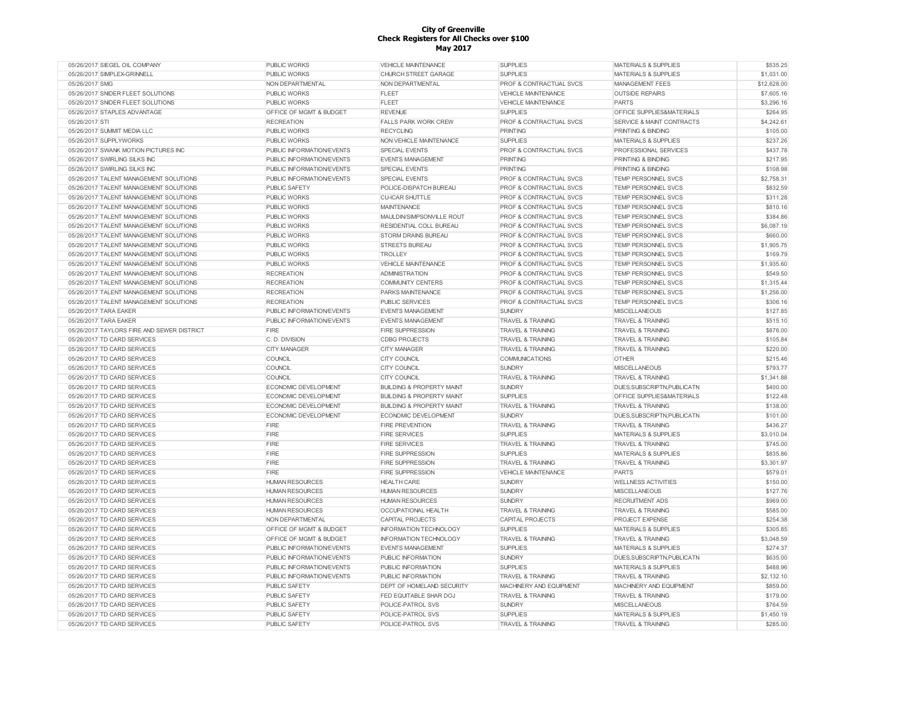| 05/26/2017 SIEGEL OIL COMPANY              | PUBLIC WORKS              | <b>VEHICLE MAINTENANCE</b>           | <b>SUPPLIES</b>                    | <b>MATERIALS &amp; SUPPLIES</b> | \$535.25    |
|--------------------------------------------|---------------------------|--------------------------------------|------------------------------------|---------------------------------|-------------|
| 05/26/2017 SIMPLEX-GRINNELL                | <b>PUBLIC WORKS</b>       | CHURCH STREET GARAGE                 | <b>SUPPLIES</b>                    | <b>MATERIALS &amp; SUPPLIES</b> | \$1,031.00  |
| 05/26/2017 SMG                             | NON DEPARTMENTAL          | NON DEPARTMENTAL                     | <b>PROF &amp; CONTRACTUAL SVCS</b> | <b>MANAGEMENT FEES</b>          | \$12,628.00 |
| 05/26/2017 SNIDER FLEET SOLUTIONS          | PUBLIC WORKS              | FLEET                                | <b>VEHICLE MAINTENANCE</b>         | <b>OUTSIDE REPAIRS</b>          | \$7,605.16  |
| 05/26/2017 SNIDER FLEET SOLUTIONS          | PUBLIC WORKS              | <b>FLEET</b>                         | <b>VEHICLE MAINTENANCE</b>         | <b>PARTS</b>                    | \$3,296.16  |
| 05/26/2017 STAPLES ADVANTAGE               | OFFICE OF MGMT & BUDGET   | <b>REVENUE</b>                       | <b>SUPPLIES</b>                    | OFFICE SUPPLIES&MATERIALS       | \$264.95    |
| 05/26/2017 STI                             | <b>RECREATION</b>         | <b>FALLS PARK WORK CREW</b>          | PROF & CONTRACTUAL SVCS            | SERVICE & MAINT CONTRACTS       | \$4,242.61  |
| 05/26/2017 SUMMIT MEDIA LLC                | PUBLIC WORKS              | <b>RECYCLING</b>                     | <b>PRINTING</b>                    | <b>PRINTING &amp; BINDING</b>   | \$105.00    |
| 05/26/2017 SUPPLYWORKS                     | <b>PUBLIC WORKS</b>       | NON VEHICLE MAINTENANCE              | <b>SUPPLIES</b>                    | <b>MATERIALS &amp; SUPPLIES</b> | \$237.26    |
| 05/26/2017 SWANK MOTION PICTURES INC       | PUBLIC INFORMATION/EVENTS | SPECIAL EVENTS                       | PROF & CONTRACTUAL SVCS            | PROFESSIONAL SERVICES           | \$437.78    |
| 05/26/2017 SWIRLING SILKS INC              | PUBLIC INFORMATION/EVENTS | <b>EVENTS MANAGEMENT</b>             | <b>PRINTING</b>                    | <b>PRINTING &amp; BINDING</b>   | \$217.95    |
| 05/26/2017 SWIRLING SILKS INC              | PUBLIC INFORMATION/EVENTS | <b>SPECIAL EVENTS</b>                | <b>PRINTING</b>                    | <b>PRINTING &amp; BINDING</b>   | \$108.98    |
|                                            |                           |                                      |                                    |                                 |             |
| 05/26/2017 TALENT MANAGEMENT SOLUTIONS     | PUBLIC INFORMATION/EVENTS | <b>SPECIAL EVENTS</b>                | PROF & CONTRACTUAL SVCS            | <b>TEMP PERSONNEL SVCS</b>      | \$2,758.31  |
| 05/26/2017 TALENT MANAGEMENT SOLUTIONS     | PUBLIC SAFETY             | POLICE-DISPATCH BUREAU               | PROF & CONTRACTUAL SVCS            | TEMP PERSONNEL SVCS             | \$832.59    |
| 05/26/2017 TALENT MANAGEMENT SOLUTIONS     | <b>PUBLIC WORKS</b>       | <b>CU-ICAR SHUTTLE</b>               | <b>PROF &amp; CONTRACTUAL SVCS</b> | <b>TEMP PERSONNEL SVCS</b>      | \$311.28    |
| 05/26/2017 TALENT MANAGEMENT SOLUTIONS     | PUBLIC WORKS              | <b>MAINTENANCE</b>                   | PROF & CONTRACTUAL SVCS            | TEMP PERSONNEL SVCS             | \$810.16    |
| 05/26/2017 TALENT MANAGEMENT SOLUTIONS     | PUBLIC WORKS              | MAULDIN/SIMPSONVILLE ROUT            | <b>PROF &amp; CONTRACTUAL SVCS</b> | <b>TEMP PERSONNEL SVCS</b>      | \$384.86    |
| 05/26/2017 TALENT MANAGEMENT SOLUTIONS     | PUBLIC WORKS              | RESIDENTIAL COLL BUREAU              | PROF & CONTRACTUAL SVCS            | TEMP PERSONNEL SVCS             | \$6,087.19  |
| 05/26/2017 TALENT MANAGEMENT SOLUTIONS     | <b>PUBLIC WORKS</b>       | <b>STORM DRAINS BUREAU</b>           | <b>PROF &amp; CONTRACTUAL SVCS</b> | <b>TEMP PERSONNEL SVCS</b>      | \$660.00    |
| 05/26/2017 TALENT MANAGEMENT SOLUTIONS     | <b>PUBLIC WORKS</b>       | <b>STREETS BUREAU</b>                | PROF & CONTRACTUAL SVCS            | <b>TEMP PERSONNEL SVCS</b>      | \$1,905.75  |
| 05/26/2017 TALENT MANAGEMENT SOLUTIONS     | <b>PUBLIC WORKS</b>       | <b>TROLLEY</b>                       | PROF & CONTRACTUAL SVCS            | <b>TEMP PERSONNEL SVCS</b>      | \$169.79    |
| 05/26/2017 TALENT MANAGEMENT SOLUTIONS     | <b>PUBLIC WORKS</b>       | <b>VEHICLE MAINTENANCE</b>           | PROF & CONTRACTUAL SVCS            | <b>TEMP PERSONNEL SVCS</b>      | \$1,935.60  |
| 05/26/2017 TALENT MANAGEMENT SOLUTIONS     | <b>RECREATION</b>         | <b>ADMINISTRATION</b>                | PROF & CONTRACTUAL SVCS            | TEMP PERSONNEL SVCS             | \$549.50    |
| 05/26/2017 TALENT MANAGEMENT SOLUTIONS     | <b>RECREATION</b>         | <b>COMMUNITY CENTERS</b>             | PROF & CONTRACTUAL SVCS            | TEMP PERSONNEL SVCS             | \$1,315.44  |
| 05/26/2017 TALENT MANAGEMENT SOLUTIONS     | <b>RECREATION</b>         | PARKS MAINTENANCE                    | PROF & CONTRACTUAL SVCS            | TEMP PERSONNEL SVCS             | \$1,256.00  |
| 05/26/2017 TALENT MANAGEMENT SOLUTIONS     | <b>RECREATION</b>         | <b>PUBLIC SERVICES</b>               | PROF & CONTRACTUAL SVCS            | TEMP PERSONNEL SVCS             | \$306.16    |
| 05/26/2017 TARA EAKER                      | PUBLIC INFORMATION/EVENTS | <b>EVENTS MANAGEMENT</b>             | <b>SUNDRY</b>                      | <b>MISCELLANEOUS</b>            | \$127.85    |
| 05/26/2017 TARA EAKER                      | PUBLIC INFORMATION/EVENTS | <b>EVENTS MANAGEMENT</b>             | <b>TRAVEL &amp; TRAINING</b>       | <b>TRAVEL &amp; TRAINING</b>    | \$515.10    |
|                                            |                           |                                      |                                    |                                 |             |
| 05/26/2017 TAYLORS FIRE AND SEWER DISTRICT | FIRE                      | <b>FIRE SUPPRESSION</b>              | <b>TRAVEL &amp; TRAINING</b>       | <b>TRAVEL &amp; TRAINING</b>    | \$876.00    |
| 05/26/2017 TD CARD SERVICES                | C. D. DIVISION            | <b>CDBG PROJECTS</b>                 | <b>TRAVEL &amp; TRAINING</b>       | <b>TRAVEL &amp; TRAINING</b>    | \$105.84    |
| 05/26/2017 TD CARD SERVICES                | <b>CITY MANAGER</b>       | <b>CITY MANAGER</b>                  | <b>TRAVEL &amp; TRAINING</b>       | <b>TRAVEL &amp; TRAINING</b>    | \$220.00    |
| 05/26/2017 TD CARD SERVICES                | COUNCIL                   | CITY COUNCIL                         | COMMUNICATIONS                     | <b>OTHER</b>                    | \$215.46    |
| 05/26/2017 TD CARD SERVICES                | COUNCIL                   | <b>CITY COUNCIL</b>                  | <b>SUNDRY</b>                      | <b>MISCELLANEOUS</b>            | \$793.77    |
| 05/26/2017 TD CARD SERVICES                | COUNCIL                   | <b>CITY COUNCIL</b>                  | <b>TRAVEL &amp; TRAINING</b>       | <b>TRAVEL &amp; TRAINING</b>    | \$1,341.88  |
| 05/26/2017 TD CARD SERVICES                | ECONOMIC DEVELOPMENT      | <b>BUILDING &amp; PROPERTY MAINT</b> | <b>SUNDRY</b>                      | DUES, SUBSCRIPTN, PUBLICATN     | \$400.00    |
| 05/26/2017 TD CARD SERVICES                | ECONOMIC DEVELOPMENT      | <b>BUILDING &amp; PROPERTY MAINT</b> | <b>SUPPLIES</b>                    | OFFICE SUPPLIES&MATERIALS       | \$122.48    |
| 05/26/2017 TD CARD SERVICES                | ECONOMIC DEVELOPMENT      | <b>BUILDING &amp; PROPERTY MAINT</b> | <b>TRAVEL &amp; TRAINING</b>       | <b>TRAVEL &amp; TRAINING</b>    | \$138.00    |
| 05/26/2017 TD CARD SERVICES                | ECONOMIC DEVELOPMENT      | ECONOMIC DEVELOPMENT                 | <b>SUNDRY</b>                      | DUES, SUBSCRIPTN, PUBLICATN     | \$101.00    |
| 05/26/2017 TD CARD SERVICES                | <b>FIRE</b>               | <b>FIRE PREVENTION</b>               | <b>TRAVEL &amp; TRAINING</b>       | <b>TRAVEL &amp; TRAINING</b>    | \$436.27    |
| 05/26/2017 TD CARD SERVICES                | <b>FIRE</b>               | <b>FIRE SERVICES</b>                 | <b>SUPPLIES</b>                    | <b>MATERIALS &amp; SUPPLIES</b> | \$3,010.04  |
| 05/26/2017 TD CARD SERVICES                | <b>FIRE</b>               | <b>FIRE SERVICES</b>                 | <b>TRAVEL &amp; TRAINING</b>       | <b>TRAVEL &amp; TRAINING</b>    | \$745.00    |
| 05/26/2017 TD CARD SERVICES                | FIRE                      | <b>FIRE SUPPRESSION</b>              | <b>SUPPLIES</b>                    | <b>MATERIALS &amp; SUPPLIES</b> | \$835.86    |
| 05/26/2017 TD CARD SERVICES                | <b>FIRE</b>               | <b>FIRE SUPPRESSION</b>              | <b>TRAVEL &amp; TRAINING</b>       | <b>TRAVEL &amp; TRAINING</b>    | \$3,301.97  |
|                                            |                           |                                      |                                    |                                 |             |
| 05/26/2017 TD CARD SERVICES                | FIRE                      | <b>FIRE SUPPRESSION</b>              | <b>VEHICLE MAINTENANCE</b>         | <b>PARTS</b>                    | \$579.01    |
| 05/26/2017 TD CARD SERVICES                | <b>HUMAN RESOURCES</b>    | <b>HEALTH CARE</b>                   | <b>SUNDRY</b>                      | <b>WELLNESS ACTIVITIES</b>      | \$150.00    |
| 05/26/2017 TD CARD SERVICES                | <b>HUMAN RESOURCES</b>    | <b>HUMAN RESOURCES</b>               | <b>SUNDRY</b>                      | <b>MISCELLANEOUS</b>            | \$127.76    |
| 05/26/2017 TD CARD SERVICES                | <b>HUMAN RESOURCES</b>    | <b>HUMAN RESOURCES</b>               | <b>SUNDRY</b>                      | <b>RECRUITMENT ADS</b>          | \$969.00    |
| 05/26/2017 TD CARD SERVICES                | <b>HUMAN RESOURCES</b>    | OCCUPATIONAL HEALTH                  | <b>TRAVEL &amp; TRAINING</b>       | <b>TRAVEL &amp; TRAINING</b>    | \$585.00    |
| 05/26/2017 TD CARD SERVICES                | NON DEPARTMENTAL          | <b>CAPITAL PROJECTS</b>              | CAPITAL PROJECTS                   | PROJECT EXPENSE                 | \$254.38    |
| 05/26/2017 TD CARD SERVICES                | OFFICE OF MGMT & BUDGET   | <b>INFORMATION TECHNOLOGY</b>        | <b>SUPPLIES</b>                    | MATERIALS & SUPPLIES            | \$305.85    |
| 05/26/2017 TD CARD SERVICES                | OFFICE OF MGMT & BUDGET   | INFORMATION TECHNOLOGY               | <b>TRAVEL &amp; TRAINING</b>       | <b>TRAVEL &amp; TRAINING</b>    | \$3,048.59  |
| 05/26/2017 TD CARD SERVICES                | PUBLIC INFORMATION/EVENTS | <b>EVENTS MANAGEMENT</b>             | <b>SUPPLIES</b>                    | <b>MATERIALS &amp; SUPPLIES</b> | \$274.37    |
| 05/26/2017 TD CARD SERVICES                | PUBLIC INFORMATION/EVENTS | PUBLIC INFORMATION                   | <b>SUNDRY</b>                      | DUES, SUBSCRIPTN, PUBLICATN     | \$635.00    |
| 05/26/2017 TD CARD SERVICES                | PUBLIC INFORMATION/EVENTS | PUBLIC INFORMATION                   | <b>SUPPLIES</b>                    | <b>MATERIALS &amp; SUPPLIES</b> | \$488.96    |
| 05/26/2017 TD CARD SERVICES                | PUBLIC INFORMATION/EVENTS | PUBLIC INFORMATION                   | TRAVEL & TRAINING                  | <b>TRAVEL &amp; TRAINING</b>    | \$2,132.10  |
| 05/26/2017 TD CARD SERVICES                | PUBLIC SAFETY             | DEPT OF HOMELAND SECURITY            | MACHINERY AND EQUIPMENT            | MACHINERY AND EQUIPMENT         | \$859.00    |
| 05/26/2017 TD CARD SERVICES                | PUBLIC SAFETY             | FED EQUITABLE SHAR DOJ               | TRAVEL & TRAINING                  | <b>TRAVEL &amp; TRAINING</b>    | \$179.00    |
| 05/26/2017 TD CARD SERVICES                | PUBLIC SAFETY             | POLICE-PATROL SVS                    | <b>SUNDRY</b>                      | <b>MISCELLANEOUS</b>            | \$764.59    |
|                                            |                           |                                      |                                    |                                 |             |
| 05/26/2017 TD CARD SERVICES                | PUBLIC SAFETY             | POLICE-PATROL SVS                    | <b>SUPPLIES</b>                    | <b>MATERIALS &amp; SUPPLIES</b> | \$1,450.19  |
| 05/26/2017 TD CARD SERVICES                | PUBLIC SAFETY             | POLICE-PATROL SVS                    | <b>TRAVEL &amp; TRAINING</b>       | <b>TRAVEL &amp; TRAINING</b>    | \$285.00    |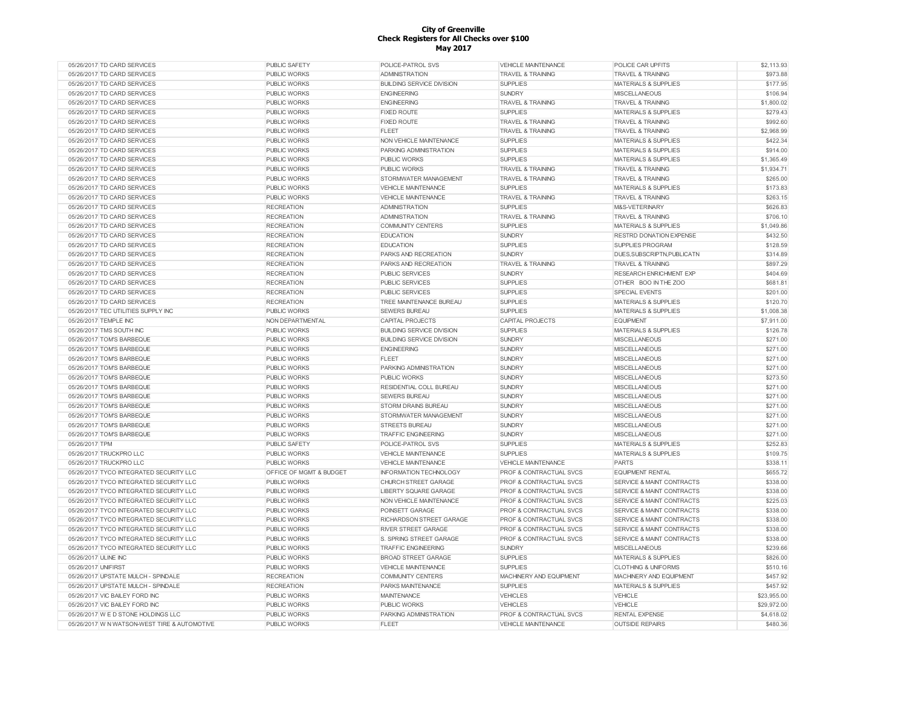| 05/26/2017 TD CARD SERVICES                  | <b>PUBLIC SAFETY</b>    | POLICE-PATROL SVS                | <b>VEHICLE MAINTENANCE</b>         | <b>POLICE CAR UPFITS</b>             | \$2,113.93  |
|----------------------------------------------|-------------------------|----------------------------------|------------------------------------|--------------------------------------|-------------|
| 05/26/2017 TD CARD SERVICES                  | <b>PUBLIC WORKS</b>     | <b>ADMINISTRATION</b>            | <b>TRAVEL &amp; TRAINING</b>       | <b>TRAVEL &amp; TRAINING</b>         | \$973.88    |
| 05/26/2017 TD CARD SERVICES                  | <b>PUBLIC WORKS</b>     | <b>BUILDING SERVICE DIVISION</b> | <b>SUPPLIES</b>                    | <b>MATERIALS &amp; SUPPLIES</b>      | \$177.95    |
| 05/26/2017 TD CARD SERVICES                  | <b>PUBLIC WORKS</b>     | <b>ENGINEERING</b>               | <b>SUNDRY</b>                      | <b>MISCELLANEOUS</b>                 | \$106.94    |
| 05/26/2017 TD CARD SERVICES                  | <b>PUBLIC WORKS</b>     | <b>ENGINEERING</b>               | <b>TRAVEL &amp; TRAINING</b>       | <b>TRAVEL &amp; TRAINING</b>         | \$1,800.02  |
| 05/26/2017 TD CARD SERVICES                  | <b>PUBLIC WORKS</b>     | <b>FIXED ROUTE</b>               | <b>SUPPLIES</b>                    | <b>MATERIALS &amp; SUPPLIES</b>      | \$279.43    |
| 05/26/2017 TD CARD SERVICES                  | <b>PUBLIC WORKS</b>     | <b>FIXED ROUTE</b>               | <b>TRAVEL &amp; TRAINING</b>       | <b>TRAVEL &amp; TRAINING</b>         | \$992.60    |
| 05/26/2017 TD CARD SERVICES                  | <b>PUBLIC WORKS</b>     | <b>FLEET</b>                     | <b>TRAVEL &amp; TRAINING</b>       | <b>TRAVEL &amp; TRAINING</b>         | \$2,968.99  |
| 05/26/2017 TD CARD SERVICES                  | <b>PUBLIC WORKS</b>     | NON VEHICLE MAINTENANCE          | <b>SUPPLIES</b>                    | MATERIALS & SUPPLIES                 | \$422.34    |
| 05/26/2017 TD CARD SERVICES                  | <b>PUBLIC WORKS</b>     | PARKING ADMINISTRATION           | <b>SUPPLIES</b>                    | <b>MATERIALS &amp; SUPPLIES</b>      | \$914.00    |
| 05/26/2017 TD CARD SERVICES                  | <b>PUBLIC WORKS</b>     | <b>PUBLIC WORKS</b>              | <b>SUPPLIES</b>                    | <b>MATERIALS &amp; SUPPLIES</b>      | \$1,365.49  |
| 05/26/2017 TD CARD SERVICES                  | <b>PUBLIC WORKS</b>     | <b>PUBLIC WORKS</b>              | <b>TRAVEL &amp; TRAINING</b>       | <b>TRAVEL &amp; TRAINING</b>         | \$1,934.71  |
| 05/26/2017 TD CARD SERVICES                  | <b>PUBLIC WORKS</b>     | STORMWATER MANAGEMENT            | <b>TRAVEL &amp; TRAINING</b>       | <b>TRAVEL &amp; TRAINING</b>         | \$265.00    |
| 05/26/2017 TD CARD SERVICES                  | <b>PUBLIC WORKS</b>     | <b>VEHICLE MAINTENANCE</b>       | <b>SUPPLIES</b>                    | <b>MATERIALS &amp; SUPPLIES</b>      | \$173.83    |
| 05/26/2017 TD CARD SERVICES                  | <b>PUBLIC WORKS</b>     | VEHICLE MAINTENANCE              | <b>TRAVEL &amp; TRAINING</b>       | <b>TRAVEL &amp; TRAINING</b>         | \$263.15    |
| 05/26/2017 TD CARD SERVICES                  | <b>RECREATION</b>       | <b>ADMINISTRATION</b>            | <b>SUPPLIES</b>                    | M&S-VETERINARY                       | \$626.83    |
| 05/26/2017 TD CARD SERVICES                  | <b>RECREATION</b>       | <b>ADMINISTRATION</b>            | <b>TRAVEL &amp; TRAINING</b>       | <b>TRAVEL &amp; TRAINING</b>         | \$706.10    |
| 05/26/2017 TD CARD SERVICES                  | <b>RECREATION</b>       | <b>COMMUNITY CENTERS</b>         | <b>SUPPLIES</b>                    | <b>MATERIALS &amp; SUPPLIES</b>      | \$1,049.86  |
| 05/26/2017 TD CARD SERVICES                  | <b>RECREATION</b>       |                                  | <b>SUNDRY</b>                      | RESTRD DONATION EXPENSE              | \$432.50    |
| 05/26/2017 TD CARD SERVICES                  |                         | <b>EDUCATION</b>                 |                                    | <b>SUPPLIES PROGRAM</b>              |             |
|                                              | <b>RECREATION</b>       | <b>EDUCATION</b>                 | <b>SUPPLIES</b>                    |                                      | \$128.59    |
| 05/26/2017 TD CARD SERVICES                  | <b>RECREATION</b>       | PARKS AND RECREATION             | <b>SUNDRY</b>                      | DUES, SUBSCRIPTN, PUBLICATN          | \$314.89    |
| 05/26/2017 TD CARD SERVICES                  | <b>RECREATION</b>       | PARKS AND RECREATION             | <b>TRAVEL &amp; TRAINING</b>       | <b>TRAVEL &amp; TRAINING</b>         | \$897.29    |
| 05/26/2017 TD CARD SERVICES                  | <b>RECREATION</b>       | <b>PUBLIC SERVICES</b>           | <b>SUNDRY</b>                      | RESEARCH ENRICHMENT EXP              | \$404.69    |
| 05/26/2017 TD CARD SERVICES                  | <b>RECREATION</b>       | <b>PUBLIC SERVICES</b>           | <b>SUPPLIES</b>                    | OTHER BOO IN THE ZOO                 | \$681.81    |
| 05/26/2017 TD CARD SERVICES                  | <b>RECREATION</b>       | <b>PUBLIC SERVICES</b>           | <b>SUPPLIES</b>                    | <b>SPECIAL EVENTS</b>                | \$201.00    |
| 05/26/2017 TD CARD SERVICES                  | <b>RECREATION</b>       | TREE MAINTENANCE BUREAU          | <b>SUPPLIES</b>                    | <b>MATERIALS &amp; SUPPLIES</b>      | \$120.70    |
| 05/26/2017 TEC UTILITIES SUPPLY INC          | <b>PUBLIC WORKS</b>     | <b>SEWERS BUREAU</b>             | <b>SUPPLIES</b>                    | <b>MATERIALS &amp; SUPPLIES</b>      | \$1,008.38  |
| 05/26/2017 TEMPLE INC                        | NON DEPARTMENTAL        | <b>CAPITAL PROJECTS</b>          | <b>CAPITAL PROJECTS</b>            | <b>EQUIPMENT</b>                     | \$7,911.00  |
| 05/26/2017 TMS SOUTH INC                     | <b>PUBLIC WORKS</b>     | <b>BUILDING SERVICE DIVISION</b> | <b>SUPPLIES</b>                    | <b>MATERIALS &amp; SUPPLIES</b>      | \$126.78    |
| 05/26/2017 TOM'S BARBEQUE                    | <b>PUBLIC WORKS</b>     | <b>BUILDING SERVICE DIVISION</b> | <b>SUNDRY</b>                      | <b>MISCELLANEOUS</b>                 | \$271.00    |
| 05/26/2017 TOM'S BARBEQUE                    | <b>PUBLIC WORKS</b>     | <b>ENGINEERING</b>               | <b>SUNDRY</b>                      | <b>MISCELLANEOUS</b>                 | \$271.00    |
| 05/26/2017 TOM'S BARBEQUE                    | <b>PUBLIC WORKS</b>     | <b>FLEET</b>                     | <b>SUNDRY</b>                      | <b>MISCELLANEOUS</b>                 | \$271.00    |
| 05/26/2017 TOM'S BARBEQUE                    | PUBLIC WORKS            | PARKING ADMINISTRATION           | <b>SUNDRY</b>                      | <b>MISCELLANEOUS</b>                 | \$271.00    |
| 05/26/2017 TOM'S BARBEQUE                    | <b>PUBLIC WORKS</b>     | <b>PUBLIC WORKS</b>              | <b>SUNDRY</b>                      | <b>MISCELLANEOUS</b>                 | \$273.50    |
| 05/26/2017 TOM'S BARBEQUE                    | <b>PUBLIC WORKS</b>     | RESIDENTIAL COLL BUREAU          | <b>SUNDRY</b>                      | <b>MISCELLANEOUS</b>                 | \$271.00    |
| 05/26/2017 TOM'S BARBEQUE                    | <b>PUBLIC WORKS</b>     | <b>SEWERS BUREAU</b>             | <b>SUNDRY</b>                      | <b>MISCELLANEOUS</b>                 | \$271.00    |
| 05/26/2017 TOM'S BARBEQUE                    | <b>PUBLIC WORKS</b>     | <b>STORM DRAINS BUREAU</b>       | <b>SUNDRY</b>                      | <b>MISCELLANEOUS</b>                 | \$271.00    |
| 05/26/2017 TOM'S BARBEQUE                    | <b>PUBLIC WORKS</b>     | STORMWATER MANAGEMENT            | <b>SUNDRY</b>                      | <b>MISCELLANEOUS</b>                 | \$271.00    |
| 05/26/2017 TOM'S BARBEQUE                    | <b>PUBLIC WORKS</b>     | <b>STREETS BUREAU</b>            | <b>SUNDRY</b>                      | <b>MISCELLANEOUS</b>                 | \$271.00    |
| 05/26/2017 TOM'S BARBEQUE                    | <b>PUBLIC WORKS</b>     | <b>TRAFFIC ENGINEERING</b>       | <b>SUNDRY</b>                      | <b>MISCELLANEOUS</b>                 | \$271.00    |
| 05/26/2017 TPM                               | PUBLIC SAFETY           | POLICE-PATROL SVS                | <b>SUPPLIES</b>                    | <b>MATERIALS &amp; SUPPLIES</b>      | \$252.83    |
| 05/26/2017 TRUCKPRO LLC                      | <b>PUBLIC WORKS</b>     | <b>VEHICLE MAINTENANCE</b>       | <b>SUPPLIES</b>                    | <b>MATERIALS &amp; SUPPLIES</b>      | \$109.75    |
| 05/26/2017 TRUCKPRO LLC                      | <b>PUBLIC WORKS</b>     | <b>VEHICLE MAINTENANCE</b>       | <b>VEHICLE MAINTENANCE</b>         | <b>PARTS</b>                         | \$338.11    |
| 05/26/2017 TYCO INTEGRATED SECURITY LLC      | OFFICE OF MGMT & BUDGET | <b>INFORMATION TECHNOLOGY</b>    | <b>PROF &amp; CONTRACTUAL SVCS</b> | <b>EQUIPMENT RENTAL</b>              | \$655.72    |
| 05/26/2017 TYCO INTEGRATED SECURITY LLC      | <b>PUBLIC WORKS</b>     | CHURCH STREET GARAGE             | PROF & CONTRACTUAL SVCS            | SERVICE & MAINT CONTRACTS            | \$338.00    |
| 05/26/2017 TYCO INTEGRATED SECURITY LLC      | <b>PUBLIC WORKS</b>     | <b>LIBERTY SQUARE GARAGE</b>     | PROF & CONTRACTUAL SVCS            | <b>SERVICE &amp; MAINT CONTRACTS</b> | \$338.00    |
| 05/26/2017 TYCO INTEGRATED SECURITY LLC      | <b>PUBLIC WORKS</b>     | NON VEHICLE MAINTENANCE          | PROF & CONTRACTUAL SVCS            | <b>SERVICE &amp; MAINT CONTRACTS</b> | \$225.03    |
| 05/26/2017 TYCO INTEGRATED SECURITY LLC      | <b>PUBLIC WORKS</b>     | POINSETT GARAGE                  | PROF & CONTRACTUAL SVCS            | <b>SERVICE &amp; MAINT CONTRACTS</b> |             |
|                                              |                         |                                  |                                    |                                      | \$338.00    |
| 05/26/2017 TYCO INTEGRATED SECURITY LLC      | <b>PUBLIC WORKS</b>     | RICHARDSON STREET GARAGE         | PROF & CONTRACTUAL SVCS            | <b>SERVICE &amp; MAINT CONTRACTS</b> | \$338.00    |
| 05/26/2017 TYCO INTEGRATED SECURITY LLC      | <b>PUBLIC WORKS</b>     | <b>RIVER STREET GARAGE</b>       | <b>PROF &amp; CONTRACTUAL SVCS</b> | <b>SERVICE &amp; MAINT CONTRACTS</b> | \$338.00    |
| 05/26/2017 TYCO INTEGRATED SECURITY LLC      | <b>PUBLIC WORKS</b>     | S. SPRING STREET GARAGE          | PROF & CONTRACTUAL SVCS            | <b>SERVICE &amp; MAINT CONTRACTS</b> | \$338.00    |
| 05/26/2017 TYCO INTEGRATED SECURITY LLC      | <b>PUBLIC WORKS</b>     | <b>TRAFFIC ENGINEERING</b>       | <b>SUNDRY</b>                      | <b>MISCELLANEOUS</b>                 | \$239.66    |
| 05/26/2017 ULINE INC                         | <b>PUBLIC WORKS</b>     | <b>BROAD STREET GARAGE</b>       | <b>SUPPLIES</b>                    | <b>MATERIALS &amp; SUPPLIES</b>      | \$826.00    |
| 05/26/2017 UNIFIRST                          | <b>PUBLIC WORKS</b>     | <b>VEHICLE MAINTENANCE</b>       | <b>SUPPLIES</b>                    | <b>CLOTHING &amp; UNIFORMS</b>       | \$510.16    |
| 05/26/2017 UPSTATE MULCH - SPINDALE          | <b>RECREATION</b>       | <b>COMMUNITY CENTERS</b>         | MACHINERY AND EQUIPMENT            | MACHINERY AND EQUIPMENT              | \$457.92    |
| 05/26/2017 UPSTATE MULCH - SPINDALE          | <b>RECREATION</b>       | PARKS MAINTENANCE                | <b>SUPPLIES</b>                    | MATERIALS & SUPPLIES                 | \$457.92    |
| 05/26/2017 VIC BAILEY FORD INC               | PUBLIC WORKS            | <b>MAINTENANCE</b>               | <b>VEHICLES</b>                    | VEHICLE                              | \$23,955.00 |
| 05/26/2017 VIC BAILEY FORD INC               | <b>PUBLIC WORKS</b>     | <b>PUBLIC WORKS</b>              | <b>VEHICLES</b>                    | VEHICLE                              | \$29,972.00 |
| 05/26/2017 W E D STONE HOLDINGS LLC          | <b>PUBLIC WORKS</b>     | PARKING ADMINISTRATION           | PROF & CONTRACTUAL SVCS            | <b>RENTAL EXPENSE</b>                | \$4,618.02  |
| 05/26/2017 W N WATSON-WEST TIRE & AUTOMOTIVE | <b>PUBLIC WORKS</b>     | <b>FLEET</b>                     | VEHICLE MAINTENANCE                | <b>OUTSIDE REPAIRS</b>               | \$480.36    |